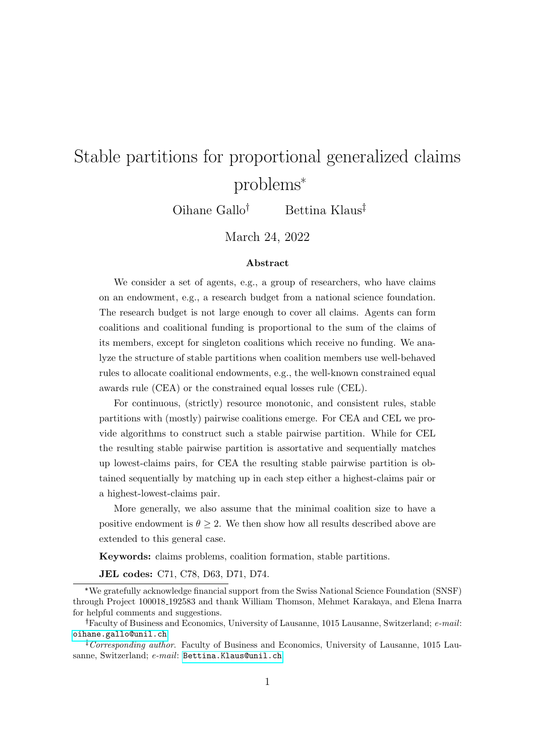# Stable partitions for proportional generalized claims problems\*

 $Oihane Gallo<sup>†</sup>$  Bettina Klaus<sup>†</sup>

March 24, 2022

#### Abstract

We consider a set of agents, e.g., a group of researchers, who have claims on an endowment, e.g., a research budget from a national science foundation. The research budget is not large enough to cover all claims. Agents can form coalitions and coalitional funding is proportional to the sum of the claims of its members, except for singleton coalitions which receive no funding. We analyze the structure of stable partitions when coalition members use well-behaved rules to allocate coalitional endowments, e.g., the well-known constrained equal awards rule (CEA) or the constrained equal losses rule (CEL).

For continuous, (strictly) resource monotonic, and consistent rules, stable partitions with (mostly) pairwise coalitions emerge. For CEA and CEL we provide algorithms to construct such a stable pairwise partition. While for CEL the resulting stable pairwise partition is assortative and sequentially matches up lowest-claims pairs, for CEA the resulting stable pairwise partition is obtained sequentially by matching up in each step either a highest-claims pair or a highest-lowest-claims pair.

More generally, we also assume that the minimal coalition size to have a positive endowment is  $\theta \geq 2$ . We then show how all results described above are extended to this general case.

Keywords: claims problems, coalition formation, stable partitions.

JEL codes: C71, C78, D63, D71, D74.

<sup>\*</sup>We gratefully acknowledge financial support from the Swiss National Science Foundation (SNSF) through Project 100018 192583 and thank William Thomson, Mehmet Karakaya, and Elena Inarra for helpful comments and suggestions.

Faculty of Business and Economics, University of Lausanne, 1015 Lausanne, Switzerland; e-mail: [oihane.gallo@unil.ch](mailto:oihane.gallo@unil.ch)

<sup>&</sup>lt;sup> $\ddagger$ </sup> Corresponding author. Faculty of Business and Economics, University of Lausanne, 1015 Lau-sanne, Switzerland; e-mail: [Bettina.Klaus@unil.ch](mailto:Bettina.Klaus@unil.ch).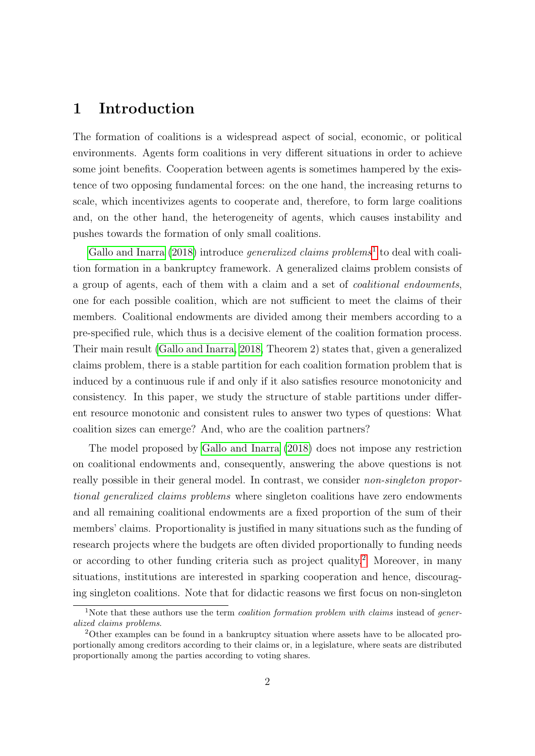### 1 Introduction

The formation of coalitions is a widespread aspect of social, economic, or political environments. Agents form coalitions in very different situations in order to achieve some joint benefits. Cooperation between agents is sometimes hampered by the existence of two opposing fundamental forces: on the one hand, the increasing returns to scale, which incentivizes agents to cooperate and, therefore, to form large coalitions and, on the other hand, the heterogeneity of agents, which causes instability and pushes towards the formation of only small coalitions.

[Gallo and Inarra](#page-59-0)  $(2018)$  introduce *generalized claims problems*<sup>[1](#page-1-0)</sup> to deal with coalition formation in a bankruptcy framework. A generalized claims problem consists of a group of agents, each of them with a claim and a set of coalitional endowments, one for each possible coalition, which are not sufficient to meet the claims of their members. Coalitional endowments are divided among their members according to a pre-specified rule, which thus is a decisive element of the coalition formation process. Their main result [\(Gallo and Inarra, 2018,](#page-59-0) Theorem 2) states that, given a generalized claims problem, there is a stable partition for each coalition formation problem that is induced by a continuous rule if and only if it also satisfies resource monotonicity and consistency. In this paper, we study the structure of stable partitions under different resource monotonic and consistent rules to answer two types of questions: What coalition sizes can emerge? And, who are the coalition partners?

The model proposed by [Gallo and Inarra](#page-59-0) [\(2018\)](#page-59-0) does not impose any restriction on coalitional endowments and, consequently, answering the above questions is not really possible in their general model. In contrast, we consider *non-singleton propor*tional generalized claims problems where singleton coalitions have zero endowments and all remaining coalitional endowments are a fixed proportion of the sum of their members' claims. Proportionality is justified in many situations such as the funding of research projects where the budgets are often divided proportionally to funding needs or according to other funding criteria such as project quality.[2](#page-1-1) Moreover, in many situations, institutions are interested in sparking cooperation and hence, discouraging singleton coalitions. Note that for didactic reasons we first focus on non-singleton

<span id="page-1-0"></span><sup>&</sup>lt;sup>1</sup>Note that these authors use the term *coalition formation problem with claims* instead of *gener*alized claims problems.

<span id="page-1-1"></span><sup>2</sup>Other examples can be found in a bankruptcy situation where assets have to be allocated proportionally among creditors according to their claims or, in a legislature, where seats are distributed proportionally among the parties according to voting shares.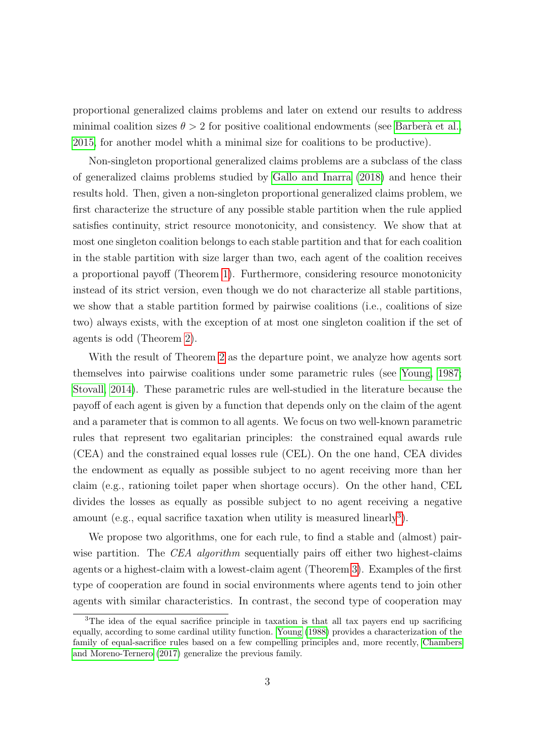proportional generalized claims problems and later on extend our results to address minimal coalition sizes  $\theta > 2$  for positive coalitional endowments (see Barberà et al., [2015,](#page-58-0) for another model whith a minimal size for coalitions to be productive).

Non-singleton proportional generalized claims problems are a subclass of the class of generalized claims problems studied by [Gallo and Inarra](#page-59-0) [\(2018\)](#page-59-0) and hence their results hold. Then, given a non-singleton proportional generalized claims problem, we first characterize the structure of any possible stable partition when the rule applied satisfies continuity, strict resource monotonicity, and consistency. We show that at most one singleton coalition belongs to each stable partition and that for each coalition in the stable partition with size larger than two, each agent of the coalition receives a proportional payoff (Theorem [1\)](#page-11-0). Furthermore, considering resource monotonicity instead of its strict version, even though we do not characterize all stable partitions, we show that a stable partition formed by pairwise coalitions (i.e., coalitions of size two) always exists, with the exception of at most one singleton coalition if the set of agents is odd (Theorem [2\)](#page-12-0).

With the result of Theorem [2](#page-12-0) as the departure point, we analyze how agents sort themselves into pairwise coalitions under some parametric rules (see [Young, 1987;](#page-59-1) [Stovall, 2014\)](#page-59-2). These parametric rules are well-studied in the literature because the payoff of each agent is given by a function that depends only on the claim of the agent and a parameter that is common to all agents. We focus on two well-known parametric rules that represent two egalitarian principles: the constrained equal awards rule (CEA) and the constrained equal losses rule (CEL). On the one hand, CEA divides the endowment as equally as possible subject to no agent receiving more than her claim (e.g., rationing toilet paper when shortage occurs). On the other hand, CEL divides the losses as equally as possible subject to no agent receiving a negative amount (e.g., equal sacrifice taxation when utility is measured linearly<sup>[3](#page-2-0)</sup>).

We propose two algorithms, one for each rule, to find a stable and (almost) pairwise partition. The CEA algorithm sequentially pairs off either two highest-claims agents or a highest-claim with a lowest-claim agent (Theorem [3\)](#page-14-0). Examples of the first type of cooperation are found in social environments where agents tend to join other agents with similar characteristics. In contrast, the second type of cooperation may

<span id="page-2-0"></span><sup>&</sup>lt;sup>3</sup>The idea of the equal sacrifice principle in taxation is that all tax payers end up sacrificing equally, according to some cardinal utility function. [Young](#page-59-3) [\(1988\)](#page-59-3) provides a characterization of the family of equal-sacrifice rules based on a few compelling principles and, more recently, [Chambers](#page-58-1) [and Moreno-Ternero](#page-58-1) [\(2017\)](#page-58-1) generalize the previous family.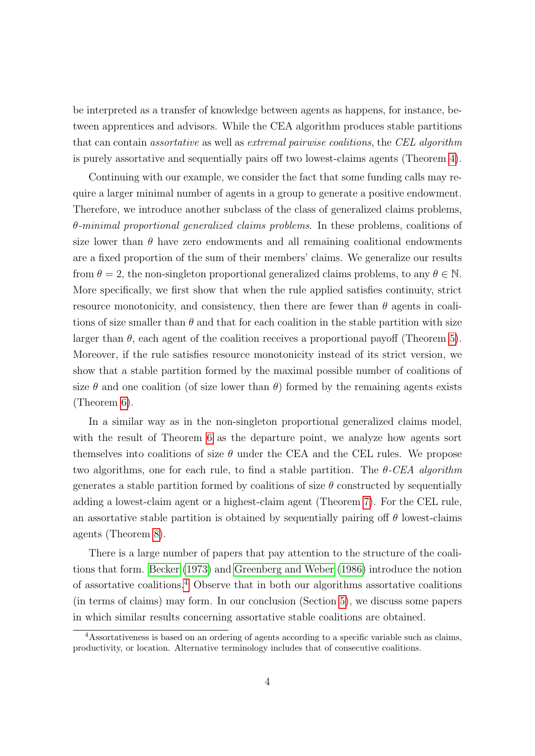be interpreted as a transfer of knowledge between agents as happens, for instance, between apprentices and advisors. While the CEA algorithm produces stable partitions that can contain assortative as well as extremal pairwise coalitions, the CEL algorithm is purely assortative and sequentially pairs off two lowest-claims agents (Theorem [4\)](#page-17-0).

Continuing with our example, we consider the fact that some funding calls may require a larger minimal number of agents in a group to generate a positive endowment. Therefore, we introduce another subclass of the class of generalized claims problems,  $\theta$ -minimal proportional generalized claims problems. In these problems, coalitions of size lower than  $\theta$  have zero endowments and all remaining coalitional endowments are a fixed proportion of the sum of their members' claims. We generalize our results from  $\theta = 2$ , the non-singleton proportional generalized claims problems, to any  $\theta \in \mathbb{N}$ . More specifically, we first show that when the rule applied satisfies continuity, strict resource monotonicity, and consistency, then there are fewer than  $\theta$  agents in coalitions of size smaller than  $\theta$  and that for each coalition in the stable partition with size larger than  $\theta$ , each agent of the coalition receives a proportional payoff (Theorem [5\)](#page-19-0). Moreover, if the rule satisfies resource monotonicity instead of its strict version, we show that a stable partition formed by the maximal possible number of coalitions of size  $\theta$  and one coalition (of size lower than  $\theta$ ) formed by the remaining agents exists (Theorem [6\)](#page-20-0).

In a similar way as in the non-singleton proportional generalized claims model, with the result of Theorem [6](#page-20-0) as the departure point, we analyze how agents sort themselves into coalitions of size  $\theta$  under the CEA and the CEL rules. We propose two algorithms, one for each rule, to find a stable partition. The  $\theta$ -CEA algorithm generates a stable partition formed by coalitions of size  $\theta$  constructed by sequentially adding a lowest-claim agent or a highest-claim agent (Theorem [7\)](#page-23-0). For the CEL rule, an assortative stable partition is obtained by sequentially pairing off  $\theta$  lowest-claims agents (Theorem [8\)](#page-24-0).

There is a large number of papers that pay attention to the structure of the coalitions that form. [Becker](#page-58-2) [\(1973\)](#page-58-2) and [Greenberg and Weber](#page-59-4) [\(1986\)](#page-59-4) introduce the notion of assortative coalitions.[4](#page-3-0) Observe that in both our algorithms assortative coalitions (in terms of claims) may form. In our conclusion (Section [5\)](#page-25-0), we discuss some papers in which similar results concerning assortative stable coalitions are obtained.

<span id="page-3-0"></span><sup>4</sup>Assortativeness is based on an ordering of agents according to a specific variable such as claims, productivity, or location. Alternative terminology includes that of consecutive coalitions.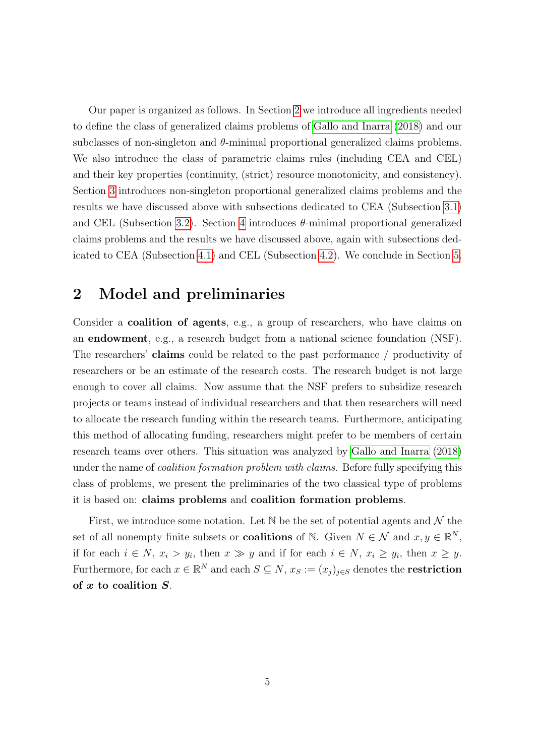Our paper is organized as follows. In Section [2](#page-4-0) we introduce all ingredients needed to define the class of generalized claims problems of [Gallo and Inarra](#page-59-0) [\(2018\)](#page-59-0) and our subclasses of non-singleton and  $\theta$ -minimal proportional generalized claims problems. We also introduce the class of parametric claims rules (including CEA and CEL) and their key properties (continuity, (strict) resource monotonicity, and consistency). Section [3](#page-9-0) introduces non-singleton proportional generalized claims problems and the results we have discussed above with subsections dedicated to CEA (Subsection [3.1\)](#page-13-0) and CEL (Subsection [3.2\)](#page-16-0). Section [4](#page-18-0) introduces  $\theta$ -minimal proportional generalized claims problems and the results we have discussed above, again with subsections dedicated to CEA (Subsection [4.1\)](#page-20-1) and CEL (Subsection [4.2\)](#page-23-1). We conclude in Section [5.](#page-25-0)

### <span id="page-4-0"></span>2 Model and preliminaries

Consider a coalition of agents, e.g., a group of researchers, who have claims on an endowment, e.g., a research budget from a national science foundation (NSF). The researchers' claims could be related to the past performance / productivity of researchers or be an estimate of the research costs. The research budget is not large enough to cover all claims. Now assume that the NSF prefers to subsidize research projects or teams instead of individual researchers and that then researchers will need to allocate the research funding within the research teams. Furthermore, anticipating this method of allocating funding, researchers might prefer to be members of certain research teams over others. This situation was analyzed by [Gallo and Inarra](#page-59-0) [\(2018\)](#page-59-0) under the name of *coalition formation problem with claims*. Before fully specifying this class of problems, we present the preliminaries of the two classical type of problems it is based on: claims problems and coalition formation problems.

First, we introduce some notation. Let  $\mathbb N$  be the set of potential agents and  $\mathcal N$  the set of all nonempty finite subsets or **coalitions** of  $\mathbb{N}$ . Given  $N \in \mathcal{N}$  and  $x, y \in \mathbb{R}^N$ , if for each  $i \in N$ ,  $x_i > y_i$ , then  $x \gg y$  and if for each  $i \in N$ ,  $x_i \ge y_i$ , then  $x \ge y$ . Furthermore, for each  $x \in \mathbb{R}^N$  and each  $S \subseteq N$ ,  $x_S := (x_j)_{j \in S}$  denotes the **restriction** of  $x$  to coalition  $S$ .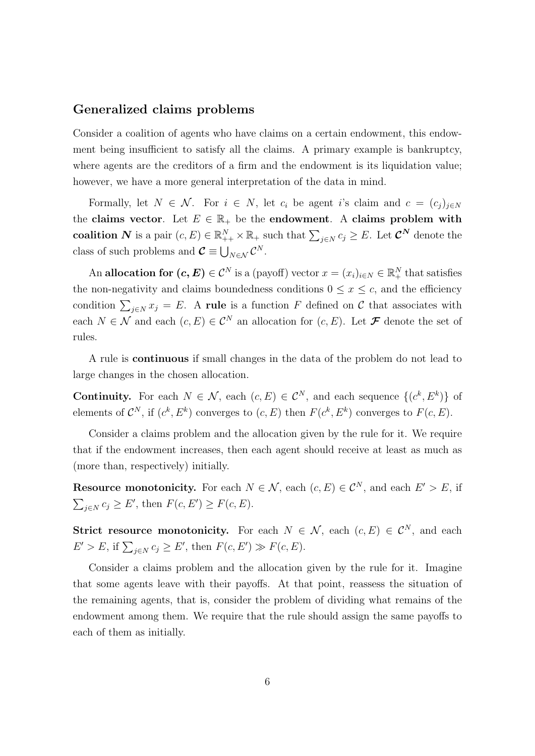#### Generalized claims problems

Consider a coalition of agents who have claims on a certain endowment, this endowment being insufficient to satisfy all the claims. A primary example is bankruptcy, where agents are the creditors of a firm and the endowment is its liquidation value; however, we have a more general interpretation of the data in mind.

Formally, let  $N \in \mathcal{N}$ . For  $i \in N$ , let  $c_i$  be agent i's claim and  $c = (c_j)_{j \in N}$ the claims vector. Let  $E \in \mathbb{R}_+$  be the endowment. A claims problem with coalition N is a pair  $(c, E) \in \mathbb{R}_{++}^N \times \mathbb{R}_+$  such that  $\sum_{j \in N} c_j \geq E$ . Let  $\mathcal{C}^N$  denote the class of such problems and  $\mathcal{C} \equiv \bigcup_{N \in \mathcal{N}} \mathcal{C}^N$ .

An allocation for  $(c, E) \in C^N$  is a (payoff) vector  $x = (x_i)_{i \in N} \in \mathbb{R}_+^N$  that satisfies the non-negativity and claims boundedness conditions  $0 \leq x \leq c$ , and the efficiency condition  $\sum_{j\in\mathbb{N}} x_j = E$ . A rule is a function F defined on C that associates with each  $N \in \mathcal{N}$  and each  $(c, E) \in \mathcal{C}^N$  an allocation for  $(c, E)$ . Let  $\mathcal F$  denote the set of rules.

A rule is continuous if small changes in the data of the problem do not lead to large changes in the chosen allocation.

**Continuity.** For each  $N \in \mathcal{N}$ , each  $(c, E) \in \mathcal{C}^N$ , and each sequence  $\{(c^k, E^k)\}\$  of elements of  $\mathcal{C}^N$ , if  $(c^k, E^k)$  converges to  $(c, E)$  then  $F(c^k, E^k)$  converges to  $F(c, E)$ .

Consider a claims problem and the allocation given by the rule for it. We require that if the endowment increases, then each agent should receive at least as much as (more than, respectively) initially.

**Resource monotonicity.** For each  $N \in \mathcal{N}$ , each  $(c, E) \in \mathcal{C}^N$ , and each  $E' > E$ , if  $\sum_{j\in\mathbb{N}}c_j\geq E'$ , then  $F(c, E')\geq F(c, E)$ .

Strict resource monotonicity. For each  $N \in \mathcal{N}$ , each  $(c, E) \in \mathcal{C}^N$ , and each  $E' > E$ , if  $\sum_{j \in N} c_j \ge E'$ , then  $F(c, E') \gg F(c, E)$ .

Consider a claims problem and the allocation given by the rule for it. Imagine that some agents leave with their payoffs. At that point, reassess the situation of the remaining agents, that is, consider the problem of dividing what remains of the endowment among them. We require that the rule should assign the same payoffs to each of them as initially.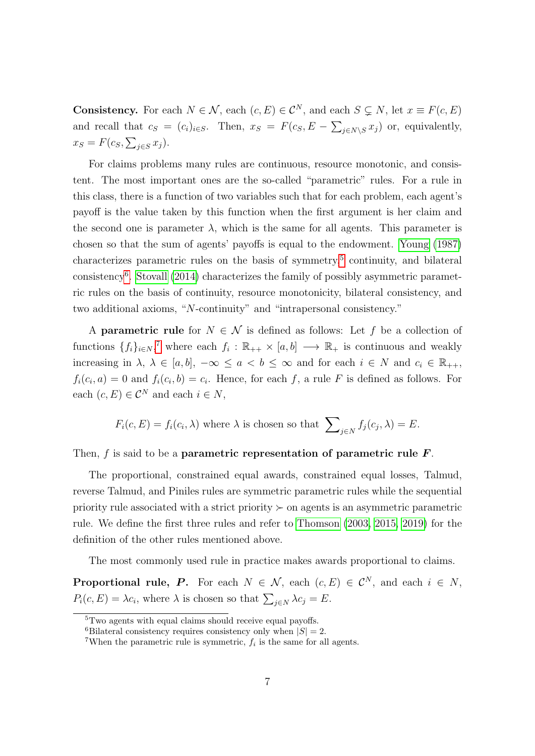**Consistency.** For each  $N \in \mathcal{N}$ , each  $(c, E) \in \mathcal{C}^N$ , and each  $S \subsetneq N$ , let  $x \equiv F(c, E)$ and recall that  $c_S = (c_i)_{i \in S}$ . Then,  $x_S = F(c_S, E - \sum_{j \in N \setminus S} x_j)$  or, equivalently,  $x_S = F(c_S, \sum_{j \in S} x_j).$ 

For claims problems many rules are continuous, resource monotonic, and consistent. The most important ones are the so-called "parametric" rules. For a rule in this class, there is a function of two variables such that for each problem, each agent's payoff is the value taken by this function when the first argument is her claim and the second one is parameter  $\lambda$ , which is the same for all agents. This parameter is chosen so that the sum of agents' payoffs is equal to the endowment. [Young](#page-59-1) [\(1987\)](#page-59-1) characterizes parametric rules on the basis of symmetry,<sup>[5](#page-6-0)</sup> continuity, and bilateral consistency[6](#page-6-1) . [Stovall](#page-59-2) [\(2014\)](#page-59-2) characterizes the family of possibly asymmetric parametric rules on the basis of continuity, resource monotonicity, bilateral consistency, and two additional axioms, "N-continuity" and "intrapersonal consistency."

A **parametric rule** for  $N \in \mathcal{N}$  is defined as follows: Let f be a collection of functions  $\{f_i\}_{i\in\mathbb{N}}$ ,<sup>[7](#page-6-2)</sup> where each  $f_i: \mathbb{R}_{++} \times [a,b] \longrightarrow \mathbb{R}_+$  is continuous and weakly increasing in  $\lambda, \lambda \in [a, b], -\infty \le a < b \le \infty$  and for each  $i \in N$  and  $c_i \in \mathbb{R}_{++}$ ,  $f_i(c_i, a) = 0$  and  $f_i(c_i, b) = c_i$ . Hence, for each f, a rule F is defined as follows. For each  $(c, E) \in \mathcal{C}^N$  and each  $i \in N$ ,

$$
F_i(c, E) = f_i(c_i, \lambda)
$$
 where  $\lambda$  is chosen so that  $\sum_{j \in N} f_j(c_j, \lambda) = E$ .

Then,  $f$  is said to be a parametric representation of parametric rule  $\boldsymbol{F}$ .

The proportional, constrained equal awards, constrained equal losses, Talmud, reverse Talmud, and Piniles rules are symmetric parametric rules while the sequential priority rule associated with a strict priority  $\succ$  on agents is an asymmetric parametric rule. We define the first three rules and refer to [Thomson](#page-59-5) [\(2003,](#page-59-5) [2015,](#page-59-6) [2019\)](#page-59-7) for the definition of the other rules mentioned above.

The most commonly used rule in practice makes awards proportional to claims.

**Proportional rule, P.** For each  $N \in \mathcal{N}$ , each  $(c, E) \in \mathcal{C}^N$ , and each  $i \in N$ ,  $P_i(c, E) = \lambda c_i$ , where  $\lambda$  is chosen so that  $\sum_{j \in N} \lambda c_j = E$ .

<span id="page-6-0"></span><sup>5</sup>Two agents with equal claims should receive equal payoffs.

<span id="page-6-1"></span><sup>&</sup>lt;sup>6</sup>Bilateral consistency requires consistency only when  $|S| = 2$ .

<span id="page-6-2"></span><sup>&</sup>lt;sup>7</sup>When the parametric rule is symmetric,  $f_i$  is the same for all agents.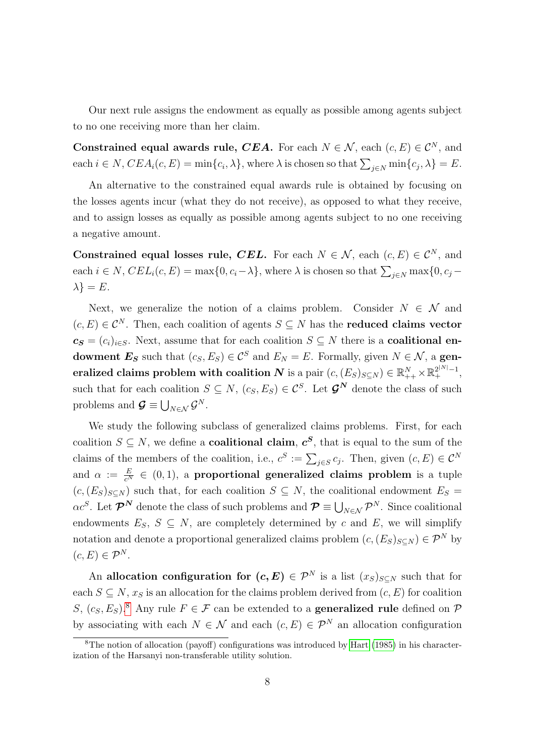Our next rule assigns the endowment as equally as possible among agents subject to no one receiving more than her claim.

Constrained equal awards rule, CEA. For each  $N \in \mathcal{N}$ , each  $(c, E) \in \mathcal{C}^N$ , and each  $i \in N$ ,  $CEA_i(c, E) = \min\{c_i, \lambda\}$ , where  $\lambda$  is chosen so that  $\sum_{j \in N} \min\{c_j, \lambda\} = E$ .

An alternative to the constrained equal awards rule is obtained by focusing on the losses agents incur (what they do not receive), as opposed to what they receive, and to assign losses as equally as possible among agents subject to no one receiving a negative amount.

Constrained equal losses rule, CEL. For each  $N \in \mathcal{N}$ , each  $(c, E) \in \mathcal{C}^N$ , and each  $i \in N$ ,  $CEL_i(c, E) = \max\{0, c_i - \lambda\}$ , where  $\lambda$  is chosen so that  $\sum_{j \in N} \max\{0, c_j - \lambda\}$  $\lambda$ } = E.

Next, we generalize the notion of a claims problem. Consider  $N \in \mathcal{N}$  and  $(c, E) \in \mathcal{C}^N$ . Then, each coalition of agents  $S \subseteq N$  has the **reduced claims vector**  $c_{\mathcal{S}} = (c_i)_{i \in S}$ . Next, assume that for each coalition  $S \subseteq N$  there is a **coalitional en**dowment  $E_S$  such that  $(c_S, E_S) \in \mathcal{C}^S$  and  $E_N = E$ . Formally, given  $N \in \mathcal{N}$ , a gen- ${\bf P}$  eralized claims problem with coalition  $\bm{N}$  is a pair  $(c,(E_S)_{S\subseteq N})\in\mathbb{R}^{N}_{++}\times\mathbb{R}^{2^{|N|-1}}_{+},$ such that for each coalition  $S \subseteq N$ ,  $(c_S, E_S) \in \mathcal{C}^S$ . Let  $\mathcal{G}^N$  denote the class of such problems and  $\mathcal{G} \equiv \bigcup_{N \in \mathcal{N}} \mathcal{G}^N$ .

We study the following subclass of generalized claims problems. First, for each coalition  $S \subseteq N$ , we define a **coalitional claim**,  $c^S$ , that is equal to the sum of the claims of the members of the coalition, i.e.,  $c^S := \sum_{j \in S} c_j$ . Then, given  $(c, E) \in C^N$ and  $\alpha := \frac{E}{c^N} \in (0, 1)$ , a **proportional generalized claims problem** is a tuple  $(c,(E_S)_{S\subseteq N})$  such that, for each coalition  $S\subseteq N$ , the coalitional endowment  $E_S=$  $\alpha c^S$ . Let  $\bm{\mathcal{P}}^N$  denote the class of such problems and  $\bm{\mathcal{P}}\equiv\bigcup_{N\in\mathcal{N}}\bm{\mathcal{P}}^N$ . Since coalitional endowments  $E_S$ ,  $S \subseteq N$ , are completely determined by c and E, we will simplify notation and denote a proportional generalized claims problem  $(c,(E_S)_{S\subseteq N}) \in \mathcal{P}^N$  by  $(c, E) \in \mathcal{P}^N$ .

An allocation configuration for  $(c, E) \in \mathcal{P}^N$  is a list  $(x_S)_{S \subseteq N}$  such that for each  $S \subseteq N$ ,  $x_S$  is an allocation for the claims problem derived from  $(c, E)$  for coalition S,  $(c_S, E_S)$ .<sup>[8](#page-7-0)</sup> Any rule  $F \in \mathcal{F}$  can be extended to a **generalized rule** defined on  $\mathcal{P}$ by associating with each  $N \in \mathcal{N}$  and each  $(c, E) \in \mathcal{P}^N$  an allocation configuration

<span id="page-7-0"></span> $8$ The notion of allocation (payoff) configurations was introduced by [Hart](#page-59-8) [\(1985\)](#page-59-8) in his characterization of the Harsanyi non-transferable utility solution.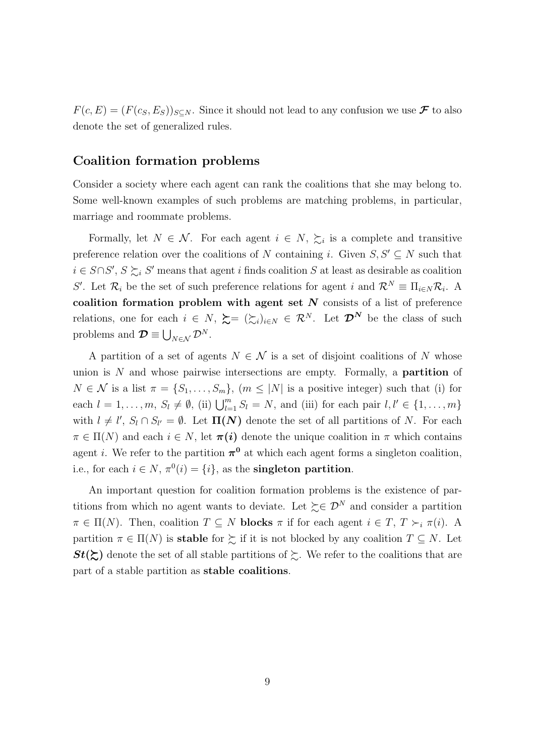$F(c, E) = (F(c<sub>S</sub>, E<sub>S</sub>))<sub>S\subseteq N</sub>$ . Since it should not lead to any confusion we use  $\mathcal F$  to also denote the set of generalized rules.

#### Coalition formation problems

Consider a society where each agent can rank the coalitions that she may belong to. Some well-known examples of such problems are matching problems, in particular, marriage and roommate problems.

Formally, let  $N \in \mathcal{N}$ . For each agent  $i \in N$ ,  $\succsim_i$  is a complete and transitive preference relation over the coalitions of N containing i. Given  $S, S' \subseteq N$  such that  $i \in S \cap S'$ ,  $S \succeq_i S'$  means that agent i finds coalition S at least as desirable as coalition S'. Let  $\mathcal{R}_i$  be the set of such preference relations for agent i and  $\mathcal{R}^N \equiv \Pi_{i \in N} \mathcal{R}_i$ . A coalition formation problem with agent set  $N$  consists of a list of preference relations, one for each  $i \in N$ ,  $\succeq = (\succeq_i)_{i \in N} \in \mathcal{R}^N$ . Let  $\mathcal{D}^N$  be the class of such problems and  $\mathcal{D} \equiv \bigcup_{N \in \mathcal{N}} \mathcal{D}^N$ .

A partition of a set of agents  $N \in \mathcal{N}$  is a set of disjoint coalitions of N whose union is  $N$  and whose pairwise intersections are empty. Formally, a **partition** of  $N \in \mathcal{N}$  is a list  $\pi = \{S_1, \ldots, S_m\}, \ (m \leq |N|)$  is a positive integer) such that (i) for each  $l = 1, \ldots, m, S_l \neq \emptyset$ , (ii)  $\bigcup_{l=1}^m S_l = N$ , and (iii) for each pair  $l, l' \in \{1, \ldots, m\}$ with  $l \neq l'$ ,  $S_l \cap S_{l'} = \emptyset$ . Let  $\Pi(N)$  denote the set of all partitions of N. For each  $\pi \in \Pi(N)$  and each  $i \in N$ , let  $\pi(i)$  denote the unique coalition in  $\pi$  which contains agent *i*. We refer to the partition  $\pi^0$  at which each agent forms a singleton coalition, i.e., for each  $i \in N$ ,  $\pi^0(i) = \{i\}$ , as the **singleton partition**.

An important question for coalition formation problems is the existence of partitions from which no agent wants to deviate. Let  $\succeq \mathcal{D}^N$  and consider a partition  $\pi \in \Pi(N)$ . Then, coalition  $T \subseteq N$  blocks  $\pi$  if for each agent  $i \in T$ ,  $T \succ_i \pi(i)$ . A partition  $\pi \in \Pi(N)$  is stable for  $\succsim$  if it is not blocked by any coalition  $T \subseteq N$ . Let  $St(\succsim)$  denote the set of all stable partitions of  $\succsim$ . We refer to the coalitions that are part of a stable partition as stable coalitions.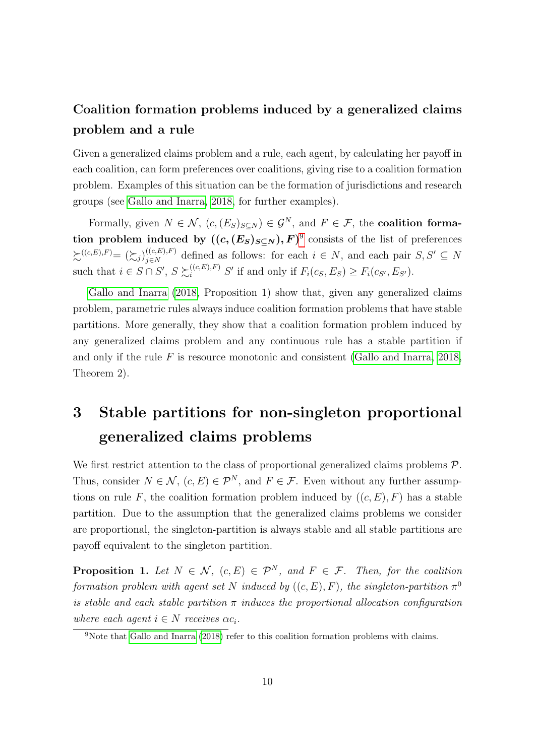### Coalition formation problems induced by a generalized claims problem and a rule

Given a generalized claims problem and a rule, each agent, by calculating her payoff in each coalition, can form preferences over coalitions, giving rise to a coalition formation problem. Examples of this situation can be the formation of jurisdictions and research groups (see [Gallo and Inarra, 2018,](#page-59-0) for further examples).

Formally, given  $N \in \mathcal{N}$ ,  $(c, (E_S)_{S \subset N}) \in \mathcal{G}^N$ , and  $F \in \mathcal{F}$ , the **coalition forma**tion problem induced by  $((c, (E_S)_{S \subseteq N}), F)^9$  $((c, (E_S)_{S \subseteq N}), F)^9$  consists of the list of preferences  $\sum_{j \in N}^{(c,E),F)} = (\sum_{j} { (c,E),F )}$  $(i_{\epsilon,E}^{(c,E),F})$  defined as follows: for each  $i \in N$ , and each pair  $S, S' \subseteq N$ such that  $i \in S \cap S'$ ,  $S \succsim_i^{((c,E),F)} S'$  if and only if  $F_i(c_S, E_S) \geq F_i(c_{S'}, E_{S'})$ .

[Gallo and Inarra](#page-59-0) [\(2018,](#page-59-0) Proposition 1) show that, given any generalized claims problem, parametric rules always induce coalition formation problems that have stable partitions. More generally, they show that a coalition formation problem induced by any generalized claims problem and any continuous rule has a stable partition if and only if the rule  $F$  is resource monotonic and consistent [\(Gallo and Inarra, 2018,](#page-59-0) Theorem 2).

## <span id="page-9-0"></span>3 Stable partitions for non-singleton proportional generalized claims problems

We first restrict attention to the class of proportional generalized claims problems  $\mathcal{P}$ . Thus, consider  $N \in \mathcal{N}$ ,  $(c, E) \in \mathcal{P}^N$ , and  $F \in \mathcal{F}$ . Even without any further assumptions on rule F, the coalition formation problem induced by  $((c, E), F)$  has a stable partition. Due to the assumption that the generalized claims problems we consider are proportional, the singleton-partition is always stable and all stable partitions are payoff equivalent to the singleton partition.

<span id="page-9-2"></span>**Proposition 1.** Let  $N \in \mathcal{N}$ ,  $(c, E) \in \mathcal{P}^N$ , and  $F \in \mathcal{F}$ . Then, for the coalition formation problem with agent set N induced by  $((c, E), F)$ , the singleton-partition  $\pi^0$ is stable and each stable partition  $\pi$  induces the proportional allocation configuration where each agent  $i \in N$  receives  $\alpha c_i$ .

<span id="page-9-1"></span><sup>&</sup>lt;sup>9</sup>Note that [Gallo and Inarra](#page-59-0) [\(2018\)](#page-59-0) refer to this coalition formation problems with claims.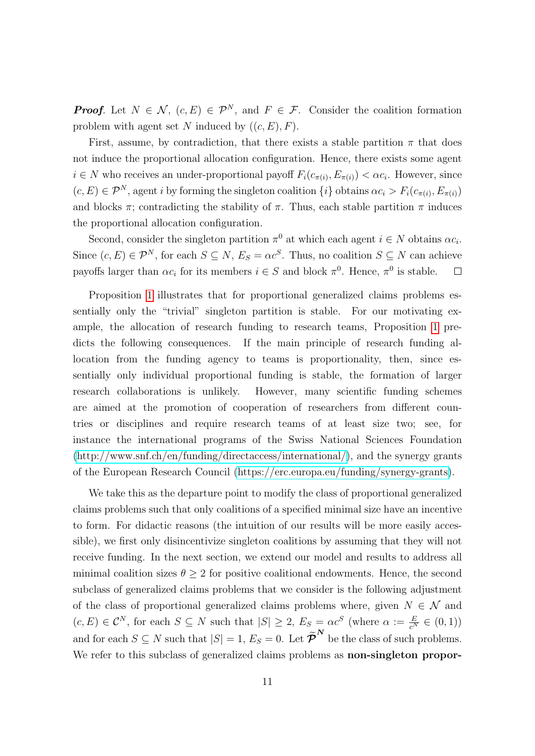**Proof.** Let  $N \in \mathcal{N}$ ,  $(c, E) \in \mathcal{P}^N$ , and  $F \in \mathcal{F}$ . Consider the coalition formation problem with agent set N induced by  $((c, E), F)$ .

First, assume, by contradiction, that there exists a stable partition  $\pi$  that does not induce the proportional allocation configuration. Hence, there exists some agent  $i \in N$  who receives an under-proportional payoff  $F_i(c_{\pi(i)}, E_{\pi(i)}) < \alpha c_i$ . However, since  $(c, E) \in \mathcal{P}^N$ , agent i by forming the singleton coalition  $\{i\}$  obtains  $\alpha c_i > F_i(c_{\pi(i)}, E_{\pi(i)})$ and blocks  $\pi$ ; contradicting the stability of  $\pi$ . Thus, each stable partition  $\pi$  induces the proportional allocation configuration.

Second, consider the singleton partition  $\pi^0$  at which each agent  $i \in N$  obtains  $\alpha c_i$ . Since  $(c, E) \in \mathcal{P}^N$ , for each  $S \subseteq N$ ,  $E_S = \alpha c^S$ . Thus, no coalition  $S \subseteq N$  can achieve payoffs larger than  $\alpha c_i$  for its members  $i \in S$  and block  $\pi^0$ . Hence,  $\pi^0$  is stable.  $\Box$ 

Proposition [1](#page-9-2) illustrates that for proportional generalized claims problems essentially only the "trivial" singleton partition is stable. For our motivating example, the allocation of research funding to research teams, Proposition [1](#page-9-2) predicts the following consequences. If the main principle of research funding allocation from the funding agency to teams is proportionality, then, since essentially only individual proportional funding is stable, the formation of larger research collaborations is unlikely. However, many scientific funding schemes are aimed at the promotion of cooperation of researchers from different countries or disciplines and require research teams of at least size two; see, for instance the international programs of the Swiss National Sciences Foundation [\(http://www.snf.ch/en/funding/directaccess/international/\)](http://www.snf.ch/en/funding/directaccess/international/), and the synergy grants of the European Research Council [\(https://erc.europa.eu/funding/synergy-grants\)](https://erc.europa.eu/funding/synergy-grants).

We take this as the departure point to modify the class of proportional generalized claims problems such that only coalitions of a specified minimal size have an incentive to form. For didactic reasons (the intuition of our results will be more easily accessible), we first only disincentivize singleton coalitions by assuming that they will not receive funding. In the next section, we extend our model and results to address all minimal coalition sizes  $\theta \geq 2$  for positive coalitional endowments. Hence, the second subclass of generalized claims problems that we consider is the following adjustment of the class of proportional generalized claims problems where, given  $N \in \mathcal{N}$  and  $(c, E) \in \mathcal{C}^N$ , for each  $S \subseteq N$  such that  $|S| \geq 2$ ,  $E_S = \alpha \mathcal{C}^S$  (where  $\alpha := \frac{E}{c^N} \in (0, 1)$ ) and for each  $S \subseteq N$  such that  $|S| = 1$ ,  $E_S = 0$ . Let  $\tilde{\boldsymbol{\mathcal{P}}}^N$  be the class of such problems. We refer to this subclass of generalized claims problems as **non-singleton propor-**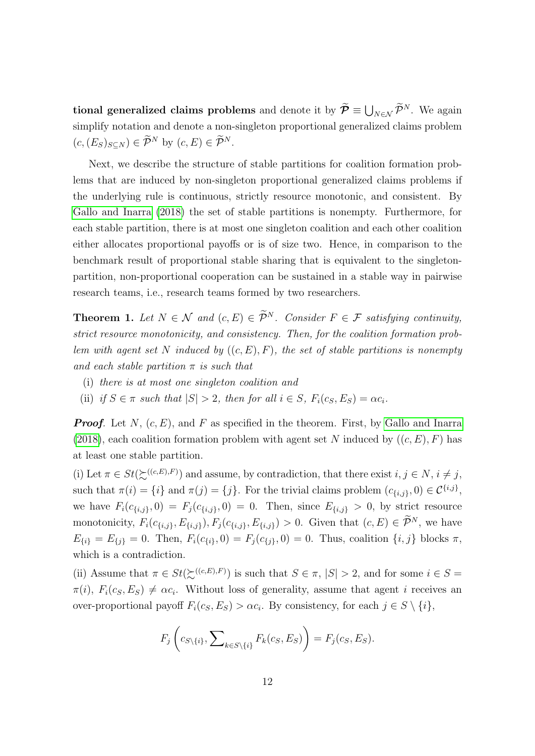tional generalized claims problems and denote it by  $\tilde{\mathcal{P}} \equiv \bigcup_{N \in \mathcal{N}} \tilde{\mathcal{P}}^N$ . We again simplify notation and denote a non-singleton proportional generalized claims problem  $(c,(E_S)_{S\subseteq N})\in \widetilde{\mathcal{P}}^N$  by  $(c,E)\in \widetilde{\mathcal{P}}^N$ .

Next, we describe the structure of stable partitions for coalition formation problems that are induced by non-singleton proportional generalized claims problems if the underlying rule is continuous, strictly resource monotonic, and consistent. By [Gallo and Inarra](#page-59-0) [\(2018\)](#page-59-0) the set of stable partitions is nonempty. Furthermore, for each stable partition, there is at most one singleton coalition and each other coalition either allocates proportional payoffs or is of size two. Hence, in comparison to the benchmark result of proportional stable sharing that is equivalent to the singletonpartition, non-proportional cooperation can be sustained in a stable way in pairwise research teams, i.e., research teams formed by two researchers.

<span id="page-11-0"></span>**Theorem 1.** Let  $N \in \mathcal{N}$  and  $(c, E) \in \widetilde{\mathcal{P}}^N$ . Consider  $F \in \mathcal{F}$  satisfying continuity, strict resource monotonicity, and consistency. Then, for the coalition formation problem with agent set N induced by  $((c, E), F)$ , the set of stable partitions is nonempty and each stable partition  $\pi$  is such that

- (i) there is at most one singleton coalition and
- (ii) if  $S \in \pi$  such that  $|S| > 2$ , then for all  $i \in S$ ,  $F_i(c_S, E_S) = \alpha c_i$ .

**Proof.** Let N,  $(c, E)$ , and F as specified in the theorem. First, by [Gallo and Inarra](#page-59-0) [\(2018\)](#page-59-0), each coalition formation problem with agent set N induced by  $((c, E), F)$  has at least one stable partition.

(i) Let  $\pi \in St(\succsim^{((c,E),F)})$  and assume, by contradiction, that there exist  $i, j \in N$ ,  $i \neq j$ , such that  $\pi(i) = \{i\}$  and  $\pi(j) = \{j\}$ . For the trivial claims problem  $(c_{\{i,j\}}, 0) \in \mathcal{C}^{\{i,j\}},$ we have  $F_i(c_{\{i,j\}}, 0) = F_j(c_{\{i,j\}}, 0) = 0$ . Then, since  $E_{\{i,j\}} > 0$ , by strict resource monotonicity,  $F_i(c_{\{i,j\}}, E_{\{i,j\}}), F_j(c_{\{i,j\}}, E_{\{i,j\}}) > 0$ . Given that  $(c, E) \in \widetilde{\mathcal{P}}^N$ , we have  $E_{\{i\}} = E_{\{j\}} = 0$ . Then,  $F_i(c_{\{i\}}, 0) = F_j(c_{\{j\}}, 0) = 0$ . Thus, coalition  $\{i, j\}$  blocks  $\pi$ , which is a contradiction.

(ii) Assume that  $\pi \in St(\mathcal{L}^{((c,E),F)})$  is such that  $S \in \pi$ ,  $|S| > 2$ , and for some  $i \in S =$  $\pi(i), F_i(c_S, E_S) \neq \alpha c_i$ . Without loss of generality, assume that agent i receives an over-proportional payoff  $F_i(c_S, E_S) > \alpha c_i$ . By consistency, for each  $j \in S \setminus \{i\},$ 

$$
F_j\left(c_{S\setminus\{i\}}, \sum\nolimits_{k\in S\setminus\{i\}} F_k(c_S, E_S)\right) = F_j(c_S, E_S).
$$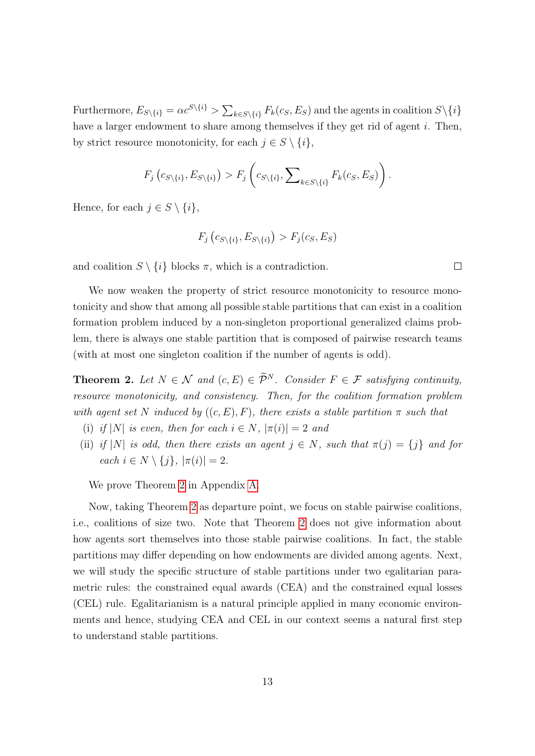Furthermore,  $E_{S\setminus\{i\}} = \alpha c^{S\setminus\{i\}} > \sum_{k \in S\setminus\{i\}} F_k(c_S, E_S)$  and the agents in coalition  $S\setminus\{i\}$ have a larger endowment to share among themselves if they get rid of agent  $i$ . Then, by strict resource monotonicity, for each  $j \in S \setminus \{i\},\$ 

$$
F_j\left(c_{S\setminus\{i\}}, E_{S\setminus\{i\}}\right) > F_j\left(c_{S\setminus\{i\}}, \sum\nolimits_{k\in S\setminus\{i\}} F_k(c_S, E_S)\right).
$$

Hence, for each  $j \in S \setminus \{i\},\$ 

$$
F_j\left(c_{S\setminus\{i\}}, E_{S\setminus\{i\}}\right) > F_j(c_S, E_S)
$$

and coalition  $S \setminus \{i\}$  blocks  $\pi$ , which is a contradiction.

We now weaken the property of strict resource monotonicity to resource monotonicity and show that among all possible stable partitions that can exist in a coalition formation problem induced by a non-singleton proportional generalized claims problem, there is always one stable partition that is composed of pairwise research teams (with at most one singleton coalition if the number of agents is odd).

<span id="page-12-0"></span>**Theorem 2.** Let  $N \in \mathcal{N}$  and  $(c, E) \in \widetilde{\mathcal{P}}^N$ . Consider  $F \in \mathcal{F}$  satisfying continuity, resource monotonicity, and consistency. Then, for the coalition formation problem with agent set N induced by  $((c, E), F)$ , there exists a stable partition  $\pi$  such that

- (i) if  $|N|$  is even, then for each  $i \in N$ ,  $|\pi(i)| = 2$  and
- (ii) if |N| is odd, then there exists an agent  $j \in N$ , such that  $\pi(j) = \{j\}$  and for each  $i \in N \setminus \{j\}, |\pi(i)| = 2.$

We prove Theorem [2](#page-12-0) in Appendix [A.](#page-27-0)

Now, taking Theorem [2](#page-12-0) as departure point, we focus on stable pairwise coalitions, i.e., coalitions of size two. Note that Theorem [2](#page-12-0) does not give information about how agents sort themselves into those stable pairwise coalitions. In fact, the stable partitions may differ depending on how endowments are divided among agents. Next, we will study the specific structure of stable partitions under two egalitarian parametric rules: the constrained equal awards (CEA) and the constrained equal losses (CEL) rule. Egalitarianism is a natural principle applied in many economic environments and hence, studying CEA and CEL in our context seems a natural first step to understand stable partitions.

 $\overline{\phantom{a}}$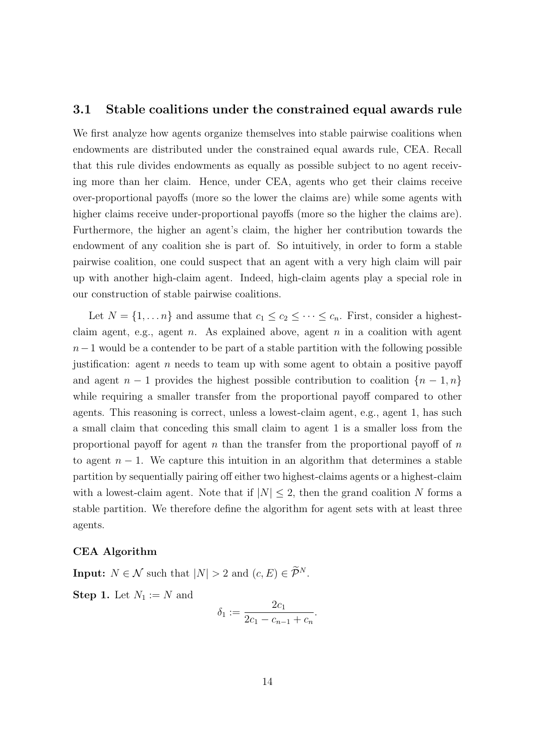#### <span id="page-13-0"></span>3.1 Stable coalitions under the constrained equal awards rule

We first analyze how agents organize themselves into stable pairwise coalitions when endowments are distributed under the constrained equal awards rule, CEA. Recall that this rule divides endowments as equally as possible subject to no agent receiving more than her claim. Hence, under CEA, agents who get their claims receive over-proportional payoffs (more so the lower the claims are) while some agents with higher claims receive under-proportional payoffs (more so the higher the claims are). Furthermore, the higher an agent's claim, the higher her contribution towards the endowment of any coalition she is part of. So intuitively, in order to form a stable pairwise coalition, one could suspect that an agent with a very high claim will pair up with another high-claim agent. Indeed, high-claim agents play a special role in our construction of stable pairwise coalitions.

Let  $N = \{1, ..., n\}$  and assume that  $c_1 \leq c_2 \leq \cdots \leq c_n$ . First, consider a highestclaim agent, e.g., agent *n*. As explained above, agent *n* in a coalition with agent  $n-1$  would be a contender to be part of a stable partition with the following possible justification: agent  $n$  needs to team up with some agent to obtain a positive payoff and agent  $n-1$  provides the highest possible contribution to coalition  $\{n-1,n\}$ while requiring a smaller transfer from the proportional payoff compared to other agents. This reasoning is correct, unless a lowest-claim agent, e.g., agent 1, has such a small claim that conceding this small claim to agent 1 is a smaller loss from the proportional payoff for agent  $n$  than the transfer from the proportional payoff of  $n$ to agent  $n-1$ . We capture this intuition in an algorithm that determines a stable partition by sequentially pairing off either two highest-claims agents or a highest-claim with a lowest-claim agent. Note that if  $|N| \leq 2$ , then the grand coalition N forms a stable partition. We therefore define the algorithm for agent sets with at least three agents.

#### CEA Algorithm

**Input:**  $N \in \mathcal{N}$  such that  $|N| > 2$  and  $(c, E) \in \widetilde{\mathcal{P}}^N$ . **Step 1.** Let  $N_1 := N$  and

$$
\delta_1 := \frac{2c_1}{2c_1 - c_{n-1} + c_n}.
$$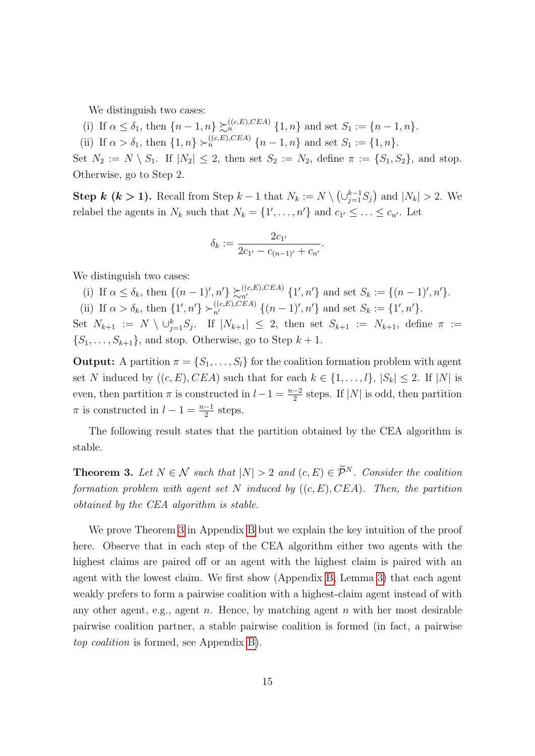We distinguish two cases:

- (i) If  $\alpha \leq \delta_1$ , then  $\{n-1,n\} \succsim_{n}^{((c,E),CEA)} \{1,n\}$  and set  $S_1 := \{n-1,n\}.$
- (ii) If  $\alpha > \delta_1$ , then  $\{1, n\} \succ_n^{((c,E),CEA)} \{n-1, n\}$  and set  $S_1 := \{1, n\}.$

Set  $N_2 := N \setminus S_1$ . If  $|N_2| \leq 2$ , then set  $S_2 := N_2$ , define  $\pi := \{S_1, S_2\}$ , and stop. Otherwise, go to Step 2.

**Step k (k > 1).** Recall from Step  $k-1$  that  $N_k := N \setminus (\bigcup_{j=1}^{k-1} S_j)$  and  $|N_k| > 2$ . We relabel the agents in  $N_k$  such that  $N_k = \{1', \ldots, n'\}$  and  $c_{1'} \leq \ldots \leq c_{n'}$ . Let

$$
\delta_k := \frac{2c_{1'}}{2c_{1'} - c_{(n-1)'} + c_{n'}}.
$$

We distinguish two cases:

- (i) If  $\alpha \leq \delta_k$ , then  $\{(n-1)', n'\}\sum_{n'}^{((c,E),CEA)} \{1', n'\}$  and set  $S_k := \{(n-1)', n'\}.$
- (ii) If  $\alpha > \delta_k$ , then  $\{1', n'\} \succ_{n'}^{((c, E), CEA)} \{(n-1)', n'\}$  and set  $S_k := \{1', n'\}.$

Set  $N_{k+1} := N \setminus \cup_{j=1}^k S_j$ . If  $|N_{k+1}| \leq 2$ , then set  $S_{k+1} := N_{k+1}$ , define  $\pi :=$  $\{S_1, \ldots, S_{k+1}\}\$ , and stop. Otherwise, go to Step  $k+1$ .

**Output:** A partition  $\pi = \{S_1, \ldots, S_l\}$  for the coalition formation problem with agent set N induced by  $((c, E), CEA)$  such that for each  $k \in \{1, ..., l\}, |S_k| \leq 2$ . If  $|N|$  is even, then partition  $\pi$  is constructed in  $l-1 = \frac{n-2}{2}$  steps. If  $|N|$  is odd, then partition  $\pi$  is constructed in  $l-1=\frac{n-1}{2}$  steps.

The following result states that the partition obtained by the CEA algorithm is stable.

<span id="page-14-0"></span>**Theorem 3.** Let  $N \in \mathcal{N}$  such that  $|N| > 2$  and  $(c, E) \in \widetilde{\mathcal{P}}^N$ . Consider the coalition formation problem with agent set N induced by  $((c, E), CEA)$ . Then, the partition obtained by the CEA algorithm is stable.

We prove Theorem [3](#page-14-0) in Appendix [B](#page-30-0) but we explain the key intuition of the proof here. Observe that in each step of the CEA algorithm either two agents with the highest claims are paired off or an agent with the highest claim is paired with an agent with the lowest claim. We first show (Appendix [B,](#page-30-0) Lemma [3\)](#page-30-1) that each agent weakly prefers to form a pairwise coalition with a highest-claim agent instead of with any other agent, e.g., agent  $n$ . Hence, by matching agent  $n$  with her most desirable pairwise coalition partner, a stable pairwise coalition is formed (in fact, a pairwise top coalition is formed, see Appendix [B\)](#page-30-0).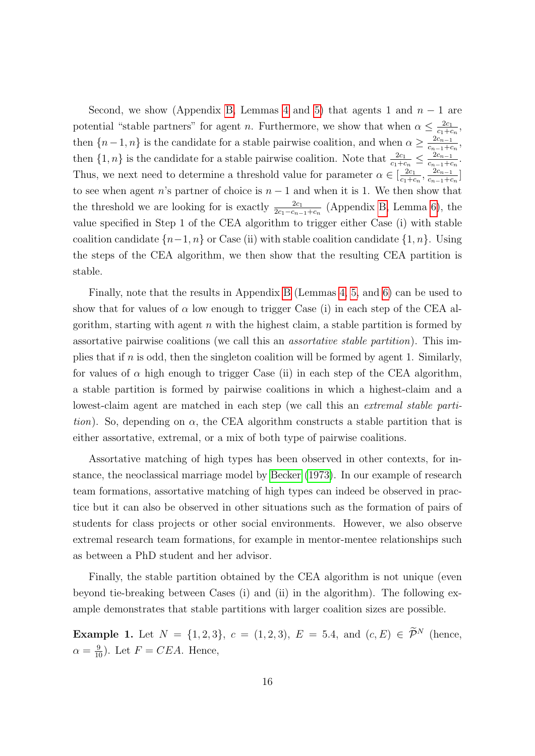Second, we show (Appendix [B,](#page-30-0) Lemmas [4](#page-31-0) and [5\)](#page-33-0) that agents 1 and  $n-1$  are potential "stable partners" for agent *n*. Furthermore, we show that when  $\alpha \leq \frac{2c_1}{c_1+\alpha}$  $c_1+c_n$ , then  $\{n-1,n\}$  is the candidate for a stable pairwise coalition, and when  $\alpha \geq \frac{2c_{n-1}}{c_{n-1}+c}$  $\frac{2c_{n-1}}{c_{n-1}+c_n},$ then  $\{1,n\}$  is the candidate for a stable pairwise coalition. Note that  $\frac{2c_1}{c_1+c_n} \leq \frac{2c_{n-1}}{c_{n-1}+c_n}$  $\frac{2c_{n-1}}{c_{n-1}+c_n}.$ Thus, we next need to determine a threshold value for parameter  $\alpha \in \left[\frac{2c_1}{c_1+c_2}\right]$  $\frac{2c_1}{c_1+c_n}, \frac{2c_{n-1}}{c_{n-1}+c_n}$  $\frac{2c_{n-1}}{c_{n-1}+c_n}$ to see when agent n's partner of choice is  $n - 1$  and when it is 1. We then show that the threshold we are looking for is exactly  $\frac{2c_1}{2c_1-c_{n-1}+c_n}$  (Appendix [B,](#page-30-0) Lemma [6\)](#page-34-0), the value specified in Step 1 of the CEA algorithm to trigger either Case (i) with stable coalition candidate  $\{n-1, n\}$  or Case (ii) with stable coalition candidate  $\{1, n\}$ . Using the steps of the CEA algorithm, we then show that the resulting CEA partition is stable.

Finally, note that the results in Appendix [B](#page-30-0) (Lemmas [4,](#page-31-0) [5,](#page-33-0) and [6\)](#page-34-0) can be used to show that for values of  $\alpha$  low enough to trigger Case (i) in each step of the CEA algorithm, starting with agent  $n$  with the highest claim, a stable partition is formed by assortative pairwise coalitions (we call this an assortative stable partition). This implies that if n is odd, then the singleton coalition will be formed by agent 1. Similarly, for values of  $\alpha$  high enough to trigger Case (ii) in each step of the CEA algorithm, a stable partition is formed by pairwise coalitions in which a highest-claim and a lowest-claim agent are matched in each step (we call this an *extremal stable parti*tion). So, depending on  $\alpha$ , the CEA algorithm constructs a stable partition that is either assortative, extremal, or a mix of both type of pairwise coalitions.

Assortative matching of high types has been observed in other contexts, for instance, the neoclassical marriage model by [Becker](#page-58-2) [\(1973\)](#page-58-2). In our example of research team formations, assortative matching of high types can indeed be observed in practice but it can also be observed in other situations such as the formation of pairs of students for class projects or other social environments. However, we also observe extremal research team formations, for example in mentor-mentee relationships such as between a PhD student and her advisor.

Finally, the stable partition obtained by the CEA algorithm is not unique (even beyond tie-breaking between Cases (i) and (ii) in the algorithm). The following example demonstrates that stable partitions with larger coalition sizes are possible.

**Example 1.** Let  $N = \{1, 2, 3\}$ ,  $c = (1, 2, 3)$ ,  $E = 5.4$ , and  $(c, E) \in \tilde{\mathcal{P}}^N$  (hence,  $\alpha = \frac{9}{10}$ . Let  $F = CEA$ . Hence,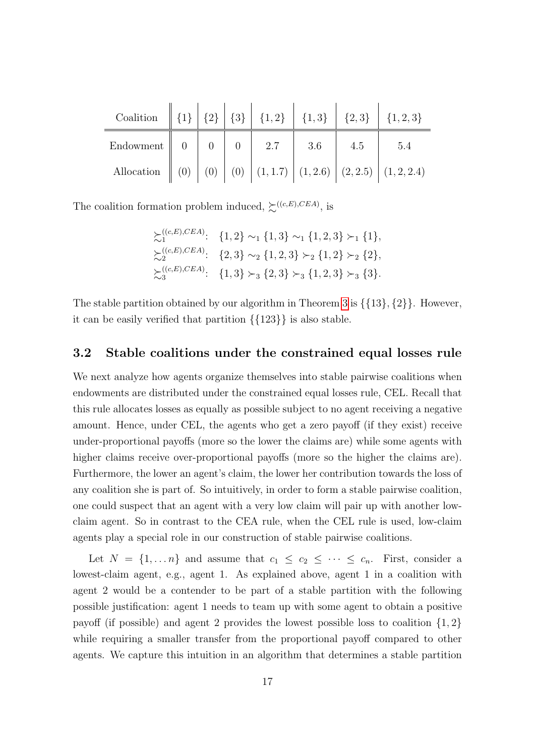| Coalition $\  \{1\} \  \{2\} \  \{3\} \  \{1,2\} \  \{1,3\} \  \{2,3\} \  \{1,2,3\}$             |  |  |        |     |     |
|--------------------------------------------------------------------------------------------------|--|--|--------|-----|-----|
| Endowment $\begin{array}{ c c c c c c } \hline 0 & 0 & 0 & 0 & 2.7 \ \hline \end{array}$         |  |  | $-3.6$ | 4.5 | 5.4 |
| Allocation $\ $ (0) $\ $ (0) $\ $ (0) $\ $ (1, 1.7) $\ $ (1, 2.6) $\ $ (2, 2.5) $\ $ (1, 2, 2.4) |  |  |        |     |     |

The coalition formation problem induced,  $\succsim^{((c,E),CEA)}$ , is

$$
\sum_{i=1}^{(c,E),CEA} \{1,2\} \sim_1 \{1,3\} \sim_1 \{1,2,3\} \succ_1 \{1\},
$$
  
\n
$$
\sum_{i=2}^{(c,E),CEA} \{2,3\} \sim_2 \{1,2,3\} \succ_2 \{1,2\} \succ_2 \{2\},
$$
  
\n
$$
\sum_{i=3}^{(c,E),CEA} \{1,3\} \succ_3 \{2,3\} \succ_3 \{1,2,3\} \succ_3 \{3\}.
$$

The stable partition obtained by our algorithm in Theorem [3](#page-14-0) is  $\{\{13\},\{2\}\}\$ . However, it can be easily verified that partition {{123}} is also stable.

#### <span id="page-16-0"></span>3.2 Stable coalitions under the constrained equal losses rule

We next analyze how agents organize themselves into stable pairwise coalitions when endowments are distributed under the constrained equal losses rule, CEL. Recall that this rule allocates losses as equally as possible subject to no agent receiving a negative amount. Hence, under CEL, the agents who get a zero payoff (if they exist) receive under-proportional payoffs (more so the lower the claims are) while some agents with higher claims receive over-proportional payoffs (more so the higher the claims are). Furthermore, the lower an agent's claim, the lower her contribution towards the loss of any coalition she is part of. So intuitively, in order to form a stable pairwise coalition, one could suspect that an agent with a very low claim will pair up with another lowclaim agent. So in contrast to the CEA rule, when the CEL rule is used, low-claim agents play a special role in our construction of stable pairwise coalitions.

Let  $N = \{1, \ldots n\}$  and assume that  $c_1 \leq c_2 \leq \cdots \leq c_n$ . First, consider a lowest-claim agent, e.g., agent 1. As explained above, agent 1 in a coalition with agent 2 would be a contender to be part of a stable partition with the following possible justification: agent 1 needs to team up with some agent to obtain a positive payoff (if possible) and agent 2 provides the lowest possible loss to coalition  $\{1,2\}$ while requiring a smaller transfer from the proportional payoff compared to other agents. We capture this intuition in an algorithm that determines a stable partition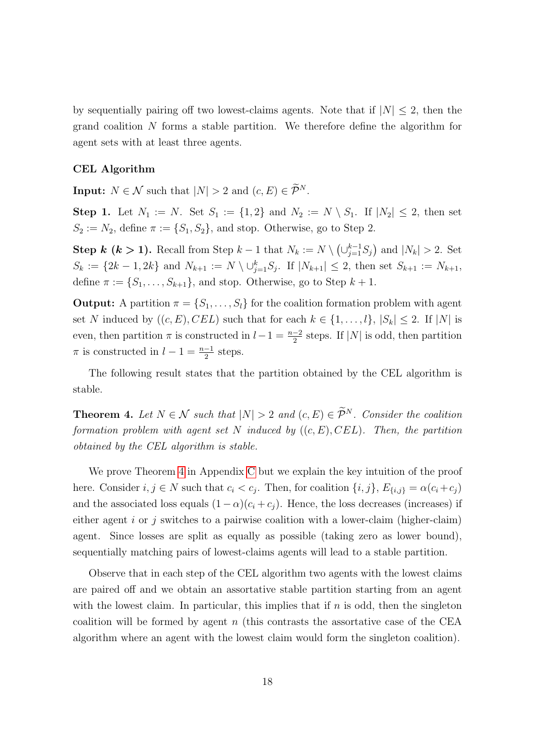by sequentially pairing off two lowest-claims agents. Note that if  $|N| \leq 2$ , then the grand coalition N forms a stable partition. We therefore define the algorithm for agent sets with at least three agents.

#### CEL Algorithm

**Input:**  $N \in \mathcal{N}$  such that  $|N| > 2$  and  $(c, E) \in \widetilde{\mathcal{P}}^N$ .

**Step 1.** Let  $N_1 := N$ . Set  $S_1 := \{1,2\}$  and  $N_2 := N \setminus S_1$ . If  $|N_2| \leq 2$ , then set  $S_2 := N_2$ , define  $\pi := \{S_1, S_2\}$ , and stop. Otherwise, go to Step 2.

**Step k (k > 1).** Recall from Step  $k-1$  that  $N_k := N \setminus (\bigcup_{j=1}^{k-1} S_j)$  and  $|N_k| > 2$ . Set  $S_k := \{2k-1, 2k\}$  and  $N_{k+1} := N \setminus \cup_{j=1}^k S_j$ . If  $|N_{k+1}| \leq 2$ , then set  $S_{k+1} := N_{k+1}$ , define  $\pi := \{S_1, \ldots, S_{k+1}\}\$ , and stop. Otherwise, go to Step  $k+1$ .

**Output:** A partition  $\pi = \{S_1, \ldots, S_l\}$  for the coalition formation problem with agent set N induced by  $((c, E), CEL)$  such that for each  $k \in \{1, ..., l\}, |S_k| \leq 2$ . If  $|N|$  is even, then partition  $\pi$  is constructed in  $l-1 = \frac{n-2}{2}$  steps. If  $|N|$  is odd, then partition  $\pi$  is constructed in  $l-1=\frac{n-1}{2}$  steps.

The following result states that the partition obtained by the CEL algorithm is stable.

<span id="page-17-0"></span>**Theorem 4.** Let  $N \in \mathcal{N}$  such that  $|N| > 2$  and  $(c, E) \in \widetilde{\mathcal{P}}^N$ . Consider the coalition formation problem with agent set N induced by  $((c, E), CEL)$ . Then, the partition obtained by the CEL algorithm is stable.

We prove Theorem [4](#page-17-0) in Appendix [C](#page-38-0) but we explain the key intuition of the proof here. Consider  $i, j \in N$  such that  $c_i < c_j$ . Then, for coalition  $\{i, j\}, E_{\{i, j\}} = \alpha(c_i + c_j)$ and the associated loss equals  $(1 - \alpha)(c_i + c_j)$ . Hence, the loss decreases (increases) if either agent i or j switches to a pairwise coalition with a lower-claim (higher-claim) agent. Since losses are split as equally as possible (taking zero as lower bound), sequentially matching pairs of lowest-claims agents will lead to a stable partition.

Observe that in each step of the CEL algorithm two agents with the lowest claims are paired off and we obtain an assortative stable partition starting from an agent with the lowest claim. In particular, this implies that if  $n$  is odd, then the singleton coalition will be formed by agent  $n$  (this contrasts the assortative case of the CEA algorithm where an agent with the lowest claim would form the singleton coalition).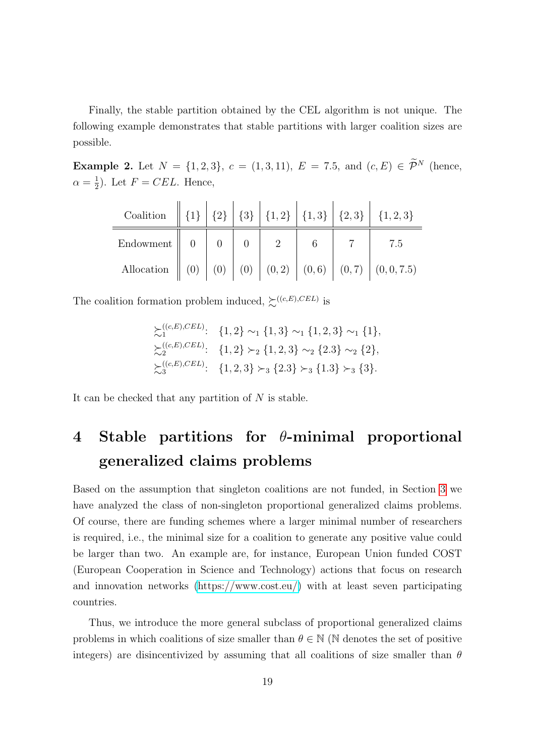Finally, the stable partition obtained by the CEL algorithm is not unique. The following example demonstrates that stable partitions with larger coalition sizes are possible.

Example 2. Let  $N = \{1, 2, 3\}$ ,  $c = (1, 3, 11)$ ,  $E = 7.5$ , and  $(c, E) \in \tilde{\mathcal{P}}^N$  (hence,  $\alpha = \frac{1}{2}$  $(\frac{1}{2})$ . Let  $F = CEL$ . Hence,

| Coalition $\  \{1\} \  \{2\} \  \{3\} \  \{1,2\} \  \{1,3\} \  \{2,3\} \  \{1,2,3\}$ |  |  |  |             |
|--------------------------------------------------------------------------------------|--|--|--|-------------|
|                                                                                      |  |  |  | $\vert$ 7.5 |
| Allocation $(0) (0) (0) (0) (0, 2) (0, 6) (0, 7) (0, 0, 7.5)$                        |  |  |  |             |

The coalition formation problem induced,  $\sum_{k=1}^{N} (c_{k}) C E L$  is

$$
\sum_{i=1}^{((c,E),CEL)}: \{1,2\} \sim_1 \{1,3\} \sim_1 \{1,2,3\} \sim_1 \{1\},
$$
  

$$
\sum_{i=2}^{((c,E),CEL)}: \{1,2\} \succ_2 \{1,2,3\} \sim_2 \{2.3\} \sim_2 \{2\},
$$
  

$$
\sum_{i=3}^{((c,E),CEL)}: \{1,2,3\} \succ_3 \{2.3\} \succ_3 \{1.3\} \succ_3 \{3\}.
$$

It can be checked that any partition of  $N$  is stable.

## <span id="page-18-0"></span>4 Stable partitions for  $\theta$ -minimal proportional generalized claims problems

Based on the assumption that singleton coalitions are not funded, in Section [3](#page-9-0) we have analyzed the class of non-singleton proportional generalized claims problems. Of course, there are funding schemes where a larger minimal number of researchers is required, i.e., the minimal size for a coalition to generate any positive value could be larger than two. An example are, for instance, European Union funded COST (European Cooperation in Science and Technology) actions that focus on research and innovation networks [\(https://www.cost.eu/\)](https://www.cost.eu/) with at least seven participating countries.

Thus, we introduce the more general subclass of proportional generalized claims problems in which coalitions of size smaller than  $\theta \in \mathbb{N}$  (N denotes the set of positive integers) are disincentivized by assuming that all coalitions of size smaller than  $\theta$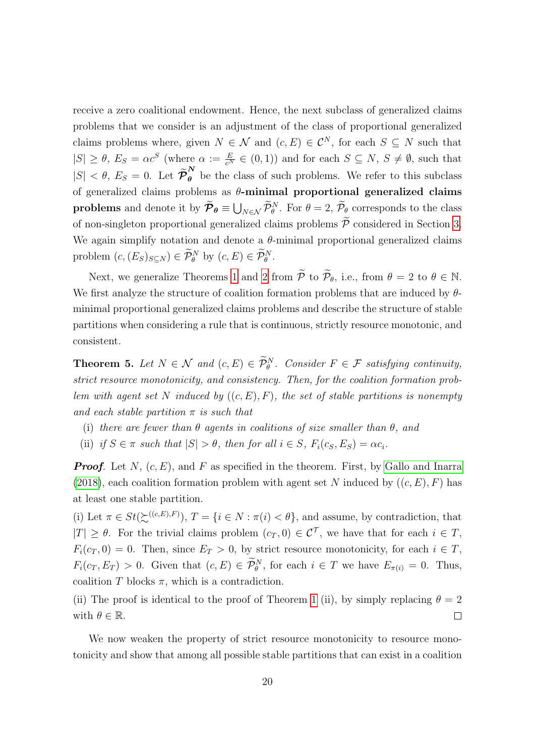receive a zero coalitional endowment. Hence, the next subclass of generalized claims problems that we consider is an adjustment of the class of proportional generalized claims problems where, given  $N \in \mathcal{N}$  and  $(c, E) \in \mathcal{C}^N$ , for each  $S \subseteq N$  such that  $|S| \geq \theta$ ,  $E_S = \alpha c^S$  (where  $\alpha := \frac{E}{c^N} \in (0,1)$ ) and for each  $S \subseteq N$ ,  $S \neq \emptyset$ , such that  $|S| < \theta$ ,  $E_S = 0$ . Let  $\tilde{\mathcal{P}}_{\theta}^N$  be the class of such problems. We refer to this subclass of generalized claims problems as  $\theta$ -minimal proportional generalized claims problems and denote it by  $\mathcal{P}_{\theta} \equiv \bigcup_{N \in \mathcal{N}} \mathcal{P}_{\theta}^{N}$ . For  $\theta = 2$ ,  $\mathcal{P}_{\theta}$  corresponds to the class of non-singleton proportional generalized claims problems  $\widetilde{\mathcal{P}}$  considered in Section [3.](#page-9-0) We again simplify notation and denote a  $\theta$ -minimal proportional generalized claims problem  $(c, (E_S)_{S \subseteq N}) \in \mathcal{P}_{\theta}^N$  by  $(c, E) \in \mathcal{P}_{\theta}^N$ .

Next, we generalize Theorems [1](#page-11-0) and [2](#page-12-0) from  $\widetilde{\mathcal{P}}$  to  $\widetilde{\mathcal{P}}_{\theta}$ , i.e., from  $\theta = 2$  to  $\theta \in \mathbb{N}$ . We first analyze the structure of coalition formation problems that are induced by  $\theta$ minimal proportional generalized claims problems and describe the structure of stable partitions when considering a rule that is continuous, strictly resource monotonic, and consistent.

<span id="page-19-0"></span>**Theorem 5.** Let  $N \in \mathcal{N}$  and  $(c, E) \in \mathcal{P}_{\theta}^{N}$ . Consider  $F \in \mathcal{F}$  satisfying continuity, strict resource monotonicity, and consistency. Then, for the coalition formation problem with agent set N induced by  $((c, E), F)$ , the set of stable partitions is nonempty and each stable partition  $\pi$  is such that

- (i) there are fewer than  $\theta$  agents in coalitions of size smaller than  $\theta$ , and
- (ii) if  $S \in \pi$  such that  $|S| > \theta$ , then for all  $i \in S$ ,  $F_i(c_S, E_S) = \alpha c_i$ .

**Proof.** Let N,  $(c, E)$ , and F as specified in the theorem. First, by [Gallo and Inarra](#page-59-0) [\(2018\)](#page-59-0), each coalition formation problem with agent set N induced by  $((c, E), F)$  has at least one stable partition.

(i) Let  $\pi \in St(\mathcal{L}^{((c,E),F)})$ ,  $T = \{i \in N : \pi(i) < \theta\}$ , and assume, by contradiction, that  $|T| \geq \theta$ . For the trivial claims problem  $(c_T, 0) \in \mathcal{C}^T$ , we have that for each  $i \in T$ ,  $F_i(c_T, 0) = 0$ . Then, since  $E_T > 0$ , by strict resource monotonicity, for each  $i \in T$ ,  $F_i(c_T, E_T) > 0$ . Given that  $(c, E) \in \mathcal{P}_{\theta}^N$ , for each  $i \in T$  we have  $E_{\pi(i)} = 0$ . Thus, coalition T blocks  $\pi$ , which is a contradiction.

(ii) The proof is identical to the proof of Theorem [1](#page-11-0) (ii), by simply replacing  $\theta = 2$ with  $\theta \in \mathbb{R}$ .  $\Box$ 

We now weaken the property of strict resource monotonicity to resource monotonicity and show that among all possible stable partitions that can exist in a coalition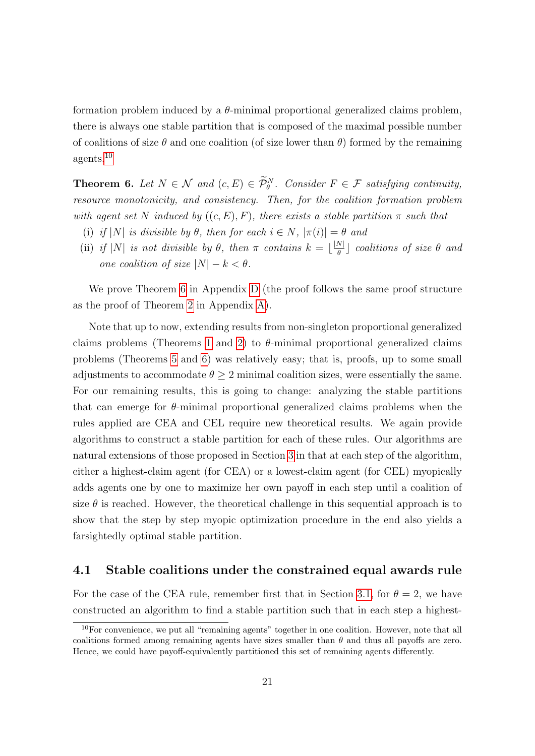formation problem induced by a  $\theta$ -minimal proportional generalized claims problem, there is always one stable partition that is composed of the maximal possible number of coalitions of size  $\theta$  and one coalition (of size lower than  $\theta$ ) formed by the remaining agents.[10](#page-20-2)

<span id="page-20-0"></span>**Theorem 6.** Let  $N \in \mathcal{N}$  and  $(c, E) \in \tilde{\mathcal{P}}_{\theta}^N$ . Consider  $F \in \mathcal{F}$  satisfying continuity, resource monotonicity, and consistency. Then, for the coalition formation problem with agent set N induced by  $((c, E), F)$ , there exists a stable partition  $\pi$  such that

- (i) if  $|N|$  is divisible by  $\theta$ , then for each  $i \in N$ ,  $|\pi(i)| = \theta$  and
- (ii) if |N| is not divisible by  $\theta$ , then  $\pi$  contains  $k = \lfloor \frac{|N|}{\theta} \rfloor$  $\frac{N}{\theta}$ ] coalitions of size  $\theta$  and one coalition of size  $|N| - k < \theta$ .

We prove Theorem [6](#page-20-0) in Appendix [D](#page-41-0) (the proof follows the same proof structure as the proof of Theorem [2](#page-12-0) in Appendix [A\)](#page-27-0).

Note that up to now, extending results from non-singleton proportional generalized claims problems (Theorems [1](#page-11-0) and [2\)](#page-12-0) to  $\theta$ -minimal proportional generalized claims problems (Theorems [5](#page-19-0) and [6\)](#page-20-0) was relatively easy; that is, proofs, up to some small adjustments to accommodate  $\theta \geq 2$  minimal coalition sizes, were essentially the same. For our remaining results, this is going to change: analyzing the stable partitions that can emerge for  $\theta$ -minimal proportional generalized claims problems when the rules applied are CEA and CEL require new theoretical results. We again provide algorithms to construct a stable partition for each of these rules. Our algorithms are natural extensions of those proposed in Section [3](#page-9-0) in that at each step of the algorithm, either a highest-claim agent (for CEA) or a lowest-claim agent (for CEL) myopically adds agents one by one to maximize her own payoff in each step until a coalition of size  $\theta$  is reached. However, the theoretical challenge in this sequential approach is to show that the step by step myopic optimization procedure in the end also yields a farsightedly optimal stable partition.

#### <span id="page-20-1"></span>4.1 Stable coalitions under the constrained equal awards rule

For the case of the CEA rule, remember first that in Section [3.1,](#page-13-0) for  $\theta = 2$ , we have constructed an algorithm to find a stable partition such that in each step a highest-

<span id="page-20-2"></span><sup>10</sup>For convenience, we put all "remaining agents" together in one coalition. However, note that all coalitions formed among remaining agents have sizes smaller than  $\theta$  and thus all payoffs are zero. Hence, we could have payoff-equivalently partitioned this set of remaining agents differently.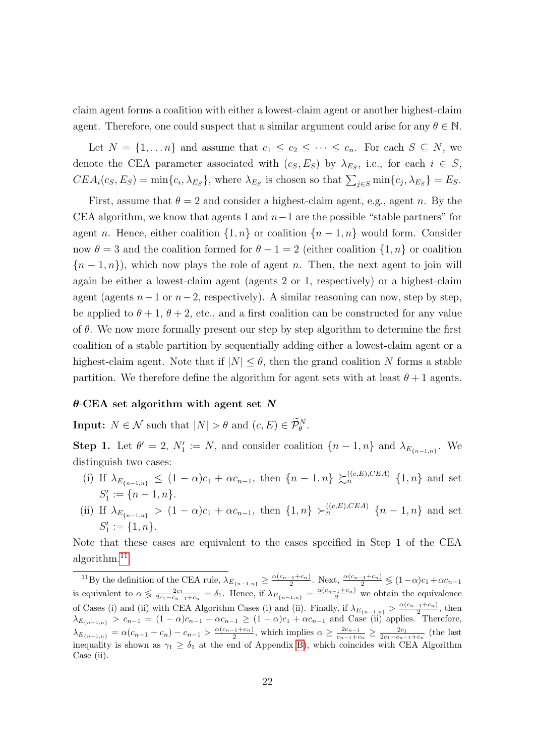claim agent forms a coalition with either a lowest-claim agent or another highest-claim agent. Therefore, one could suspect that a similar argument could arise for any  $\theta \in \mathbb{N}$ .

Let  $N = \{1, ..., n\}$  and assume that  $c_1 \leq c_2 \leq ... \leq c_n$ . For each  $S \subseteq N$ , we denote the CEA parameter associated with  $(c_S, E_S)$  by  $\lambda_{E_S}$ , i.e., for each  $i \in S$ ,  $CEA_i(c_S, E_S) = \min\{c_i, \lambda_{E_S}\}\$ , where  $\lambda_{E_S}$  is chosen so that  $\sum_{j \in S} \min\{c_j, \lambda_{E_S}\} = E_S$ .

First, assume that  $\theta = 2$  and consider a highest-claim agent, e.g., agent n. By the CEA algorithm, we know that agents 1 and  $n-1$  are the possible "stable partners" for agent n. Hence, either coalition  $\{1,n\}$  or coalition  $\{n-1,n\}$  would form. Consider now  $\theta = 3$  and the coalition formed for  $\theta - 1 = 2$  (either coalition  $\{1, n\}$  or coalition  ${n-1,n}$ , which now plays the role of agent n. Then, the next agent to join will again be either a lowest-claim agent (agents 2 or 1, respectively) or a highest-claim agent (agents  $n-1$  or  $n-2$ , respectively). A similar reasoning can now, step by step, be applied to  $\theta + 1$ ,  $\theta + 2$ , etc., and a first coalition can be constructed for any value of  $\theta$ . We now more formally present our step by step algorithm to determine the first coalition of a stable partition by sequentially adding either a lowest-claim agent or a highest-claim agent. Note that if  $|N| \leq \theta$ , then the grand coalition N forms a stable partition. We therefore define the algorithm for agent sets with at least  $\theta + 1$  agents.

#### $\theta$ -CEA set algorithm with agent set N

**Input:**  $N \in \mathcal{N}$  such that  $|N| > \theta$  and  $(c, E) \in \widetilde{\mathcal{P}}_{\theta}^{N}$ .

**Step 1.** Let  $\theta' = 2$ ,  $N_1' := N$ , and consider coalition  $\{n-1,n\}$  and  $\lambda_{E_{\{n-1,n\}}}$ . We distinguish two cases:

- (i) If  $\lambda_{E_{\{n-1,n\}}} \leq (1-\alpha)c_1 + \alpha c_{n-1}$ , then  $\{n-1,n\} \succ_{n}^{((c,E),CEA)} \{1,n\}$  and set  $S'_1 := \{n-1, n\}.$
- (ii) If  $\lambda_{E_{n-1,n}} > (1-\alpha)c_1 + \alpha c_{n-1}$ , then  $\{1,n\} > \binom{(c,E),CEA}{n}$   $\{n-1,n\}$  and set  $S'_1 := \{1, n\}.$

Note that these cases are equivalent to the cases specified in Step 1 of the CEA algorithm.[11](#page-21-0)

<span id="page-21-0"></span><sup>&</sup>lt;sup>11</sup>By the definition of the CEA rule,  $\lambda_{E_{\{n-1,n\}}} \geq \frac{\alpha(c_{n-1}+c_n)}{2}$ . Next,  $\frac{\alpha(c_{n-1}+c_n)}{2} \lessgtr (1-\alpha)c_1 + \alpha c_{n-1}$ is equivalent to  $\alpha \leq \frac{2c_1}{2c_1-c_{n-1}+c_n} = \delta_1$ . Hence, if  $\lambda_{E_{n-1,n}} = \frac{\alpha(c_{n-1}+c_n)}{2}$  we obtain the equivalence of Cases (i) and (ii) with CEA Algorithm Cases (i) and (ii). Finally, if  $\lambda_{E_{n-1,n}} > \frac{\alpha(c_{n-1}+c_n)}{2}$ , then  $\lambda_{E_{\{n-1,n\}}} > c_{n-1} = (1-\alpha)c_{n-1} + \alpha c_{n-1} \ge (1-\alpha)c_1 + \alpha c_{n-1}$  and Case (ii) applies. Therefore,  $\lambda_{E_{n-1,n}} = \alpha(c_{n-1} + c_n) - c_{n-1} > \frac{\alpha(c_{n-1} + c_n)}{2}$ , which implies  $\alpha \geq \frac{2c_{n-1}}{c_{n-1} + c_n}$  $\frac{2c_{n-1}}{c_{n-1}+c_n}$  ≥  $\frac{2c_1}{2c_1-c_{n-1}+c_n}$  (the last inequality is shown as  $\gamma_1 \geq \delta_1$  at the end of Appendix [B\)](#page-30-0), which coincides with CEA Algorithm Case (ii).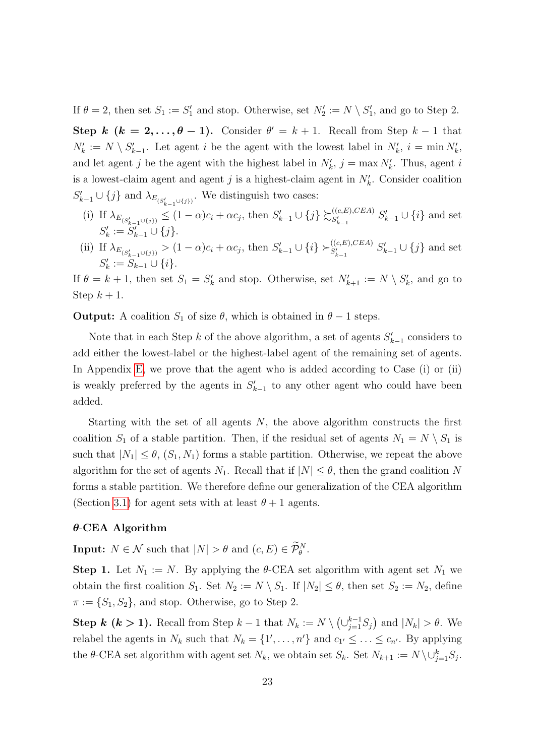If  $\theta = 2$ , then set  $S_1 := S'_1$  and stop. Otherwise, set  $N'_2 := N \setminus S'_1$ , and go to Step 2.

Step k  $(k = 2, ..., \theta - 1)$ . Consider  $\theta' = k + 1$ . Recall from Step  $k - 1$  that  $N'_k := N \setminus S'_{k-1}$ . Let agent i be the agent with the lowest label in  $N'_k$ ,  $i = \min N'_k$ , and let agent j be the agent with the highest label in  $N'_k$ ,  $j = \max N'_k$ . Thus, agent i is a lowest-claim agent and agent j is a highest-claim agent in  $N'_{k}$ . Consider coalition  $S'_{k-1} \cup \{j\}$  and  $\lambda_{E_{(S'_{k-1} \cup \{j\})}}$ . We distinguish two cases:  $k-1$ 

- (i) If  $\lambda_{E_{(S'_{k-1}\cup\{j\})}} \leq (1-\alpha)c_i + \alpha c_j$ , then  $S'_{k-1}\cup\{j\} \succsim_{S'_{k-1}}^{((c,E),CEA)}$  $S'_{k-1}$   $S'_{k-1} \cup \{i\}$  and set  $S'_k := S'_{k-1} \cup \{j\}.$
- (ii) If  $\lambda_{E_{(S'_{k-1}\cup\{j\})}} > (1-\alpha)c_i + \alpha c_j$ , then  $S'_{k-1} \cup \{i\} \succ_{S'_{k-1}}^{((c,E),CEA)} S'_{k-1} \cup \{j\}$  and set  $S'_k := S_{k-1} \cup \{i\}.$

If  $\theta = k + 1$ , then set  $S_1 = S'_k$  and stop. Otherwise, set  $N'_{k+1} := N \setminus S'_k$ , and go to Step  $k+1$ .

**Output:** A coalition  $S_1$  of size  $\theta$ , which is obtained in  $\theta - 1$  steps.

Note that in each Step k of the above algorithm, a set of agents  $S'_{k-1}$  considers to add either the lowest-label or the highest-label agent of the remaining set of agents. In Appendix [E,](#page-43-0) we prove that the agent who is added according to Case (i) or (ii) is weakly preferred by the agents in  $S'_{k-1}$  to any other agent who could have been added.

Starting with the set of all agents  $N$ , the above algorithm constructs the first coalition  $S_1$  of a stable partition. Then, if the residual set of agents  $N_1 = N \setminus S_1$  is such that  $|N_1| \leq \theta$ ,  $(S_1, N_1)$  forms a stable partition. Otherwise, we repeat the above algorithm for the set of agents  $N_1$ . Recall that if  $|N| \leq \theta$ , then the grand coalition N forms a stable partition. We therefore define our generalization of the CEA algorithm (Section [3.1\)](#page-13-0) for agent sets with at least  $\theta + 1$  agents.

#### $\theta$ -CEA Algorithm

**Input:**  $N \in \mathcal{N}$  such that  $|N| > \theta$  and  $(c, E) \in \mathcal{P}_{\theta}^{N}$ .

**Step 1.** Let  $N_1 := N$ . By applying the  $\theta$ -CEA set algorithm with agent set  $N_1$  we obtain the first coalition  $S_1$ . Set  $N_2 := N \setminus S_1$ . If  $|N_2| \le \theta$ , then set  $S_2 := N_2$ , define  $\pi := \{S_1, S_2\}$ , and stop. Otherwise, go to Step 2.

**Step k (k > 1).** Recall from Step  $k-1$  that  $N_k := N \setminus (\bigcup_{j=1}^{k-1} S_j)$  and  $|N_k| > \theta$ . We relabel the agents in  $N_k$  such that  $N_k = \{1', \ldots, n'\}$  and  $c_{1'} \leq \ldots \leq c_{n'}$ . By applying the  $\theta$ -CEA set algorithm with agent set  $N_k$ , we obtain set  $S_k$ . Set  $N_{k+1} := N \setminus \cup_{j=1}^k S_j$ .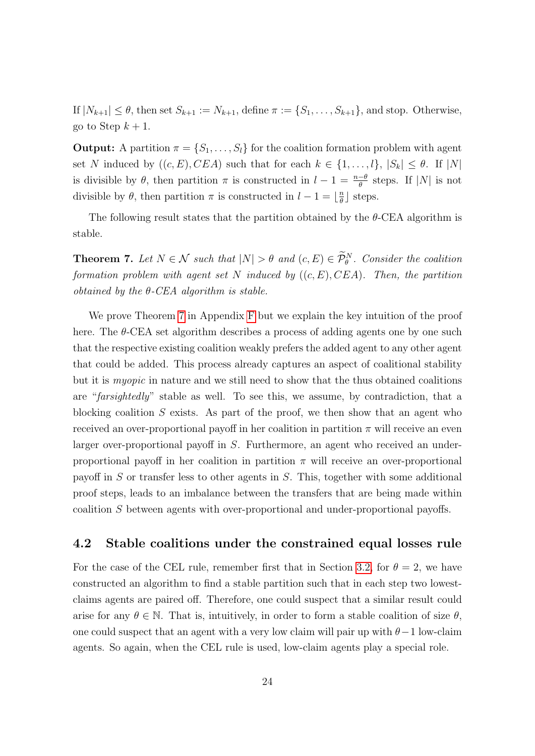If  $|N_{k+1}| \leq \theta$ , then set  $S_{k+1} := N_{k+1}$ , define  $\pi := \{S_1, \ldots, S_{k+1}\}$ , and stop. Otherwise, go to Step  $k + 1$ .

**Output:** A partition  $\pi = \{S_1, \ldots, S_l\}$  for the coalition formation problem with agent set N induced by  $((c, E), CEA)$  such that for each  $k \in \{1, \ldots, l\}, |S_k| \leq \theta$ . If  $|N|$ is divisible by  $\theta$ , then partition  $\pi$  is constructed in  $l-1 = \frac{n-\theta}{\theta}$  steps. If |N| is not divisible by  $\theta$ , then partition  $\pi$  is constructed in  $l-1=\lfloor \frac{n}{\theta} \rfloor$  $\frac{n}{\theta}$  steps.

The following result states that the partition obtained by the  $\theta$ -CEA algorithm is stable.

<span id="page-23-0"></span>**Theorem 7.** Let  $N \in \mathcal{N}$  such that  $|N| > \theta$  and  $(c, E) \in \mathcal{P}_{\theta}^{N}$ . Consider the coalition formation problem with agent set N induced by  $((c, E), CEA)$ . Then, the partition obtained by the  $\theta$ -CEA algorithm is stable.

We prove Theorem [7](#page-23-0) in Appendix [F](#page-47-0) but we explain the key intuition of the proof here. The  $\theta$ -CEA set algorithm describes a process of adding agents one by one such that the respective existing coalition weakly prefers the added agent to any other agent that could be added. This process already captures an aspect of coalitional stability but it is myopic in nature and we still need to show that the thus obtained coalitions are "farsightedly" stable as well. To see this, we assume, by contradiction, that a blocking coalition  $S$  exists. As part of the proof, we then show that an agent who received an over-proportional payoff in her coalition in partition  $\pi$  will receive an even larger over-proportional payoff in S. Furthermore, an agent who received an underproportional payoff in her coalition in partition  $\pi$  will receive an over-proportional payoff in S or transfer less to other agents in S. This, together with some additional proof steps, leads to an imbalance between the transfers that are being made within coalition S between agents with over-proportional and under-proportional payoffs.

#### <span id="page-23-1"></span>4.2 Stable coalitions under the constrained equal losses rule

For the case of the CEL rule, remember first that in Section [3.2,](#page-16-0) for  $\theta = 2$ , we have constructed an algorithm to find a stable partition such that in each step two lowestclaims agents are paired off. Therefore, one could suspect that a similar result could arise for any  $\theta \in \mathbb{N}$ . That is, intuitively, in order to form a stable coalition of size  $\theta$ , one could suspect that an agent with a very low claim will pair up with  $\theta-1$  low-claim agents. So again, when the CEL rule is used, low-claim agents play a special role.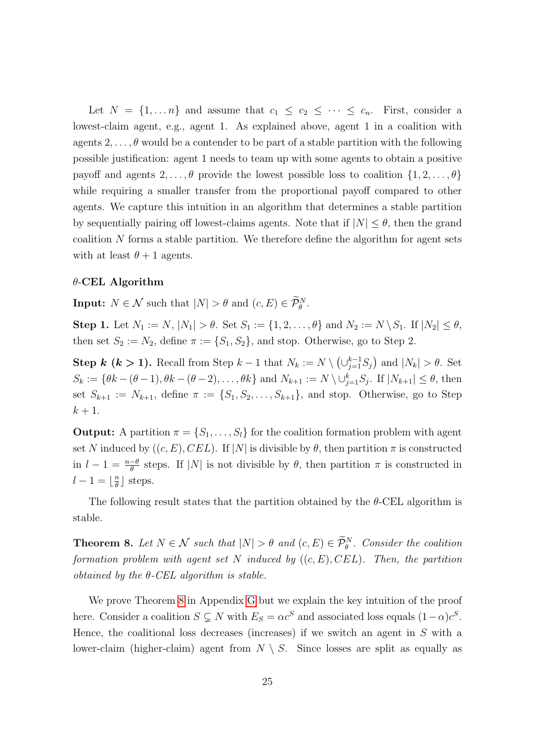Let  $N = \{1, \ldots n\}$  and assume that  $c_1 \leq c_2 \leq \cdots \leq c_n$ . First, consider a lowest-claim agent, e.g., agent 1. As explained above, agent 1 in a coalition with agents  $2, \ldots, \theta$  would be a contender to be part of a stable partition with the following possible justification: agent 1 needs to team up with some agents to obtain a positive payoff and agents  $2, \ldots, \theta$  provide the lowest possible loss to coalition  $\{1, 2, \ldots, \theta\}$ while requiring a smaller transfer from the proportional payoff compared to other agents. We capture this intuition in an algorithm that determines a stable partition by sequentially pairing off lowest-claims agents. Note that if  $|N| \leq \theta$ , then the grand coalition N forms a stable partition. We therefore define the algorithm for agent sets with at least  $\theta + 1$  agents.

#### $\theta$ -CEL Algorithm

**Input:**  $N \in \mathcal{N}$  such that  $|N| > \theta$  and  $(c, E) \in \widetilde{\mathcal{P}}_{\theta}^{N}$ .

Step 1. Let  $N_1 := N$ ,  $|N_1| > \theta$ . Set  $S_1 := \{1, 2, ..., \theta\}$  and  $N_2 := N \setminus S_1$ . If  $|N_2| \le \theta$ , then set  $S_2 := N_2$ , define  $\pi := \{S_1, S_2\}$ , and stop. Otherwise, go to Step 2.

**Step k (k > 1).** Recall from Step  $k-1$  that  $N_k := N \setminus (\bigcup_{j=1}^{k-1} S_j)$  and  $|N_k| > \theta$ . Set  $S_k := \{ \theta k - (\theta - 1), \theta k - (\theta - 2), \dots, \theta k \}$  and  $N_{k+1} := N \setminus \cup_{j=1}^k S_j$ . If  $|N_{k+1}| \leq \theta$ , then set  $S_{k+1} := N_{k+1}$ , define  $\pi := \{S_1, S_2, \ldots, S_{k+1}\}$ , and stop. Otherwise, go to Step  $k+1$ .

**Output:** A partition  $\pi = \{S_1, \ldots, S_l\}$  for the coalition formation problem with agent set N induced by  $((c, E), CEL)$ . If  $|N|$  is divisible by  $\theta$ , then partition  $\pi$  is constructed in  $l - 1 = \frac{n-\theta}{\theta}$  steps. If |N| is not divisible by  $\theta$ , then partition  $\pi$  is constructed in  $l-1=\lfloor \frac{n}{\theta} \rfloor$  $\frac{n}{\theta}$  steps.

The following result states that the partition obtained by the  $\theta$ -CEL algorithm is stable.

<span id="page-24-0"></span>**Theorem 8.** Let  $N \in \mathcal{N}$  such that  $|N| > \theta$  and  $(c, E) \in \tilde{\mathcal{P}}_{\theta}^{N}$ . Consider the coalition formation problem with agent set N induced by  $((c, E), CEL)$ . Then, the partition obtained by the  $\theta$ -CEL algorithm is stable.

We prove Theorem [8](#page-24-0) in Appendix [G](#page-54-0) but we explain the key intuition of the proof here. Consider a coalition  $S \subsetneq N$  with  $E_S = \alpha c^S$  and associated loss equals  $(1 - \alpha)c^S$ . Hence, the coalitional loss decreases (increases) if we switch an agent in  $S$  with a lower-claim (higher-claim) agent from  $N \setminus S$ . Since losses are split as equally as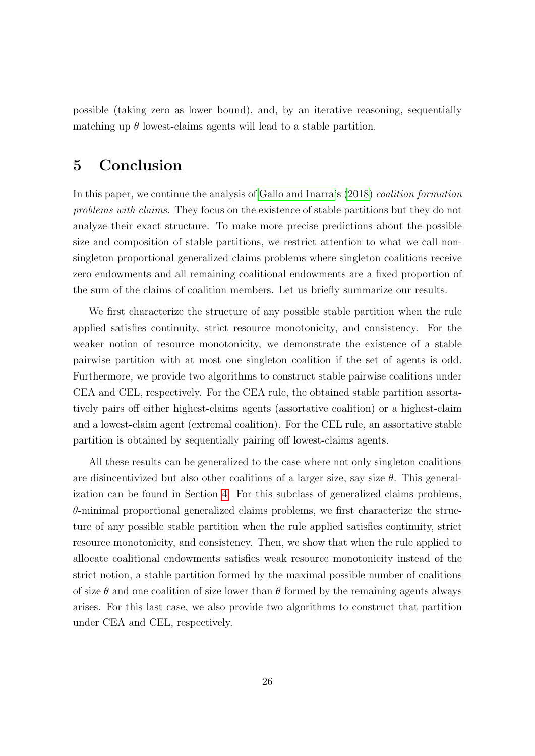possible (taking zero as lower bound), and, by an iterative reasoning, sequentially matching up  $\theta$  lowest-claims agents will lead to a stable partition.

### <span id="page-25-0"></span>5 Conclusion

In this paper, we continue the analysis of [Gallo and Inarra'](#page-59-0)s [\(2018\)](#page-59-0) coalition formation problems with claims. They focus on the existence of stable partitions but they do not analyze their exact structure. To make more precise predictions about the possible size and composition of stable partitions, we restrict attention to what we call nonsingleton proportional generalized claims problems where singleton coalitions receive zero endowments and all remaining coalitional endowments are a fixed proportion of the sum of the claims of coalition members. Let us briefly summarize our results.

We first characterize the structure of any possible stable partition when the rule applied satisfies continuity, strict resource monotonicity, and consistency. For the weaker notion of resource monotonicity, we demonstrate the existence of a stable pairwise partition with at most one singleton coalition if the set of agents is odd. Furthermore, we provide two algorithms to construct stable pairwise coalitions under CEA and CEL, respectively. For the CEA rule, the obtained stable partition assortatively pairs off either highest-claims agents (assortative coalition) or a highest-claim and a lowest-claim agent (extremal coalition). For the CEL rule, an assortative stable partition is obtained by sequentially pairing off lowest-claims agents.

All these results can be generalized to the case where not only singleton coalitions are disincentivized but also other coalitions of a larger size, say size  $\theta$ . This generalization can be found in Section [4.](#page-18-0) For this subclass of generalized claims problems,  $\theta$ -minimal proportional generalized claims problems, we first characterize the structure of any possible stable partition when the rule applied satisfies continuity, strict resource monotonicity, and consistency. Then, we show that when the rule applied to allocate coalitional endowments satisfies weak resource monotonicity instead of the strict notion, a stable partition formed by the maximal possible number of coalitions of size  $\theta$  and one coalition of size lower than  $\theta$  formed by the remaining agents always arises. For this last case, we also provide two algorithms to construct that partition under CEA and CEL, respectively.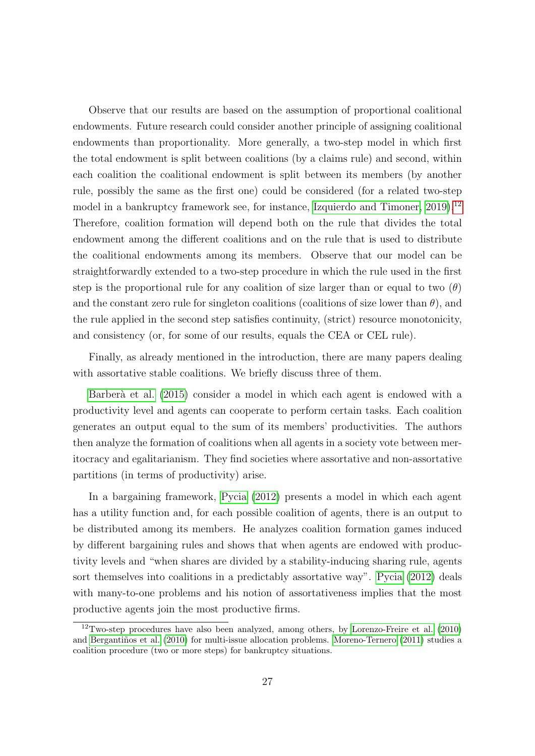Observe that our results are based on the assumption of proportional coalitional endowments. Future research could consider another principle of assigning coalitional endowments than proportionality. More generally, a two-step model in which first the total endowment is split between coalitions (by a claims rule) and second, within each coalition the coalitional endowment is split between its members (by another rule, possibly the same as the first one) could be considered (for a related two-step model in a bankruptcy framework see, for instance, Izquierdo and Timoner,  $2019$ .<sup>[12](#page-26-0)</sup> Therefore, coalition formation will depend both on the rule that divides the total endowment among the different coalitions and on the rule that is used to distribute the coalitional endowments among its members. Observe that our model can be straightforwardly extended to a two-step procedure in which the rule used in the first step is the proportional rule for any coalition of size larger than or equal to two  $(\theta)$ and the constant zero rule for singleton coalitions (coalitions of size lower than  $\theta$ ), and the rule applied in the second step satisfies continuity, (strict) resource monotonicity, and consistency (or, for some of our results, equals the CEA or CEL rule).

Finally, as already mentioned in the introduction, there are many papers dealing with assortative stable coalitions. We briefly discuss three of them.

Barberà et al. [\(2015\)](#page-58-0) consider a model in which each agent is endowed with a productivity level and agents can cooperate to perform certain tasks. Each coalition generates an output equal to the sum of its members' productivities. The authors then analyze the formation of coalitions when all agents in a society vote between meritocracy and egalitarianism. They find societies where assortative and non-assortative partitions (in terms of productivity) arise.

In a bargaining framework, [Pycia](#page-59-10) [\(2012\)](#page-59-10) presents a model in which each agent has a utility function and, for each possible coalition of agents, there is an output to be distributed among its members. He analyzes coalition formation games induced by different bargaining rules and shows that when agents are endowed with productivity levels and "when shares are divided by a stability-inducing sharing rule, agents sort themselves into coalitions in a predictably assortative way". [Pycia](#page-59-10) [\(2012\)](#page-59-10) deals with many-to-one problems and his notion of assortativeness implies that the most productive agents join the most productive firms.

<span id="page-26-0"></span> $12$ Two-step procedures have also been analyzed, among others, by [Lorenzo-Freire et al.](#page-59-11) [\(2010\)](#page-59-11) and Bergantiños et al. [\(2010\)](#page-58-3) for multi-issue allocation problems. [Moreno-Ternero](#page-59-12) [\(2011\)](#page-59-12) studies a coalition procedure (two or more steps) for bankruptcy situations.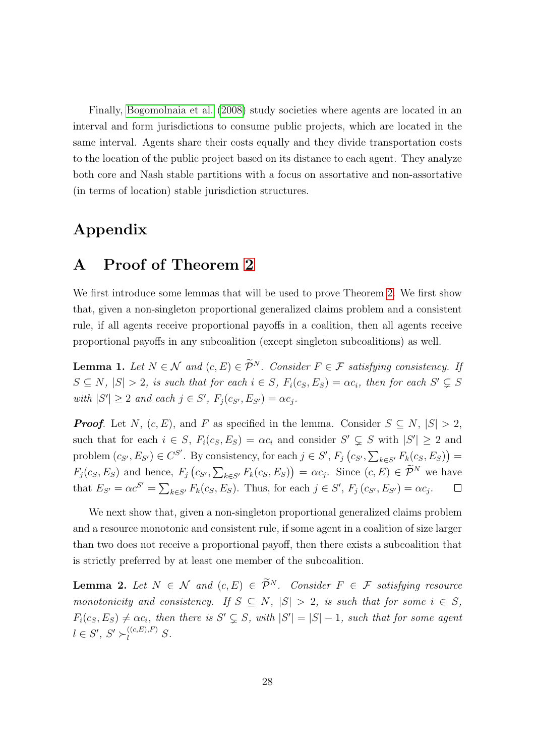Finally, [Bogomolnaia et al.](#page-58-4) [\(2008\)](#page-58-4) study societies where agents are located in an interval and form jurisdictions to consume public projects, which are located in the same interval. Agents share their costs equally and they divide transportation costs to the location of the public project based on its distance to each agent. They analyze both core and Nash stable partitions with a focus on assortative and non-assortative (in terms of location) stable jurisdiction structures.

### Appendix

### <span id="page-27-0"></span>A Proof of Theorem [2](#page-12-0)

We first introduce some lemmas that will be used to prove Theorem [2.](#page-12-0) We first show that, given a non-singleton proportional generalized claims problem and a consistent rule, if all agents receive proportional payoffs in a coalition, then all agents receive proportional payoffs in any subcoalition (except singleton subcoalitions) as well.

<span id="page-27-1"></span>**Lemma 1.** Let  $N \in \mathcal{N}$  and  $(c, E) \in \widetilde{\mathcal{P}}^N$ . Consider  $F \in \mathcal{F}$  satisfying consistency. If  $S \subseteq N$ ,  $|S| > 2$ , is such that for each  $i \in S$ ,  $F_i(c_S, E_S) = \alpha c_i$ , then for each  $S' \subsetneq S$ with  $|S'| \geq 2$  and each  $j \in S'$ ,  $F_j(c_{S'}, E_{S'}) = \alpha c_j$ .

**Proof.** Let N,  $(c, E)$ , and F as specified in the lemma. Consider  $S \subseteq N$ ,  $|S| > 2$ , such that for each  $i \in S$ ,  $F_i(c_S, E_S) = \alpha c_i$  and consider  $S' \subsetneq S$  with  $|S'| \geq 2$  and problem  $(c_{S'}, E_{S'}) \in C^{S'}$ . By consistency, for each  $j \in S'$ ,  $F_j(c_{S'}, \sum_{k \in S'} F_k(c_S, E_S))$  =  $F_j(c_S, E_S)$  and hence,  $F_j(c_{S'}, \sum_{k \in S'} F_k(c_S, E_S)) = \alpha c_j$ . Since  $(c, E) \in \mathcal{P}^N$  we have that  $E_{S'} = \alpha c^{S'} = \sum_{k \in S'} F_k(c_S, E_S)$ . Thus, for each  $j \in S'$ ,  $F_j(c_{S'}, E_{S'}) = \alpha c_j$ .  $\Box$ 

We next show that, given a non-singleton proportional generalized claims problem and a resource monotonic and consistent rule, if some agent in a coalition of size larger than two does not receive a proportional payoff, then there exists a subcoalition that is strictly preferred by at least one member of the subcoalition.

<span id="page-27-2"></span>**Lemma 2.** Let  $N \in \mathcal{N}$  and  $(c, E) \in \widetilde{\mathcal{P}}^N$ . Consider  $F \in \mathcal{F}$  satisfying resource monotonicity and consistency. If  $S \subseteq N$ ,  $|S| > 2$ , is such that for some  $i \in S$ ,  $F_i(c_S, E_S) \neq \alpha c_i$ , then there is  $S' \subsetneq S$ , with  $|S'| = |S| - 1$ , such that for some agent  $l \in S', S' \succ_l^{((c,E),F)} S.$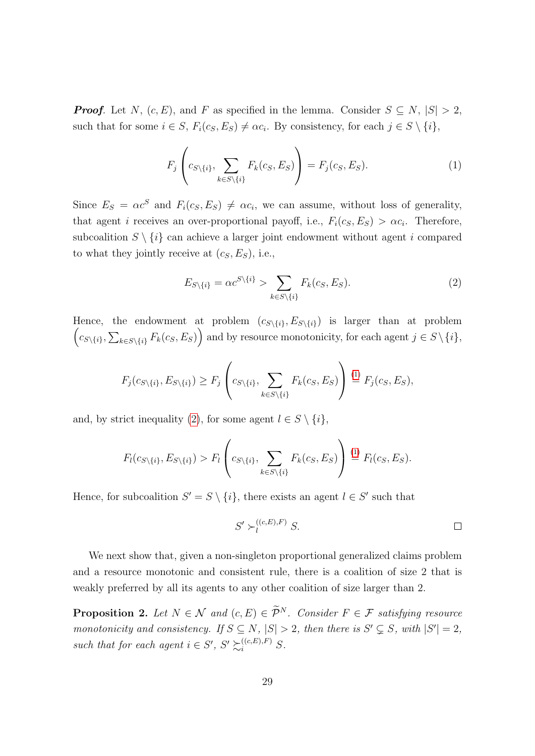**Proof.** Let N,  $(c, E)$ , and F as specified in the lemma. Consider  $S \subseteq N$ ,  $|S| > 2$ , such that for some  $i \in S$ ,  $F_i(c_S, E_S) \neq \alpha c_i$ . By consistency, for each  $j \in S \setminus \{i\}$ ,

<span id="page-28-0"></span>
$$
F_j\left(c_{S\setminus\{i\}}, \sum_{k\in S\setminus\{i\}} F_k(c_S, E_S)\right) = F_j(c_S, E_S). \tag{1}
$$

Since  $E_S = \alpha c^S$  and  $F_i(c_S, E_S) \neq \alpha c_i$ , we can assume, without loss of generality, that agent *i* receives an over-proportional payoff, i.e.,  $F_i(c_S, E_S) > \alpha c_i$ . Therefore, subcoalition  $S \setminus \{i\}$  can achieve a larger joint endowment without agent i compared to what they jointly receive at  $(c_S, E_S)$ , i.e.,

<span id="page-28-1"></span>
$$
E_{S\setminus\{i\}} = \alpha c^{S\setminus\{i\}} > \sum_{k \in S\setminus\{i\}} F_k(c_S, E_S). \tag{2}
$$

 $\left(c_{S\setminus\{i\}},\sum_{k\in S\setminus\{i\}}F_k(c_S,E_S)\right)$  and by resource monotonicity, for each agent  $j\in S\setminus\{i\},$ Hence, the endowment at problem  $(c_{S\setminus\{i\}}, E_{S\setminus\{i\}})$  is larger than at problem

$$
F_j(c_{S\setminus\{i\}}, E_{S\setminus\{i\}}) \ge F_j\left(c_{S\setminus\{i\}}, \sum_{k \in S\setminus\{i\}} F_k(c_S, E_S)\right) \stackrel{(1)}{=} F_j(c_S, E_S),
$$

and, by strict inequality [\(2\)](#page-28-1), for some agent  $l \in S \setminus \{i\},$ 

$$
F_l(c_{S\setminus\{i\}}, E_{S\setminus\{i\}}) > F_l\left(c_{S\setminus\{i\}}, \sum_{k \in S\setminus\{i\}} F_k(c_S, E_S)\right) \stackrel{(1)}{=} F_l(c_S, E_S).
$$

Hence, for subcoalition  $S' = S \setminus \{i\}$ , there exists an agent  $l \in S'$  such that

$$
S' \succ_l^{((c,E),F)} S.
$$

We next show that, given a non-singleton proportional generalized claims problem and a resource monotonic and consistent rule, there is a coalition of size 2 that is weakly preferred by all its agents to any other coalition of size larger than 2.

<span id="page-28-2"></span>**Proposition 2.** Let  $N \in \mathcal{N}$  and  $(c, E) \in \widetilde{\mathcal{P}}^N$ . Consider  $F \in \mathcal{F}$  satisfying resource monotonicity and consistency. If  $S \subseteq N$ ,  $|S| > 2$ , then there is  $S' \subseteq S$ , with  $|S'| = 2$ , such that for each agent  $i \in S'$ ,  $S' \succsim_i^{((c,E),F)} S$ .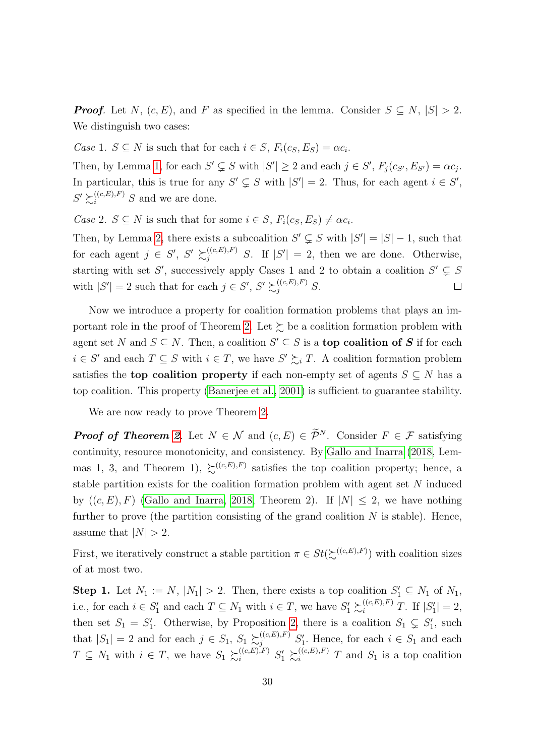**Proof.** Let N,  $(c, E)$ , and F as specified in the lemma. Consider  $S \subseteq N$ ,  $|S| > 2$ . We distinguish two cases:

Case 1.  $S \subseteq N$  is such that for each  $i \in S$ ,  $F_i(c_S, E_S) = \alpha c_i$ .

Then, by Lemma [1,](#page-27-1) for each  $S' \subsetneq S$  with  $|S'| \geq 2$  and each  $j \in S'$ ,  $F_j(c_{S'}, E_{S'}) = \alpha c_j$ . In particular, this is true for any  $S' \subsetneq S$  with  $|S'| = 2$ . Thus, for each agent  $i \in S'$ ,  $S' \succsim_i^{((c,E),F)} S$  and we are done.

Case 2.  $S \subseteq N$  is such that for some  $i \in S$ ,  $F_i(c_S, E_S) \neq \alpha c_i$ .

Then, by Lemma [2,](#page-27-2) there exists a subcoalition  $S' \subsetneq S$  with  $|S'| = |S| - 1$ , such that for each agent  $j \in S'$ ,  $S' \succeq_{j}^{((c,E),F)} S$ . If  $|S'| = 2$ , then we are done. Otherwise, starting with set S', successively apply Cases 1 and 2 to obtain a coalition  $S' \subsetneq S$ with  $|S'| = 2$  such that for each  $j \in S'$ ,  $S' \succsim_{j}^{((c,E),F)} S$ .  $\Box$ 

Now we introduce a property for coalition formation problems that plays an im-portant role in the proof of Theorem [2.](#page-12-0) Let  $\succsim$  be a coalition formation problem with agent set N and  $S \subseteq N$ . Then, a coalition  $S' \subseteq S$  is a **top coalition of S** if for each  $i \in S'$  and each  $T \subseteq S$  with  $i \in T$ , we have  $S' \succsim_i T$ . A coalition formation problem satisfies the **top coalition property** if each non-empty set of agents  $S \subseteq N$  has a top coalition. This property [\(Banerjee et al., 2001\)](#page-58-5) is sufficient to guarantee stability.

We are now ready to prove Theorem [2.](#page-12-0)

**Proof of Theorem [2](#page-12-0).** Let  $N \in \mathcal{N}$  and  $(c, E) \in \widetilde{\mathcal{P}}^N$ . Consider  $F \in \mathcal{F}$  satisfying continuity, resource monotonicity, and consistency. By [Gallo and Inarra](#page-59-0) [\(2018,](#page-59-0) Lemmas 1, 3, and Theorem 1),  $\succeq^{((c,E),F)}$  satisfies the top coalition property; hence, a stable partition exists for the coalition formation problem with agent set N induced by  $((c, E), F)$  [\(Gallo and Inarra, 2018,](#page-59-0) Theorem 2). If  $|N| \leq 2$ , we have nothing further to prove (the partition consisting of the grand coalition  $N$  is stable). Hence, assume that  $|N| > 2$ .

First, we iteratively construct a stable partition  $\pi \in St(\Sigma^{((c,E),F)})$  with coalition sizes of at most two.

**Step 1.** Let  $N_1 := N$ ,  $|N_1| > 2$ . Then, there exists a top coalition  $S'_1 \subseteq N_1$  of  $N_1$ , i.e., for each  $i \in S'_1$  and each  $T \subseteq N_1$  with  $i \in T$ , we have  $S'_1 \succsim_i^{((c,E),F)} T$ . If  $|S'_1| = 2$ , then set  $S_1 = S'_1$ . Otherwise, by Proposition [2,](#page-28-2) there is a coalition  $S_1 \subsetneq S'_1$ , such that  $|S_1| = 2$  and for each  $j \in S_1$ ,  $S_1 \succsim^{((c,E),F)}_{j} S'_1$ . Hence, for each  $i \in S_1$  and each  $T \subseteq N_1$  with  $i \in T$ , we have  $S_1 \succsim_i^{((c,E),F)} S'_1 \succsim_i^{((c,E),F)} T$  and  $S_1$  is a top coalition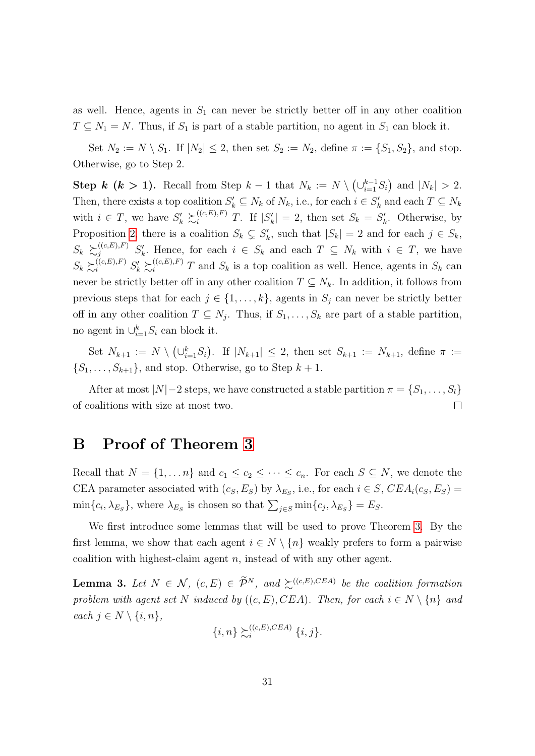as well. Hence, agents in  $S_1$  can never be strictly better off in any other coalition  $T \subseteq N_1 = N$ . Thus, if  $S_1$  is part of a stable partition, no agent in  $S_1$  can block it.

Set  $N_2 := N \setminus S_1$ . If  $|N_2| \leq 2$ , then set  $S_2 := N_2$ , define  $\pi := \{S_1, S_2\}$ , and stop. Otherwise, go to Step 2.

Step k (k > 1). Recall from Step  $k-1$  that  $N_k := N \setminus (\cup_{i=1}^{k-1} S_i)$  and  $|N_k| > 2$ . Then, there exists a top coalition  $S'_k \subseteq N_k$  of  $N_k$ , i.e., for each  $i \in S'_k$  and each  $T \subseteq N_k$ with  $i \in T$ , we have  $S'_k \succeq_i^{((c,E),F)} T$ . If  $|S'_k| = 2$ , then set  $S_k = S'_k$ . Otherwise, by Proposition [2,](#page-28-2) there is a coalition  $S_k \subsetneq S'_k$ , such that  $|S_k| = 2$  and for each  $j \in S_k$ ,  $S_k \succeq_{j}^{((c,E),F)} S'_k$ . Hence, for each  $i \in S_k$  and each  $T \subseteq N_k$  with  $i \in T$ , we have  $S_k \succeq_i^{((c,E),F)} S'_k \succeq_i^{((c,E),F)} T$  and  $S_k$  is a top coalition as well. Hence, agents in  $S_k$  can never be strictly better off in any other coalition  $T \subseteq N_k$ . In addition, it follows from previous steps that for each  $j \in \{1, \ldots, k\}$ , agents in  $S_j$  can never be strictly better off in any other coalition  $T \subseteq N_j$ . Thus, if  $S_1, \ldots, S_k$  are part of a stable partition, no agent in  $\cup_{i=1}^k S_i$  can block it.

Set  $N_{k+1} := N \setminus (\cup_{i=1}^k S_i)$ . If  $|N_{k+1}| \leq 2$ , then set  $S_{k+1} := N_{k+1}$ , define  $\pi :=$  $\{S_1, \ldots, S_{k+1}\}\$ , and stop. Otherwise, go to Step  $k+1$ .

After at most  $|N|-2$  steps, we have constructed a stable partition  $\pi = \{S_1, \ldots, S_l\}$ of coalitions with size at most two.  $\Box$ 

### <span id="page-30-0"></span>B Proof of Theorem [3](#page-14-0)

Recall that  $N = \{1, ..., n\}$  and  $c_1 \leq c_2 \leq ... \leq c_n$ . For each  $S \subseteq N$ , we denote the CEA parameter associated with  $(c_S, E_S)$  by  $\lambda_{E_S}$ , i.e., for each  $i \in S$ ,  $CEA_i(c_S, E_S)$  =  $\min\{c_i, \lambda_{E_S}\}\$ , where  $\lambda_{E_S}$  is chosen so that  $\sum_{j \in S} \min\{c_j, \lambda_{E_S}\} = E_S$ .

We first introduce some lemmas that will be used to prove Theorem [3.](#page-14-0) By the first lemma, we show that each agent  $i \in N \setminus \{n\}$  weakly prefers to form a pairwise coalition with highest-claim agent  $n$ , instead of with any other agent.

<span id="page-30-1"></span>**Lemma 3.** Let  $N \in \mathcal{N}$ ,  $(c, E) \in \widetilde{\mathcal{P}}^N$ , and  $\succsim^{((c, E), CEA)}$  be the coalition formation problem with agent set N induced by  $((c, E), CEA)$ . Then, for each  $i \in N \setminus \{n\}$  and each  $j \in N \setminus \{i, n\},\$ 

$$
\{i,n\} \succsim_i^{((c,E),CEA)} \{i,j\}.
$$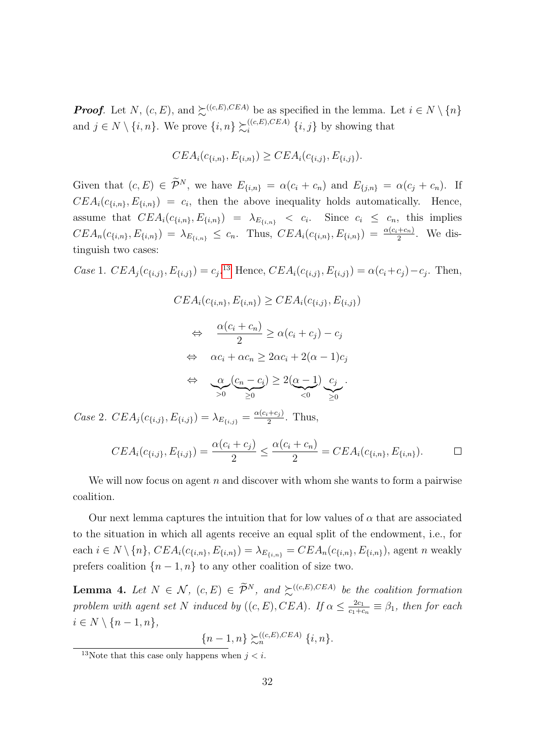**Proof.** Let N,  $(c, E)$ , and  $\sum^{(c, E), CEA}$  be as specified in the lemma. Let  $i \in N \setminus \{n\}$ and  $j \in N \setminus \{i, n\}$ . We prove  $\{i, n\} \succsim_i^{((c, E), CEA)}$  $\{i,j\}$  by showing that

$$
CEA_i(c_{\{i,n\}}, E_{\{i,n\}}) \geq CEA_i(c_{\{i,j\}}, E_{\{i,j\}}).
$$

Given that  $(c, E) \in \widetilde{\mathcal{P}}^N$ , we have  $E_{\{i,n\}} = \alpha(c_i + c_n)$  and  $E_{\{j,n\}} = \alpha(c_j + c_n)$ . If  $CEA_i(c_{\{i,n\}}, E_{\{i,n\}}) = c_i$ , then the above inequality holds automatically. Hence, assume that  $CEA_i(c_{\{i,n\}}, E_{\{i,n\}}) = \lambda_{E_{\{i,n\}}} < c_i$ . Since  $c_i \leq c_n$ , this implies  $CEA_n(c_{\{i,n\}}, E_{\{i,n\}}) = \lambda_{E_{\{i,n\}}} \le c_n$ . Thus,  $CEA_i(c_{\{i,n\}}, E_{\{i,n\}}) = \frac{\alpha(c_i + c_n)}{2}$ . We distinguish two cases:

Case 1.  $CEA_j(c_{\{i,j\}}, E_{\{i,j\}}) = c_j$ .<sup>[13](#page-31-1)</sup> Hence,  $CEA_i(c_{\{i,j\}}, E_{\{i,j\}}) = \alpha(c_i + c_j) - c_j$ . Then,

$$
CEA_i(c_{\{i,n\}}, E_{\{i,n\}}) \geq CEA_i(c_{\{i,j\}}, E_{\{i,j\}})
$$
  
\n
$$
\Leftrightarrow \frac{\alpha(c_i + c_n)}{2} \geq \alpha(c_i + c_j) - c_j
$$
  
\n
$$
\Leftrightarrow \alpha c_i + \alpha c_n \geq 2\alpha c_i + 2(\alpha - 1)c_j
$$
  
\n
$$
\Leftrightarrow \alpha \underbrace{c_n - c_i}_{>0} \geq 2(\underbrace{\alpha - 1}_{<0}) \underbrace{c_j}_{\geq 0}.
$$

Case 2.  $CEA_j(c_{\{i,j\}}, E_{\{i,j\}}) = \lambda_{E_{\{i,j\}}} = \frac{\alpha(c_i + c_j)}{2}$  $rac{1+c_j}{2}$ . Thus,

$$
CEA_i(c_{\{i,j\}}, E_{\{i,j\}}) = \frac{\alpha(c_i + c_j)}{2} \le \frac{\alpha(c_i + c_n)}{2} = CEA_i(c_{\{i,n\}}, E_{\{i,n\}}).
$$

We will now focus on agent  $n$  and discover with whom she wants to form a pairwise coalition.

Our next lemma captures the intuition that for low values of  $\alpha$  that are associated to the situation in which all agents receive an equal split of the endowment, i.e., for each  $i \in N \setminus \{n\}$ ,  $CEA_i(c_{\{i,n\}}, E_{\{i,n\}}) = \lambda_{E_{\{i,n\}}} = CEA_n(c_{\{i,n\}}, E_{\{i,n\}})$ , agent n weakly prefers coalition  $\{n-1,n\}$  to any other coalition of size two.

<span id="page-31-0"></span>**Lemma 4.** Let  $N \in \mathcal{N}$ ,  $(c, E) \in \widetilde{\mathcal{P}}^N$ , and  $\succsim^{((c, E), CEA)}$  be the coalition formation problem with agent set N induced by  $((c, E), CEA)$ . If  $\alpha \leq \frac{2c_1}{c_1+c_2}$  $\frac{2c_1}{c_1+c_n} \equiv \beta_1$ , then for each  $i \in N \setminus \{n-1, n\},\$ 

$$
{n-1,n} \succsim_n^{((c,E),CEA)} {i,n}.
$$

<span id="page-31-1"></span><sup>&</sup>lt;sup>13</sup>Note that this case only happens when  $j < i$ .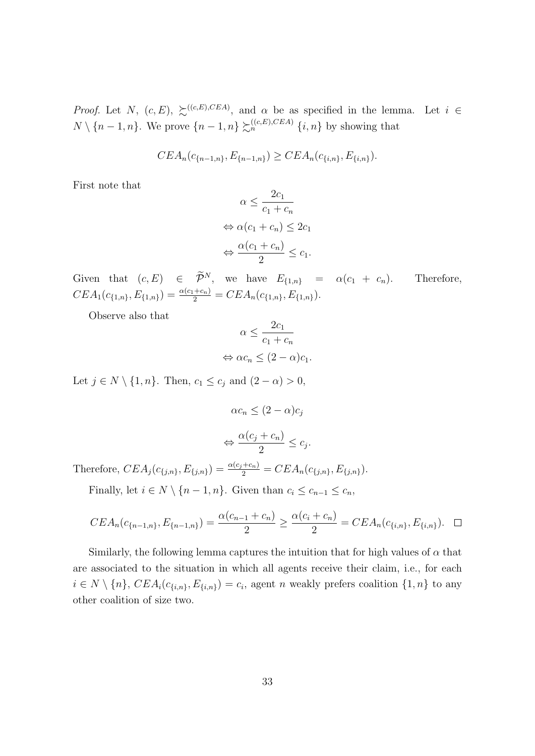*Proof.* Let N,  $(c, E)$ ,  $\succsim^{((c, E), CEA)}$ , and  $\alpha$  be as specified in the lemma. Let  $i \in$  $N \setminus \{n-1, n\}$ . We prove  $\{n-1, n\} \succsim_{n}^{((c, E), CEA)} \{i, n\}$  by showing that

$$
CEA_n(c_{\{n-1,n\}}, E_{\{n-1,n\}}) \geq CEA_n(c_{\{i,n\}}, E_{\{i,n\}}).
$$

First note that

$$
\alpha \le \frac{2c_1}{c_1 + c_n}
$$
  
\n
$$
\Leftrightarrow \alpha(c_1 + c_n) \le 2c_1
$$
  
\n
$$
\Leftrightarrow \frac{\alpha(c_1 + c_n)}{2} \le c_1.
$$

Given that  $(c, E) \in \tilde{\mathcal{P}}^N$ , we have  $E_{\{1,n\}} = \alpha(c_1 + c_n)$ . Therefore,  $CEA_1(c_{\{1,n\}}, E_{\{1,n\}}) = \frac{\alpha(c_1+c_n)}{2} = CEA_n(c_{\{1,n\}}, E_{\{1,n\}}).$ 

Observe also that

$$
\alpha \le \frac{2c_1}{c_1 + c_n}
$$
  

$$
\Leftrightarrow \alpha c_n \le (2 - \alpha)c_1.
$$

Let  $j \in N \setminus \{1, n\}$ . Then,  $c_1 \leq c_j$  and  $(2 - \alpha) > 0$ ,

$$
\alpha c_n \le (2 - \alpha) c_j
$$

$$
\Leftrightarrow \frac{\alpha (c_j + c_n)}{2} \le c_j
$$

.

Therefore,  $CEA_j(c_{\{j,n\}}, E_{\{j,n\}}) = \frac{\alpha(c_j + c_n)}{2} = CEA_n(c_{\{j,n\}}, E_{\{j,n\}}).$ 

Finally, let  $i \in N \setminus \{n-1, n\}$ . Given than  $c_i \leq c_{n-1} \leq c_n$ ,

$$
CEA_n(c_{\{n-1,n\}}, E_{\{n-1,n\}}) = \frac{\alpha(c_{n-1} + c_n)}{2} \ge \frac{\alpha(c_i + c_n)}{2} = CEA_n(c_{\{i,n\}}, E_{\{i,n\}}). \square
$$

Similarly, the following lemma captures the intuition that for high values of  $\alpha$  that are associated to the situation in which all agents receive their claim, i.e., for each  $i \in N \setminus \{n\}, \, CEA_i(c_{\{i,n\}}, E_{\{i,n\}}) = c_i$ , agent n weakly prefers coalition  $\{1,n\}$  to any other coalition of size two.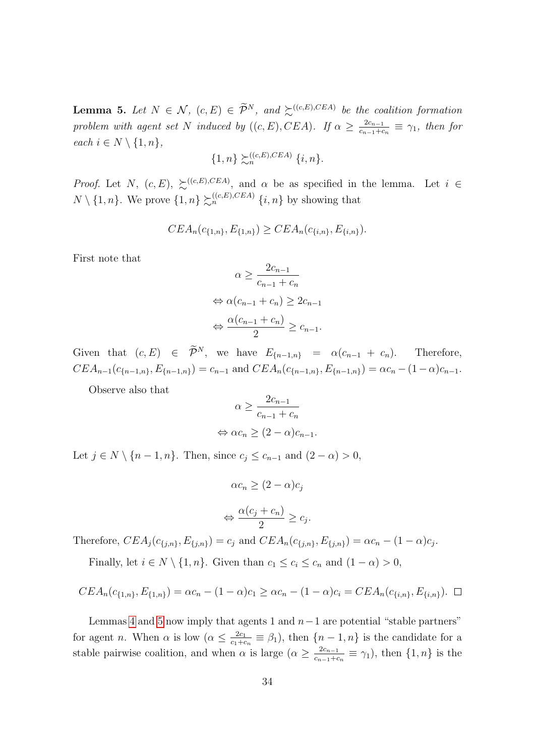<span id="page-33-0"></span>**Lemma 5.** Let  $N \in \mathcal{N}$ ,  $(c, E) \in \widetilde{\mathcal{P}}^N$ , and  $\succsim^{((c, E), CEA)}$  be the coalition formation problem with agent set N induced by  $((c, E), CEA)$ . If  $\alpha \geq \frac{2c_{n-1}}{c_{n-1}}$  $\frac{2c_{n-1}}{c_{n-1}+c_n} \equiv \gamma_1$ , then for each  $i \in N \setminus \{1, n\},\$ 

$$
\{1,n\} \succsim_n^{((c,E),CEA)} \{i,n\}.
$$

*Proof.* Let N,  $(c, E)$ ,  $\succsim^{((c, E), CEA)}$ , and  $\alpha$  be as specified in the lemma. Let  $i \in$  $N \setminus \{1, n\}$ . We prove  $\{1, n\} \succsim_{n}^{((c, E), CEA)} \{i, n\}$  by showing that

$$
CEA_n(c_{\{1,n\}}, E_{\{1,n\}}) \geq CEA_n(c_{\{i,n\}}, E_{\{i,n\}}).
$$

First note that

$$
\alpha \ge \frac{2c_{n-1}}{c_{n-1} + c_n}
$$
  
\n
$$
\Leftrightarrow \alpha(c_{n-1} + c_n) \ge 2c_{n-1}
$$
  
\n
$$
\Leftrightarrow \frac{\alpha(c_{n-1} + c_n)}{2} \ge c_{n-1}.
$$

Given that  $(c, E) \in \widetilde{\mathcal{P}}^N$ , we have  $E_{\{n-1,n\}} = \alpha(c_{n-1} + c_n)$ . Therefore,  $CEA_{n-1}(c_{\{n-1,n\}}, E_{\{n-1,n\}}) = c_{n-1}$  and  $CEA_n(c_{\{n-1,n\}}, E_{\{n-1,n\}}) = \alpha c_n - (1-\alpha)c_{n-1}$ .

Observe also that

$$
\alpha \ge \frac{2c_{n-1}}{c_{n-1} + c_n}
$$
  

$$
\Leftrightarrow \alpha c_n \ge (2 - \alpha)c_{n-1}.
$$

Let  $j \in N \setminus \{n-1, n\}$ . Then, since  $c_j \leq c_{n-1}$  and  $(2 - \alpha) > 0$ ,

$$
\alpha c_n \ge (2 - \alpha) c_j
$$

$$
\Leftrightarrow \frac{\alpha (c_j + c_n)}{2} \ge c_j.
$$

Therefore,  $CEA_j(c_{\{j,n\}}, E_{\{j,n\}}) = c_j$  and  $CEA_n(c_{\{j,n\}}, E_{\{j,n\}}) = \alpha c_n - (1 - \alpha)c_j$ .

Finally, let  $i \in N \setminus \{1, n\}$ . Given than  $c_1 \leq c_i \leq c_n$  and  $(1 - \alpha) > 0$ ,

$$
CEA_n(c_{\{1,n\}}, E_{\{1,n\}}) = \alpha c_n - (1-\alpha)c_1 \geq \alpha c_n - (1-\alpha)c_i = CEA_n(c_{\{i,n\}}, E_{\{i,n\}}).
$$

Lemmas [4](#page-31-0) and [5](#page-33-0) now imply that agents 1 and  $n-1$  are potential "stable partners" for agent *n*. When  $\alpha$  is low  $(\alpha \leq \frac{2c_1}{c_1+c_2}$  $\frac{2c_1}{c_1+c_n} \equiv \beta_1$ , then  $\{n-1,n\}$  is the candidate for a stable pairwise coalition, and when  $\alpha$  is large  $(\alpha \geq \frac{2c_{n-1}}{c_{n-1}+\alpha})$  $\frac{2c_{n-1}}{c_{n-1}+c_n} \equiv \gamma_1$ , then  $\{1,n\}$  is the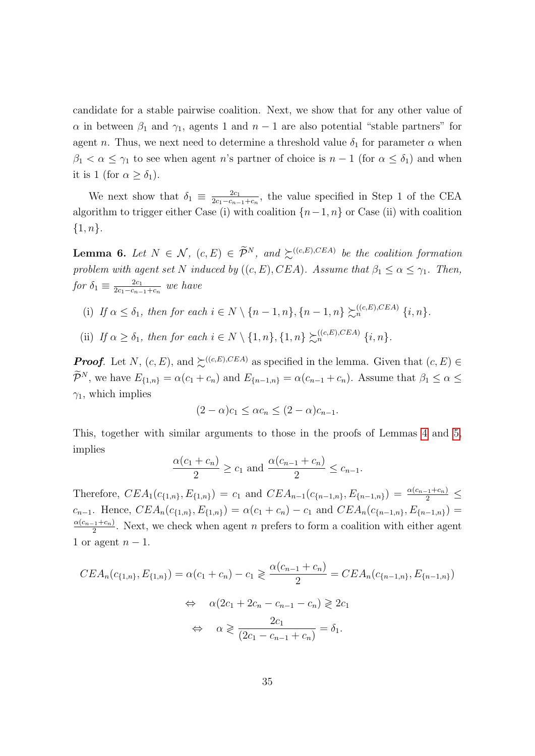candidate for a stable pairwise coalition. Next, we show that for any other value of  $\alpha$  in between  $\beta_1$  and  $\gamma_1$ , agents 1 and  $n-1$  are also potential "stable partners" for agent n. Thus, we next need to determine a threshold value  $\delta_1$  for parameter  $\alpha$  when  $\beta_1 < \alpha \leq \gamma_1$  to see when agent n's partner of choice is  $n-1$  (for  $\alpha \leq \delta_1$ ) and when it is 1 (for  $\alpha \geq \delta_1$ ).

We next show that  $\delta_1 \equiv \frac{2c_1}{2c_1-c_2}$  $\frac{2c_1}{2c_1-c_{n-1}+c_n}$ , the value specified in Step 1 of the CEA algorithm to trigger either Case (i) with coalition  $\{n-1, n\}$  or Case (ii) with coalition  $\{1, n\}.$ 

<span id="page-34-0"></span>**Lemma 6.** Let  $N \in \mathcal{N}$ ,  $(c, E) \in \widetilde{\mathcal{P}}^N$ , and  $\succsim^{((c, E), CEA)}$  be the coalition formation problem with agent set N induced by  $((c, E), CEA)$ . Assume that  $\beta_1 \leq \alpha \leq \gamma_1$ . Then, for  $\delta_1 \equiv \frac{2c_1}{2c_1-c_2}$  $rac{2c_1}{2c_1-c_{n-1}+c_n}$  we have

- (i) If  $\alpha \leq \delta_1$ , then for each  $i \in N \setminus \{n-1, n\}$ ,  $\{n-1, n\} \succsim_{n}^{((c, E), CEA)} \{i, n\}$ .
- (ii) If  $\alpha \geq \delta_1$ , then for each  $i \in N \setminus \{1, n\}, \{1, n\} \succsim^{((c, E), CEA)}_{n} \{i, n\}.$

**Proof.** Let N,  $(c, E)$ , and  $\succeq^{((c, E), CEA)}$  as specified in the lemma. Given that  $(c, E) \in$  $\widetilde{\mathcal{P}}^N$ , we have  $E_{\{1,n\}} = \alpha(c_1 + c_n)$  and  $E_{\{n-1,n\}} = \alpha(c_{n-1} + c_n)$ . Assume that  $\beta_1 \leq \alpha \leq$  $\gamma_1$ , which implies

$$
(2 - \alpha)c_1 \leq \alpha c_n \leq (2 - \alpha)c_{n-1}.
$$

This, together with similar arguments to those in the proofs of Lemmas [4](#page-31-0) and [5,](#page-33-0) implies

$$
\frac{\alpha(c_1 + c_n)}{2} \ge c_1 \text{ and } \frac{\alpha(c_{n-1} + c_n)}{2} \le c_{n-1}.
$$

Therefore,  $CEA_1(c_{\{1,n\}}, E_{\{1,n\}}) = c_1$  and  $CEA_{n-1}(c_{\{n-1,n\}}, E_{\{n-1,n\}}) = \frac{\alpha(c_{n-1}+c_n)}{2} \le$  $c_{n-1}$ . Hence,  $CEA_n(c_{\{1,n\}}, E_{\{1,n\}}) = \alpha(c_1 + c_n) - c_1$  and  $CEA_n(c_{\{n-1,n\}}, E_{\{n-1,n\}}) =$  $\alpha(c_{n-1}+c_n)$  $\frac{2^{(1+{\epsilon}_n)}}{2}$ . Next, we check when agent *n* prefers to form a coalition with either agent 1 or agent  $n-1$ .

$$
CEA_n(c_{\{1,n\}}, E_{\{1,n\}}) = \alpha(c_1 + c_n) - c_1 \ge \frac{\alpha(c_{n-1} + c_n)}{2} = CEA_n(c_{\{n-1,n\}}, E_{\{n-1,n\}})
$$
  
\n
$$
\Leftrightarrow \alpha(2c_1 + 2c_n - c_{n-1} - c_n) \ge 2c_1
$$
  
\n
$$
\Leftrightarrow \alpha \ge \frac{2c_1}{(2c_1 - c_{n-1} + c_n)} = \delta_1.
$$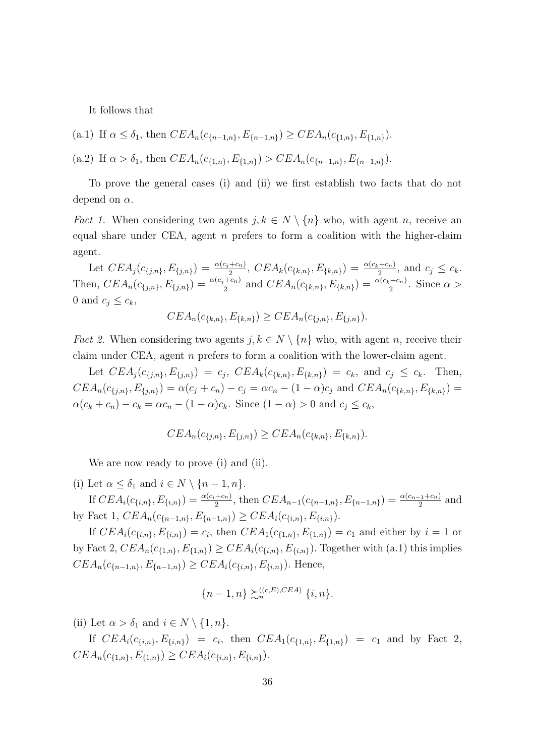It follows that

(a.1) If 
$$
\alpha \leq \delta_1
$$
, then  $CEA_n(c_{\{n-1,n\}}, E_{\{n-1,n\}}) \geq CEA_n(c_{\{1,n\}}, E_{\{1,n\}}).$ 

(a.2) If  $\alpha > \delta_1$ , then  $CEA_n(c_{\{1,n\}}, E_{\{1,n\}}) > CEA_n(c_{\{n-1,n\}}, E_{\{n-1,n\}}).$ 

To prove the general cases (i) and (ii) we first establish two facts that do not depend on  $\alpha$ .

*Fact 1.* When considering two agents  $j, k \in N \setminus \{n\}$  who, with agent n, receive an equal share under CEA, agent n prefers to form a coalition with the higher-claim agent.

Let  $CEA_j(c_{\{j,n\}}, E_{\{j,n\}}) = \frac{\alpha(c_j + c_n)}{2}$ ,  $CEA_k(c_{\{k,n\}}, E_{\{k,n\}}) = \frac{\alpha(c_k + c_n)}{2}$ , and  $c_j \le c_k$ . Then,  $CEA_n(c_{\{j,n\}}, E_{\{j,n\}}) = \frac{\alpha(c_j + c_n)}{2}$  and  $CEA_n(c_{\{k,n\}}, E_{\{k,n\}}) = \frac{\alpha(c_k + c_n)}{2}$ . Since  $\alpha >$ 0 and  $c_j \leq c_k$ ,

$$
CEA_n(c_{\{k,n\}}, E_{\{k,n\}}) \geq CEA_n(c_{\{j,n\}}, E_{\{j,n\}}).
$$

*Fact 2.* When considering two agents  $j, k \in N \setminus \{n\}$  who, with agent n, receive their claim under CEA, agent n prefers to form a coalition with the lower-claim agent.

Let  $CEA_j(c_{\{j,n\}}, E_{\{j,n\}}) = c_j$ ,  $CEA_k(c_{\{k,n\}}, E_{\{k,n\}}) = c_k$ , and  $c_j \leq c_k$ . Then,  $CEA_n(c_{\{j,n\}}, E_{\{j,n\}}) = \alpha(c_j + c_n) - c_j = \alpha c_n - (1 - \alpha)c_j$  and  $CEA_n(c_{\{k,n\}}, E_{\{k,n\}}) =$  $\alpha(c_k + c_n) - c_k = \alpha c_n - (1 - \alpha)c_k$ . Since  $(1 - \alpha) > 0$  and  $c_j \le c_k$ ,

$$
CEA_n(c_{\{j,n\}}, E_{\{j,n\}}) \geq CEA_n(c_{\{k,n\}}, E_{\{k,n\}}).
$$

We are now ready to prove (i) and (ii).

(i) Let  $\alpha \leq \delta_1$  and  $i \in N \setminus \{n-1, n\}.$ 

If  $CEA_i(c_{\{i,n\}}, E_{\{i,n\}}) = \frac{\alpha(c_i+c_n)}{2}$ , then  $CEA_{n-1}(c_{\{n-1,n\}}, E_{\{n-1,n\}}) = \frac{\alpha(c_{n-1}+c_n)}{2}$  and by Fact 1,  $CEA_n(c_{n-1,n}, E_{n-1,n}) \geq CEA_i(c_{i,n}, E_{i,n}).$ 

If  $CEA_i(c_{\{i,n\}}, E_{\{i,n\}}) = c_i$ , then  $CEA_1(c_{\{1,n\}}, E_{\{1,n\}}) = c_1$  and either by  $i = 1$  or by Fact 2,  $CEA_n(c_{\{1,n\}}, E_{\{1,n\}}) \geq CEA_i(c_{\{i,n\}}, E_{\{i,n\}})$ . Together with (a.1) this implies  $CEA_n(c_{n-1,n}, E_{n-1,n}) \geq CEA_i(c_{i,n}, E_{i,n}).$  Hence,

$$
\{n-1,n\} \succsim_n^{((c,E),CEA)} \{i,n\}.
$$

(ii) Let  $\alpha > \delta_1$  and  $i \in N \setminus \{1, n\}.$ 

If  $CEA_i(c_{\{i,n\}}, E_{\{i,n\}}) = c_i$ , then  $CEA_1(c_{\{1,n\}}, E_{\{1,n\}}) = c_1$  and by Fact 2,  $CEA_n(c_{\{1,n\}}, E_{\{1,n\}}) \geq CEA_i(c_{\{i,n\}}, E_{\{i,n\}}).$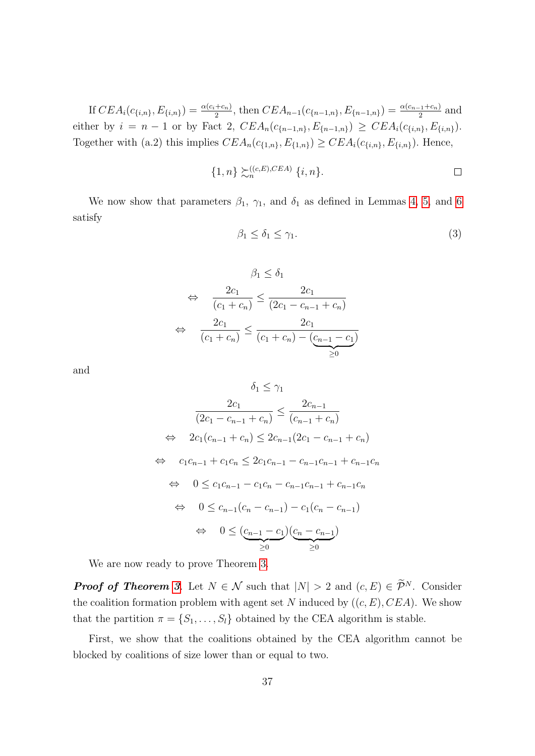If  $CEA_i(c_{\{i,n\}}, E_{\{i,n\}}) = \frac{\alpha(c_i+c_n)}{2}$ , then  $CEA_{n-1}(c_{\{n-1,n\}}, E_{\{n-1,n\}}) = \frac{\alpha(c_{n-1}+c_n)}{2}$  and either by  $i = n - 1$  or by Fact 2,  $CEA_n(c_{n-1,n}, E_{n-1,n}) \geq CEA_i(c_{i,n}, E_{i,n}).$ Together with (a.2) this implies  $CEA_n(c_{\{1,n\}}, E_{\{1,n\}}) \geq CEA_i(c_{\{i,n\}}, E_{\{i,n\}})$ . Hence,

$$
\{1,n\} \succsim_n^{((c,E),CEA)} \{i,n\}.
$$

We now show that parameters  $\beta_1$ ,  $\gamma_1$ , and  $\delta_1$  as defined in Lemmas [4,](#page-31-0) [5,](#page-33-0) and [6](#page-34-0) satisfy

$$
\beta_1 \le \delta_1 \le \gamma_1. \tag{3}
$$

$$
\beta_1 \leq \delta_1
$$
  
\n
$$
\Leftrightarrow \frac{2c_1}{(c_1 + c_n)} \leq \frac{2c_1}{(2c_1 - c_{n-1} + c_n)}
$$
  
\n
$$
\Leftrightarrow \frac{2c_1}{(c_1 + c_n)} \leq \frac{2c_1}{(c_1 + c_n) - (c_{n-1} - c_1)}
$$
  
\n
$$
\geq 0
$$

and

$$
\delta_1 \leq \gamma_1
$$
\n
$$
\frac{2c_1}{(2c_1 - c_{n-1} + c_n)} \leq \frac{2c_{n-1}}{(c_{n-1} + c_n)}
$$
\n
$$
\Leftrightarrow \quad 2c_1(c_{n-1} + c_n) \leq 2c_{n-1}(2c_1 - c_{n-1} + c_n)
$$
\n
$$
\Leftrightarrow \quad c_1c_{n-1} + c_1c_n \leq 2c_1c_{n-1} - c_{n-1}c_{n-1} + c_{n-1}c_n
$$
\n
$$
\Leftrightarrow \quad 0 \leq c_1c_{n-1} - c_1c_n - c_{n-1}c_{n-1} + c_{n-1}c_n
$$
\n
$$
\Leftrightarrow \quad 0 \leq c_{n-1}(c_n - c_{n-1}) - c_1(c_n - c_{n-1})
$$
\n
$$
\Leftrightarrow \quad 0 \leq \underbrace{(c_{n-1} - c_1)(c_n - c_{n-1})}_{\geq 0}
$$

We are now ready to prove Theorem [3.](#page-14-0)

**Proof of Theorem [3](#page-14-0).** Let  $N \in \mathcal{N}$  such that  $|N| > 2$  and  $(c, E) \in \widetilde{\mathcal{P}}^N$ . Consider the coalition formation problem with agent set N induced by  $((c, E), CEA)$ . We show that the partition  $\pi = \{S_1, \ldots, S_l\}$  obtained by the CEA algorithm is stable.

First, we show that the coalitions obtained by the CEA algorithm cannot be blocked by coalitions of size lower than or equal to two.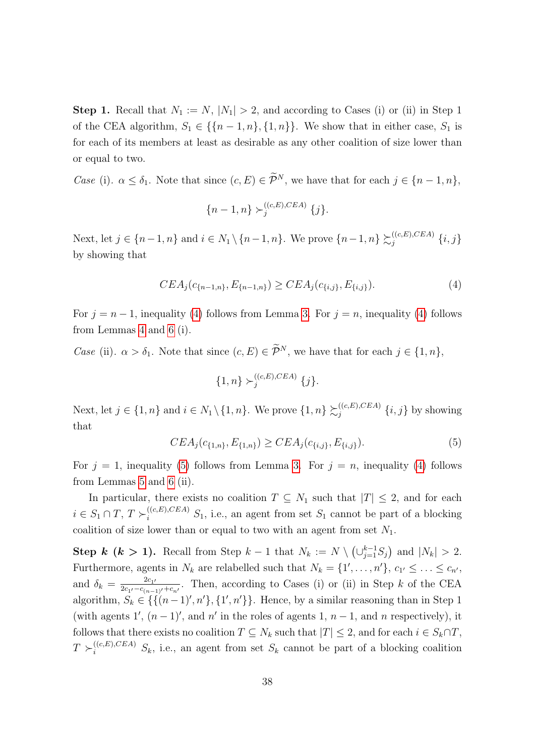**Step 1.** Recall that  $N_1 := N$ ,  $|N_1| > 2$ , and according to Cases (i) or (ii) in Step 1 of the CEA algorithm,  $S_1 \in \{\{n-1,n\},\{1,n\}\}\.$  We show that in either case,  $S_1$  is for each of its members at least as desirable as any other coalition of size lower than or equal to two.

*Case* (i).  $\alpha \leq \delta_1$ . Note that since  $(c, E) \in \widetilde{\mathcal{P}}^N$ , we have that for each  $j \in \{n-1, n\}$ ,

$$
\{n-1,n\} \succ_{j}^{((c,E),CEA)} \{j\}.
$$

Next, let  $j \in \{n-1, n\}$  and  $i \in N_1 \setminus \{n-1, n\}$ . We prove  $\{n-1, n\} \succ_{i}^{((c, E), CEA)}$  $_{j}^{\left( \left( c,E\right) ,CEA\right) }\left\{ i,j\right\}$ by showing that

<span id="page-37-0"></span>
$$
CEA_j(c_{\{n-1,n\}}, E_{\{n-1,n\}}) \geq CEA_j(c_{\{i,j\}}, E_{\{i,j\}}). \tag{4}
$$

For  $j = n - 1$ , inequality [\(4\)](#page-37-0) follows from Lemma [3.](#page-30-1) For  $j = n$ , inequality (4) follows from Lemmas [4](#page-31-0) and [6](#page-34-0) (i).

Case (ii).  $\alpha > \delta_1$ . Note that since  $(c, E) \in \widetilde{\mathcal{P}}^N$ , we have that for each  $j \in \{1, n\}$ ,

$$
\{1,n\} \succ_{j}^{((c,E),CEA)} \{j\}.
$$

Next, let  $j \in \{1, n\}$  and  $i \in N_1 \setminus \{1, n\}$ . We prove  $\{1, n\} \succsim_i^{((c, E), CEA)}$  $\{i,j\}$  by showing that

<span id="page-37-1"></span>
$$
CEA_j(c_{\{1,n\}}, E_{\{1,n\}}) \geq CEA_j(c_{\{i,j\}}, E_{\{i,j\}}). \tag{5}
$$

For  $j = 1$ , inequality [\(5\)](#page-37-1) follows from Lemma [3.](#page-30-1) For  $j = n$ , inequality [\(4\)](#page-37-0) follows from Lemmas [5](#page-33-0) and [6](#page-34-0) (ii).

In particular, there exists no coalition  $T \subseteq N_1$  such that  $|T| \leq 2$ , and for each  $i \in S_1 \cap T$ ,  $T \succ_i^{((c,E),CEA)} S_1$ , i.e., an agent from set  $S_1$  cannot be part of a blocking coalition of size lower than or equal to two with an agent from set  $N_1$ .

Step k (k > 1). Recall from Step  $k-1$  that  $N_k := N \setminus (\cup_{j=1}^{k-1} S_j)$  and  $|N_k| > 2$ . Furthermore, agents in  $N_k$  are relabelled such that  $N_k = \{1', \ldots, n'\}, c_{1'} \leq \ldots \leq c_{n'}$ , and  $\delta_k = \frac{2c_{1k}}{2c_{1k}-c_{kk}}$  $\frac{2c_1}{c_1-c_{(n-1)'}+c_{n'}}$ . Then, according to Cases (i) or (ii) in Step k of the CEA algorithm,  $S_k \in \{ \{ (n-1)^\prime, n^\prime \}, \{ 1^\prime, n^\prime \} \}$ . Hence, by a similar reasoning than in Step 1 (with agents 1',  $(n-1)$ ', and n' in the roles of agents 1,  $n-1$ , and n respectively), it follows that there exists no coalition  $T \subseteq N_k$  such that  $|T| \leq 2$ , and for each  $i \in S_k \cap T$ ,  $T \succ_i^{((c,E),CEA)} S_k$ , i.e., an agent from set  $S_k$  cannot be part of a blocking coalition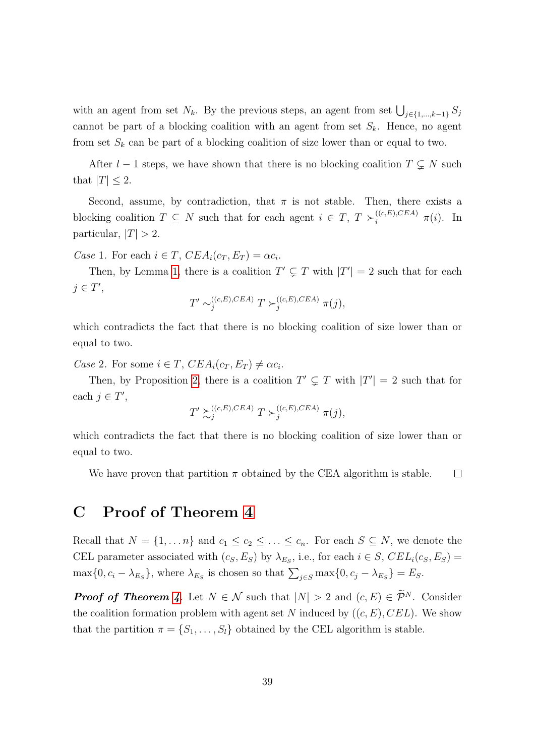with an agent from set  $N_k$ . By the previous steps, an agent from set  $\bigcup_{j\in\{1,\dots,k-1\}} S_j$ cannot be part of a blocking coalition with an agent from set  $S_k$ . Hence, no agent from set  $S_k$  can be part of a blocking coalition of size lower than or equal to two.

After  $l - 1$  steps, we have shown that there is no blocking coalition  $T \subsetneq N$  such that  $|T| \leq 2$ .

Second, assume, by contradiction, that  $\pi$  is not stable. Then, there exists a blocking coalition  $T \subseteq N$  such that for each agent  $i \in T$ ,  $T \succ_i^{(c,E),CEA} \pi(i)$ . In particular,  $|T| > 2$ .

Case 1. For each  $i \in T$ ,  $CEA_i(c_T, E_T) = \alpha c_i$ .

Then, by Lemma [1,](#page-27-1) there is a coalition  $T' \subsetneq T$  with  $|T'| = 2$  such that for each  $j \in T'$ ,

$$
T' \sim_j^{((c,E),CEA)} T \succ_j^{((c,E),CEA)} \pi(j),
$$

which contradicts the fact that there is no blocking coalition of size lower than or equal to two.

Case 2. For some  $i \in T$ ,  $CEA_i(c_T, E_T) \neq \alpha c_i$ .

Then, by Proposition [2,](#page-28-2) there is a coalition  $T' \subsetneq T$  with  $|T'| = 2$  such that for each  $j \in T'$ ,

$$
T' \succsim^{((c,E),CEA)}_j T \succ^{((c,E),CEA)}_j \pi(j),
$$

which contradicts the fact that there is no blocking coalition of size lower than or equal to two.

We have proven that partition  $\pi$  obtained by the CEA algorithm is stable.  $\Box$ 

### <span id="page-38-0"></span>C Proof of Theorem [4](#page-17-0)

Recall that  $N = \{1, ..., n\}$  and  $c_1 \leq c_2 \leq ... \leq c_n$ . For each  $S \subseteq N$ , we denote the CEL parameter associated with  $(c_S, E_S)$  by  $\lambda_{E_S}$ , i.e., for each  $i \in S$ ,  $CEL_i(c_S, E_S)$  =  $\max\{0, c_i - \lambda_{E_S}\}\$ , where  $\lambda_{E_S}$  is chosen so that  $\sum_{j \in S} \max\{0, c_j - \lambda_{E_S}\} = E_S$ .

**Proof of Theorem [4](#page-17-0).** Let  $N \in \mathcal{N}$  such that  $|N| > 2$  and  $(c, E) \in \widetilde{\mathcal{P}}^N$ . Consider the coalition formation problem with agent set N induced by  $((c, E), CEL)$ . We show that the partition  $\pi = \{S_1, \ldots, S_l\}$  obtained by the CEL algorithm is stable.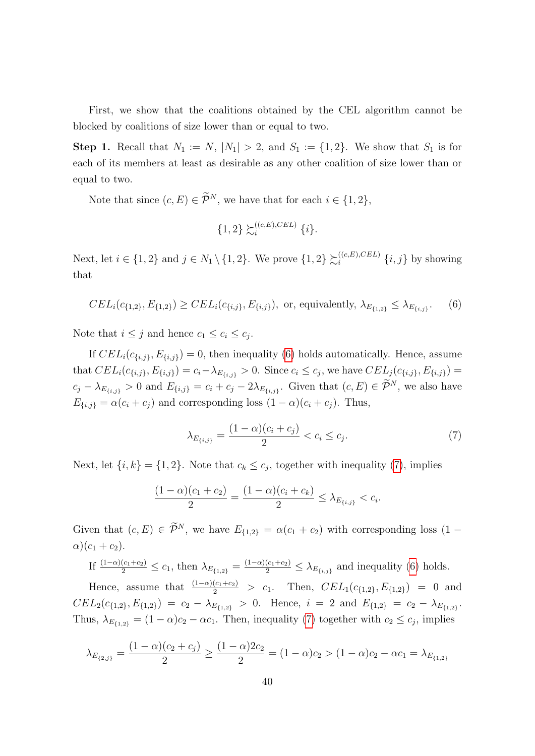First, we show that the coalitions obtained by the CEL algorithm cannot be blocked by coalitions of size lower than or equal to two.

**Step 1.** Recall that  $N_1 := N$ ,  $|N_1| > 2$ , and  $S_1 := \{1, 2\}$ . We show that  $S_1$  is for each of its members at least as desirable as any other coalition of size lower than or equal to two.

Note that since  $(c, E) \in \widetilde{\mathcal{P}}^N$ , we have that for each  $i \in \{1, 2\}$ ,

$$
\{1,2\} \succsim_i^{((c,E),CEL)} \{i\}.
$$

Next, let  $i \in \{1,2\}$  and  $j \in N_1 \setminus \{1,2\}$ . We prove  $\{1,2\} \succsim_i^{((c,E),CEL)}$  $\{i, j\}$  by showing that

<span id="page-39-0"></span>
$$
CEL_i(c_{\{1,2\}}, E_{\{1,2\}}) \geq CEL_i(c_{\{i,j\}}, E_{\{i,j\}}),
$$
 or, equivalently,  $\lambda_{E_{\{1,2\}}} \leq \lambda_{E_{\{i,j\}}}.$  (6)

Note that  $i \leq j$  and hence  $c_1 \leq c_i \leq c_j$ .

If  $CEL_i(c_{\{i,j\}}, E_{\{i,j\}}) = 0$ , then inequality [\(6\)](#page-39-0) holds automatically. Hence, assume that  $CEL_i(c_{\{i,j\}}, E_{\{i,j\}}) = c_i - \lambda_{E_{\{i,j\}}} > 0$ . Since  $c_i \leq c_j$ , we have  $CEL_j(c_{\{i,j\}}, E_{\{i,j\}}) =$  $c_j - \lambda_{E_{\{i,j\}}} > 0$  and  $E_{\{i,j\}} = c_i + c_j - 2\lambda_{E_{\{i,j\}}}$ . Given that  $(c, E) \in \mathcal{P}^N$ , we also have  $E_{\{i,j\}} = \alpha(c_i + c_j)$  and corresponding loss  $(1 - \alpha)(c_i + c_j)$ . Thus,

<span id="page-39-1"></span>
$$
\lambda_{E_{\{i,j\}}} = \frac{(1-\alpha)(c_i + c_j)}{2} < c_i \leq c_j. \tag{7}
$$

Next, let  $\{i,k\} = \{1,2\}$ . Note that  $c_k \leq c_j$ , together with inequality [\(7\)](#page-39-1), implies

$$
\frac{(1-\alpha)(c_1+c_2)}{2} = \frac{(1-\alpha)(c_i+c_k)}{2} \leq \lambda_{E_{\{i,j\}}} < c_i.
$$

Given that  $(c, E) \in \widetilde{\mathcal{P}}^N$ , we have  $E_{\{1,2\}} = \alpha(c_1 + c_2)$  with corresponding loss  $(1 \alpha$ ) $(c_1 + c_2)$ .

If  $\frac{(1-\alpha)(c_1+c_2)}{2} \leq c_1$ , then  $\lambda_{E_{\{1,2\}}} = \frac{(1-\alpha)(c_1+c_2)}{2} \leq \lambda_{E_{\{i,j\}}}$  and inequality [\(6\)](#page-39-0) holds.

Hence, assume that  $\frac{(1-\alpha)(c_1+c_2)}{2} > c_1$ . Then,  $CEL_1(c_{\{1,2\}}, E_{\{1,2\}}) = 0$  and  $CEL_2(c_{\{1,2\}}, E_{\{1,2\}}) = c_2 - \lambda_{E_{\{1,2\}}} > 0.$  Hence,  $i = 2$  and  $E_{\{1,2\}} = c_2 - \lambda_{E_{\{1,2\}}}$ . Thus,  $\lambda_{E_{\{1,2\}}} = (1 - \alpha)c_2 - \alpha c_1$ . Then, inequality [\(7\)](#page-39-1) together with  $c_2 \leq c_j$ , implies

$$
\lambda_{E_{\{2,j\}}} = \frac{(1-\alpha)(c_2+c_j)}{2} \ge \frac{(1-\alpha)2c_2}{2} = (1-\alpha)c_2 > (1-\alpha)c_2 - \alpha c_1 = \lambda_{E_{\{1,2\}}}
$$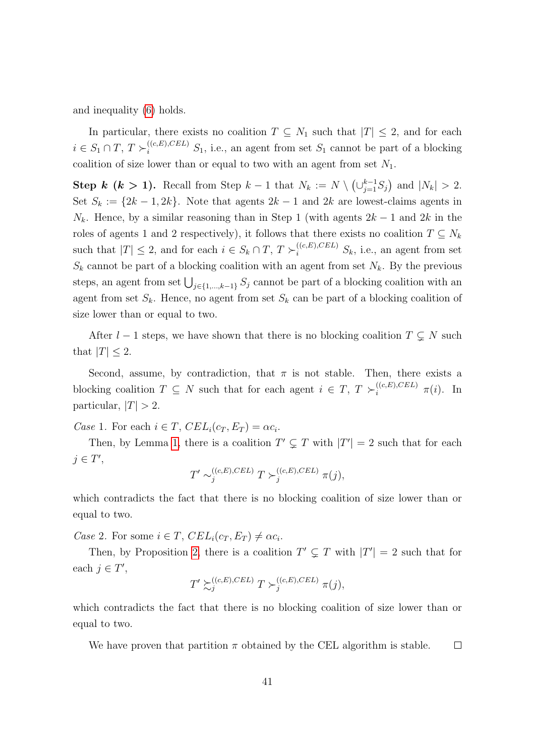and inequality [\(6\)](#page-39-0) holds.

In particular, there exists no coalition  $T \subseteq N_1$  such that  $|T| \leq 2$ , and for each  $i \in S_1 \cap T$ ,  $T \succ_i^{((c,E),CEL)} S_1$ , i.e., an agent from set  $S_1$  cannot be part of a blocking coalition of size lower than or equal to two with an agent from set  $N_1$ .

Step k (k > 1). Recall from Step  $k-1$  that  $N_k := N \setminus (\cup_{j=1}^{k-1} S_j)$  and  $|N_k| > 2$ . Set  $S_k := \{2k - 1, 2k\}$ . Note that agents  $2k - 1$  and  $2k$  are lowest-claims agents in  $N_k$ . Hence, by a similar reasoning than in Step 1 (with agents  $2k-1$  and  $2k$  in the roles of agents 1 and 2 respectively), it follows that there exists no coalition  $T \subseteq N_k$ such that  $|T| \leq 2$ , and for each  $i \in S_k \cap T$ ,  $T \succ_i^{((c,E),CEL)} S_k$ , i.e., an agent from set  $S_k$  cannot be part of a blocking coalition with an agent from set  $N_k$ . By the previous steps, an agent from set  $\bigcup_{j\in\{1,\ldots,k-1\}} S_j$  cannot be part of a blocking coalition with an agent from set  $S_k$ . Hence, no agent from set  $S_k$  can be part of a blocking coalition of size lower than or equal to two.

After  $l - 1$  steps, we have shown that there is no blocking coalition  $T \subsetneq N$  such that  $|T| \leq 2$ .

Second, assume, by contradiction, that  $\pi$  is not stable. Then, there exists a blocking coalition  $T \subseteq N$  such that for each agent  $i \in T$ ,  $T \succ_i^{((c,E),CEL)} \pi(i)$ . In particular,  $|T| > 2$ .

Case 1. For each  $i \in T$ ,  $CEL_i(c_T, E_T) = \alpha c_i$ .

Then, by Lemma [1,](#page-27-1) there is a coalition  $T' \subsetneq T$  with  $|T'| = 2$  such that for each  $j \in T'$ ,

$$
T' \sim_j^{((c,E),CEL)} T \succ_j^{((c,E),CEL)} \pi(j),
$$

which contradicts the fact that there is no blocking coalition of size lower than or equal to two.

Case 2. For some  $i \in T$ ,  $CEL_i(c_T, E_T) \neq \alpha c_i$ .

Then, by Proposition [2,](#page-28-2) there is a coalition  $T' \subsetneq T$  with  $|T'| = 2$  such that for each  $j \in T'$ ,

$$
T' \succsim_j^{((c,E),CEL)} T \succ_j^{((c,E),CEL)} \pi(j),
$$

which contradicts the fact that there is no blocking coalition of size lower than or equal to two.

We have proven that partition  $\pi$  obtained by the CEL algorithm is stable.  $\Box$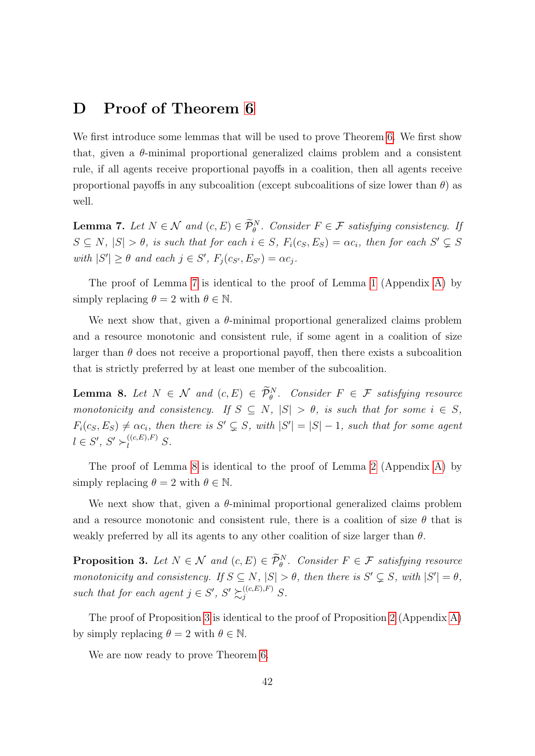### <span id="page-41-0"></span>D Proof of Theorem [6](#page-20-0)

We first introduce some lemmas that will be used to prove Theorem [6.](#page-20-0) We first show that, given a  $\theta$ -minimal proportional generalized claims problem and a consistent rule, if all agents receive proportional payoffs in a coalition, then all agents receive proportional payoffs in any subcoalition (except subcoalitions of size lower than  $\theta$ ) as well.

<span id="page-41-1"></span>**Lemma 7.** Let  $N \in \mathcal{N}$  and  $(c, E) \in \mathcal{P}_{\theta}^{N}$ . Consider  $F \in \mathcal{F}$  satisfying consistency. If  $S \subseteq N$ ,  $|S| > \theta$ , is such that for each  $i \in S$ ,  $F_i(c_S, E_S) = \alpha c_i$ , then for each  $S' \subsetneq S$ with  $|S'| \geq \theta$  and each  $j \in S'$ ,  $F_j(c_{S'}, E_{S'}) = \alpha c_j$ .

The proof of Lemma [7](#page-41-1) is identical to the proof of Lemma [1](#page-27-1) (Appendix [A\)](#page-27-0) by simply replacing  $\theta = 2$  with  $\theta \in \mathbb{N}$ .

We next show that, given a  $\theta$ -minimal proportional generalized claims problem and a resource monotonic and consistent rule, if some agent in a coalition of size larger than  $\theta$  does not receive a proportional payoff, then there exists a subcoalition that is strictly preferred by at least one member of the subcoalition.

<span id="page-41-2"></span>**Lemma 8.** Let  $N \in \mathcal{N}$  and  $(c, E) \in \mathcal{P}_{\theta}^{N}$ . Consider  $F \in \mathcal{F}$  satisfying resource monotonicity and consistency. If  $S \subseteq N$ ,  $|S| > \theta$ , is such that for some  $i \in S$ ,  $F_i(c_S, E_S) \neq \alpha c_i$ , then there is  $S' \subsetneq S$ , with  $|S'| = |S| - 1$ , such that for some agent  $l \in S', S' \succ_l^{((c,E),F)} S.$ 

The proof of Lemma [8](#page-41-2) is identical to the proof of Lemma [2](#page-27-2) (Appendix [A\)](#page-27-0) by simply replacing  $\theta = 2$  with  $\theta \in \mathbb{N}$ .

We next show that, given a  $\theta$ -minimal proportional generalized claims problem and a resource monotonic and consistent rule, there is a coalition of size  $\theta$  that is weakly preferred by all its agents to any other coalition of size larger than  $\theta$ .

<span id="page-41-3"></span>**Proposition 3.** Let  $N \in \mathcal{N}$  and  $(c, E) \in \mathcal{P}_{\theta}^{N}$ . Consider  $F \in \mathcal{F}$  satisfying resource monotonicity and consistency. If  $S \subseteq N$ ,  $|S| > \theta$ , then there is  $S' \subseteq S$ , with  $|S'| = \theta$ , such that for each agent  $j \in S'$ ,  $S' \succsim_{j}^{((c,E),F)} S$ .

The proof of Proposition [3](#page-41-3) is identical to the proof of Proposition [2](#page-28-2) (Appendix [A\)](#page-27-0) by simply replacing  $\theta = 2$  with  $\theta \in \mathbb{N}$ .

We are now ready to prove Theorem [6.](#page-20-0)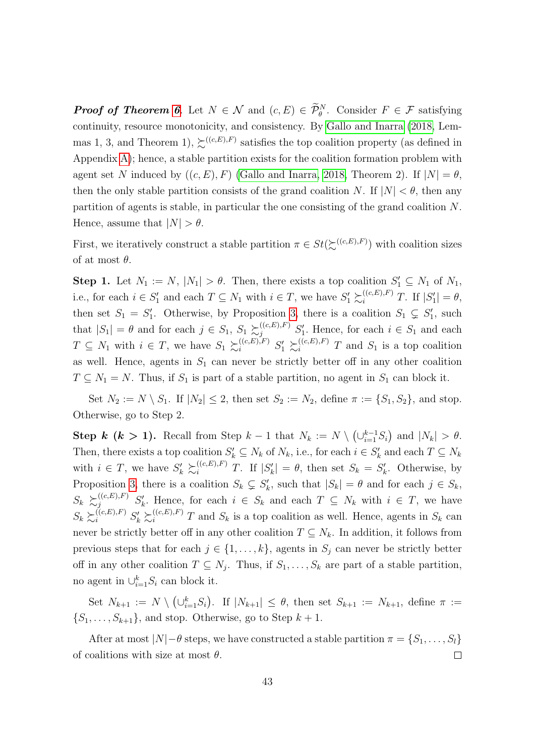**Proof of Theorem [6](#page-20-0).** Let  $N \in \mathcal{N}$  and  $(c, E) \in \mathcal{P}_{\theta}^{N}$ . Consider  $F \in \mathcal{F}$  satisfying continuity, resource monotonicity, and consistency. By [Gallo and Inarra](#page-59-0) [\(2018,](#page-59-0) Lemmas 1, 3, and Theorem 1),  $\succsim^{((c,E),F)}$  satisfies the top coalition property (as defined in Appendix [A\)](#page-27-0); hence, a stable partition exists for the coalition formation problem with agent set N induced by  $((c, E), F)$  [\(Gallo and Inarra, 2018,](#page-59-0) Theorem 2). If  $|N| = \theta$ , then the only stable partition consists of the grand coalition N. If  $|N| < \theta$ , then any partition of agents is stable, in particular the one consisting of the grand coalition N. Hence, assume that  $|N| > \theta$ .

First, we iteratively construct a stable partition  $\pi \in St(\Sigma^{((c,E),F)})$  with coalition sizes of at most  $\theta$ .

**Step 1.** Let  $N_1 := N$ ,  $|N_1| > \theta$ . Then, there exists a top coalition  $S'_1 \subseteq N_1$  of  $N_1$ , i.e., for each  $i \in S'_1$  and each  $T \subseteq N_1$  with  $i \in T$ , we have  $S'_1 \succsim_i^{((c,E),F)} T$ . If  $|S'_1| = \theta$ , then set  $S_1 = S'_1$ . Otherwise, by Proposition [3,](#page-41-3) there is a coalition  $S_1 \subsetneq S'_1$ , such that  $|S_1| = \theta$  and for each  $j \in S_1$ ,  $S_1 \succsim^{((c,E),F)} S'_1$ . Hence, for each  $i \in S_1$  and each  $T \subseteq N_1$  with  $i \in T$ , we have  $S_1 \succsim_i^{((c,E),F)} S'_1 \succsim_i^{((c,E),F)} T$  and  $S_1$  is a top coalition as well. Hence, agents in  $S_1$  can never be strictly better off in any other coalition  $T \subseteq N_1 = N$ . Thus, if  $S_1$  is part of a stable partition, no agent in  $S_1$  can block it.

Set  $N_2 := N \setminus S_1$ . If  $|N_2| \leq 2$ , then set  $S_2 := N_2$ , define  $\pi := \{S_1, S_2\}$ , and stop. Otherwise, go to Step 2.

Step k (k > 1). Recall from Step  $k-1$  that  $N_k := N \setminus (\cup_{i=1}^{k-1} S_i)$  and  $|N_k| > \theta$ . Then, there exists a top coalition  $S'_k \subseteq N_k$  of  $N_k$ , i.e., for each  $i \in S'_k$  and each  $T \subseteq N_k$ with  $i \in T$ , we have  $S'_k \succeq_i^{((c,E),F)} T$ . If  $|S'_k| = \theta$ , then set  $S_k = S'_k$ . Otherwise, by Proposition [3,](#page-41-3) there is a coalition  $S_k \subsetneq S'_k$ , such that  $|S_k| = \theta$  and for each  $j \in S_k$ ,  $S_k \succeq_{j}^{((c,E),F)} S'_k$ . Hence, for each  $i \in S_k$  and each  $T \subseteq N_k$  with  $i \in T$ , we have  $S_k \succeq_i^{((c,E),F)} S'_k \succeq_i^{((c,E),F)} T$  and  $S_k$  is a top coalition as well. Hence, agents in  $S_k$  can never be strictly better off in any other coalition  $T \subseteq N_k$ . In addition, it follows from previous steps that for each  $j \in \{1, \ldots, k\}$ , agents in  $S_j$  can never be strictly better off in any other coalition  $T \subseteq N_j$ . Thus, if  $S_1, \ldots, S_k$  are part of a stable partition, no agent in  $\cup_{i=1}^k S_i$  can block it.

Set  $N_{k+1} := N \setminus (\cup_{i=1}^k S_i)$ . If  $|N_{k+1}| \leq \theta$ , then set  $S_{k+1} := N_{k+1}$ , define  $\pi :=$  $\{S_1, \ldots, S_{k+1}\}\$ , and stop. Otherwise, go to Step  $k+1$ .

After at most  $|N|-\theta$  steps, we have constructed a stable partition  $\pi = \{S_1, \ldots, S_l\}$ of coalitions with size at most  $\theta$ .  $\Box$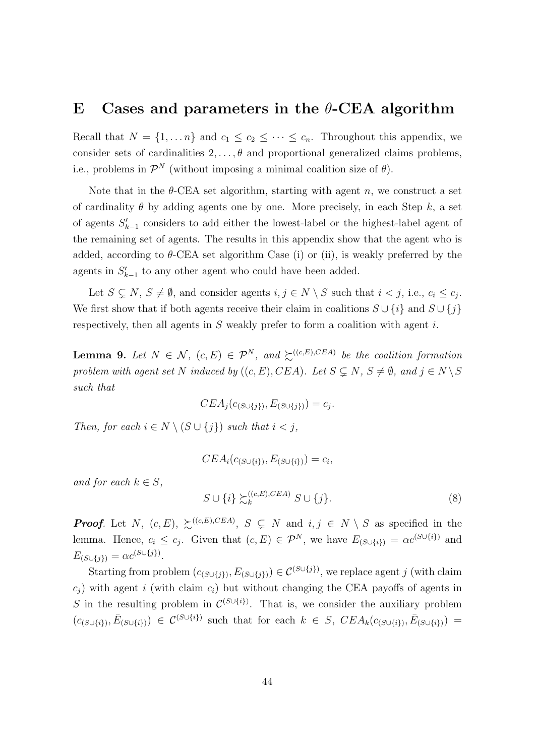### <span id="page-43-0"></span>E Cases and parameters in the  $\theta$ -CEA algorithm

Recall that  $N = \{1, ..., n\}$  and  $c_1 \leq c_2 \leq ... \leq c_n$ . Throughout this appendix, we consider sets of cardinalities  $2, \ldots, \theta$  and proportional generalized claims problems, i.e., problems in  $\mathcal{P}^N$  (without imposing a minimal coalition size of  $\theta$ ).

Note that in the  $\theta$ -CEA set algorithm, starting with agent n, we construct a set of cardinality  $\theta$  by adding agents one by one. More precisely, in each Step k, a set of agents  $S'_{k-1}$  considers to add either the lowest-label or the highest-label agent of the remaining set of agents. The results in this appendix show that the agent who is added, according to  $\theta$ -CEA set algorithm Case (i) or (ii), is weakly preferred by the agents in  $S'_{k-1}$  to any other agent who could have been added.

Let  $S \subsetneq N$ ,  $S \neq \emptyset$ , and consider agents  $i, j \in N \setminus S$  such that  $i < j$ , i.e.,  $c_i \leq c_j$ . We first show that if both agents receive their claim in coalitions  $S \cup \{i\}$  and  $S \cup \{j\}$ respectively, then all agents in S weakly prefer to form a coalition with agent i.

<span id="page-43-1"></span>**Lemma 9.** Let  $N \in \mathcal{N}$ ,  $(c, E) \in \mathcal{P}^N$ , and  $\succeq^{((c, E), CEA)}$  be the coalition formation problem with agent set N induced by  $((c, E), CEA)$ . Let  $S \subsetneq N$ ,  $S \neq \emptyset$ , and  $j \in N \backslash S$ such that

$$
CEA_j(c_{(S\cup\{j\})}, E_{(S\cup\{j\})}) = c_j.
$$

Then, for each  $i \in N \setminus (S \cup \{j\})$  such that  $i < j$ ,

$$
CEA_i(c_{(S\cup\{i\})}, E_{(S\cup\{i\})}) = c_i,
$$

and for each  $k \in S$ ,

$$
S \cup \{i\} \succsim_k^{((c,E),CEA)} S \cup \{j\}.
$$
 (8)

**Proof.** Let N,  $(c, E)$ ,  $\succsim^{((c, E), CEA)}$ ,  $S \subseteq N$  and  $i, j \in N \setminus S$  as specified in the lemma. Hence,  $c_i \leq c_j$ . Given that  $(c, E) \in \mathcal{P}^N$ , we have  $E_{(S \cup \{i\})} = \alpha c^{(S \cup \{i\})}$  and  $E_{(S \cup \{j\})} = \alpha c^{(S \cup \{j\})}.$ 

Starting from problem  $(c_{(S\cup\{j\})}, E_{(S\cup\{j\})}) \in C^{(S\cup\{j\})}$ , we replace agent j (with claim  $c_i$ ) with agent i (with claim  $c_i$ ) but without changing the CEA payoffs of agents in S in the resulting problem in  $\mathcal{C}^{(S\cup\{i\})}$ . That is, we consider the auxiliary problem  $(c_{(S\cup\{i\})}, \bar{E}_{(S\cup\{i\})}) \in C^{(S\cup\{i\})}$  such that for each  $k \in S$ ,  $CEA_k(c_{(S\cup\{i\})}, \bar{E}_{(S\cup\{i\})})$  =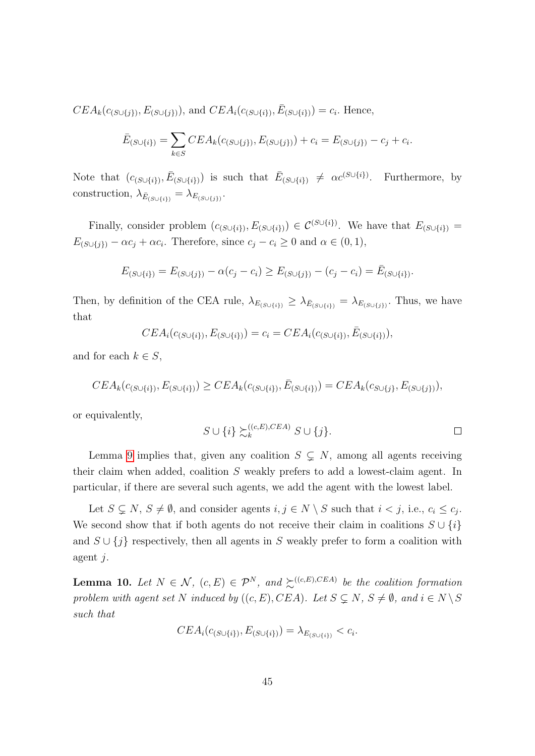$CEA_k(c_{(S\cup\{j\})}, E_{(S\cup\{j\})}),$  and  $CEA_i(c_{(S\cup\{i\})}, \bar{E}_{(S\cup\{i\})}) = c_i$ . Hence,

$$
\bar{E}_{(S \cup \{i\})} = \sum_{k \in S} CEA_k(c_{(S \cup \{j\})}, E_{(S \cup \{j\})}) + c_i = E_{(S \cup \{j\})} - c_j + c_i.
$$

Note that  $(c_{(S\cup\{i\})}, \bar{E}_{(S\cup\{i\})})$  is such that  $\bar{E}_{(S\cup\{i\})} \neq \alpha c^{(S\cup\{i\})}$ . Furthermore, by construction,  $\lambda_{\bar{E}_{(S\cup\{i\})}} = \lambda_{E_{(S\cup\{j\})}}$ .

Finally, consider problem  $(c_{(S\cup\{i\})}, E_{(S\cup\{i\})}) \in C^{(S\cup\{i\})}$ . We have that  $E_{(S\cup\{i\})}$  $E_{(S \cup \{j\})} - \alpha c_j + \alpha c_i$ . Therefore, since  $c_j - c_i \geq 0$  and  $\alpha \in (0, 1)$ ,

$$
E_{(S \cup \{i\})} = E_{(S \cup \{j\})} - \alpha(c_j - c_i) \ge E_{(S \cup \{j\})} - (c_j - c_i) = \bar{E}_{(S \cup \{i\})}.
$$

Then, by definition of the CEA rule,  $\lambda_{E_{(S\cup\{i\})}} \geq \lambda_{E_{(S\cup\{i\})}} = \lambda_{E_{(S\cup\{j\})}}$ . Thus, we have that

$$
CEA_i(c_{(S\cup\{i\})}, E_{(S\cup\{i\})}) = c_i = CEA_i(c_{(S\cup\{i\})}, \bar{E}_{(S\cup\{i\})}),
$$

and for each  $k \in S$ ,

$$
CEA_k(c_{(S\cup\{i\})}, E_{(S\cup\{i\})}) \geq CEA_k(c_{(S\cup\{i\})}, \bar{E}_{(S\cup\{i\})}) = CEA_k(c_{S\cup\{j\}}, E_{(S\cup\{j\})}),
$$

or equivalently,

$$
S \cup \{i\} \succsim_k^{((c,E),CEA)} S \cup \{j\}.
$$

Lemma [9](#page-43-1) implies that, given any coalition  $S \subsetneq N$ , among all agents receiving their claim when added, coalition S weakly prefers to add a lowest-claim agent. In particular, if there are several such agents, we add the agent with the lowest label.

Let  $S \subsetneq N$ ,  $S \neq \emptyset$ , and consider agents  $i, j \in N \setminus S$  such that  $i < j$ , i.e.,  $c_i \leq c_j$ . We second show that if both agents do not receive their claim in coalitions  $S \cup \{i\}$ and  $S \cup \{j\}$  respectively, then all agents in S weakly prefer to form a coalition with agent j.

<span id="page-44-0"></span>**Lemma 10.** Let  $N \in \mathcal{N}$ ,  $(c, E) \in \mathcal{P}^N$ , and  $\succeq^{((c, E), CEA)}$  be the coalition formation problem with agent set N induced by  $((c, E), CEA)$ . Let  $S \subsetneq N$ ,  $S \neq \emptyset$ , and  $i \in N \setminus S$ such that

$$
CEA_i(c_{(S \cup \{i\})}, E_{(S \cup \{i\})}) = \lambda_{E_{(S \cup \{i\})}} < c_i.
$$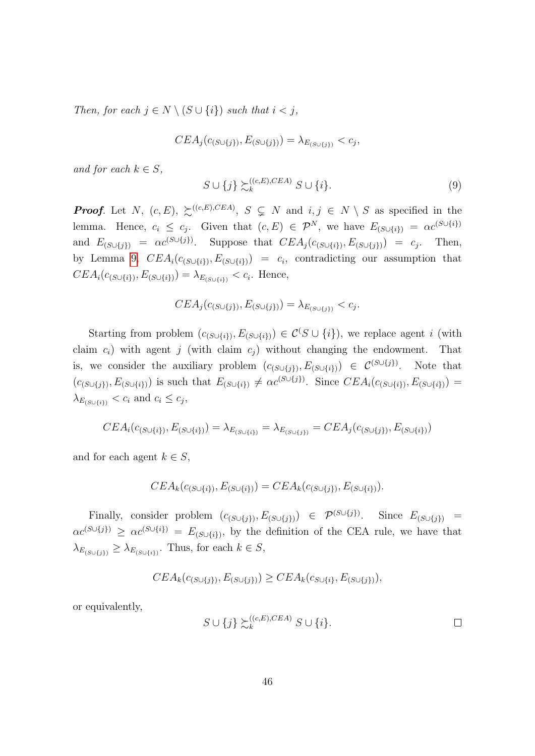Then, for each  $j \in N \setminus (S \cup \{i\})$  such that  $i < j$ ,

$$
CEA_j(c_{(S \cup \{j\})}, E_{(S \cup \{j\})}) = \lambda_{E_{(S \cup \{j\})}} < c_j,
$$

and for each  $k \in S$ ,

$$
S \cup \{j\} \succsim_k^{((c,E),CEA)} S \cup \{i\}.
$$
\n
$$
(9)
$$

**Proof.** Let N,  $(c, E)$ ,  $\succsim^{((c, E), CEA)}$ ,  $S \subsetneq N$  and  $i, j \in N \setminus S$  as specified in the lemma. Hence,  $c_i \leq c_j$ . Given that  $(c, E) \in \mathcal{P}^N$ , we have  $E_{(S \cup \{i\})} = \alpha c^{(S \cup \{i\})}$ and  $E_{(S\cup\{j\})} = \alpha c^{(S\cup\{j\})}$ . Suppose that  $CEA_j(c_{(S\cup\{i\})}, E_{(S\cup\{j\})}) = c_j$ . Then, by Lemma [9,](#page-43-1)  $CEA_i(c_{(S\cup\{i\})}, E_{(S\cup\{i\})}) = c_i$ , contradicting our assumption that  $CEA_i(c_{(S\cup\{i\})}, E_{(S\cup\{i\})}) = \lambda_{E_{(S\cup\{i\})}} < c_i$ . Hence,

$$
CEA_j(c_{(S \cup \{j\})}, E_{(S \cup \{j\})}) = \lambda_{E_{(S \cup \{j\})}} < c_j.
$$

Starting from problem  $(c_{(S\cup\{i\})}, E_{(S\cup\{i\})}) \in C(S\cup\{i\})$ , we replace agent i (with claim  $c_i$ ) with agent j (with claim  $c_i$ ) without changing the endowment. That is, we consider the auxiliary problem  $(c_{(S\cup\{j\})}, E_{(S\cup\{i\})}) \in C^{(S\cup\{j\})}$ . Note that  $(c_{(S\cup\{i\})}, E_{(S\cup\{i\})})$  is such that  $E_{(S\cup\{i\})} \neq \alpha c^{(S\cup\{j\})}$ . Since  $CEA_i(c_{(S\cup\{i\})}, E_{(S\cup\{i\})})$  =  $\lambda_{E_{(S\cup\{i\})}} < c_i$  and  $c_i \leq c_j$ ,

$$
CEA_i(c_{(S\cup\{i\})}, E_{(S\cup\{i\})}) = \lambda_{E_{(S\cup\{i\})}} = \lambda_{E_{(S\cup\{j\})}} = CEA_j(c_{(S\cup\{j\})}, E_{(S\cup\{i\})})
$$

and for each agent  $k \in S$ ,

$$
CEA_k(c_{(S\cup\{i\})}, E_{(S\cup\{i\})}) = CEA_k(c_{(S\cup\{j\})}, E_{(S\cup\{i\})}).
$$

Finally, consider problem  $(c_{(S\cup\{j\})}, E_{(S\cup\{j\})}) \in \mathcal{P}^{(S\cup\{j\})}$ . Since  $E_{(S\cup\{j\})}$  =  $\alpha c^{(S\cup\{i\})} \geq \alpha c^{(S\cup\{i\})} = E_{(S\cup\{i\})}$ , by the definition of the CEA rule, we have that  $\lambda_{E_{(S \cup \{i\})}} \geq \lambda_{E_{(S \cup \{i\})}}$ . Thus, for each  $k \in S$ ,

$$
CEA_k(c_{(S\cup\{j\})}, E_{(S\cup\{j\})}) \geq CEA_k(c_{S\cup\{i\}}, E_{(S\cup\{j\})}),
$$

or equivalently,

$$
S \cup \{j\} \succsim_k^{((c,E),CEA)} S \cup \{i\}.
$$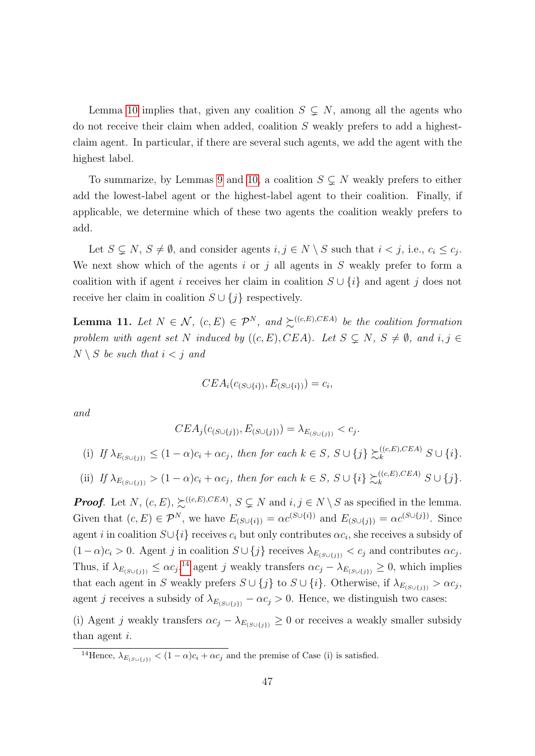Lemma [10](#page-44-0) implies that, given any coalition  $S \subsetneq N$ , among all the agents who do not receive their claim when added, coalition S weakly prefers to add a highestclaim agent. In particular, if there are several such agents, we add the agent with the highest label.

To summarize, by Lemmas [9](#page-43-1) and [10,](#page-44-0) a coalition  $S \subseteq N$  weakly prefers to either add the lowest-label agent or the highest-label agent to their coalition. Finally, if applicable, we determine which of these two agents the coalition weakly prefers to add.

Let  $S \subsetneq N$ ,  $S \neq \emptyset$ , and consider agents  $i, j \in N \setminus S$  such that  $i < j$ , i.e.,  $c_i \leq c_j$ . We next show which of the agents i or j all agents in  $S$  weakly prefer to form a coalition with if agent i receives her claim in coalition  $S \cup \{i\}$  and agent j does not receive her claim in coalition  $S \cup \{j\}$  respectively.

<span id="page-46-1"></span>**Lemma 11.** Let  $N \in \mathcal{N}$ ,  $(c, E) \in \mathcal{P}^N$ , and  $\succeq^{((c, E), CEA)}$  be the coalition formation problem with agent set N induced by  $((c, E), CEA)$ . Let  $S \subseteq N$ ,  $S \neq \emptyset$ , and  $i, j \in$  $N \setminus S$  be such that  $i < j$  and

$$
CEA_i(c_{(S\cup\{i\})}, E_{(S\cup\{i\})}) = c_i,
$$

and

$$
CEA_j(c_{(S\cup\{j\})}, E_{(S\cup\{j\})}) = \lambda_{E_{(S\cup\{j\})}} < c_j.
$$

(i) If 
$$
\lambda_{E_{(S \cup \{j\})}} \leq (1 - \alpha)c_i + \alpha c_j
$$
, then for each  $k \in S$ ,  $S \cup \{j\} \succsim_k^{((c,E),CEA)} S \cup \{i\}$ .

(ii) If 
$$
\lambda_{E_{(S \cup \{j\})}} > (1 - \alpha)c_i + \alpha c_j
$$
, then for each  $k \in S$ ,  $S \cup \{i\} \succsim_k^{((c, E), CEA)} S \cup \{j\}$ .

**Proof.** Let N,  $(c, E)$ ,  $\succsim^{((c, E), CEA)}$ ,  $S \subsetneq N$  and  $i, j \in N \setminus S$  as specified in the lemma. Given that  $(c, E) \in \mathcal{P}^N$ , we have  $E_{(S \cup \{i\})} = \alpha c^{(S \cup \{i\})}$  and  $E_{(S \cup \{j\})} = \alpha c^{(S \cup \{j\})}$ . Since agent i in coalition  $S \cup \{i\}$  receives  $c_i$  but only contributes  $\alpha c_i$ , she receives a subsidy of  $(1-\alpha)c_i > 0$ . Agent j in coalition  $S \cup \{j\}$  receives  $\lambda_{E(S \cup \{j\})} < c_j$  and contributes  $\alpha c_j$ . Thus, if  $\lambda_{E_{(S \cup \{j\})}} \leq \alpha c_j$ ,<sup>[14](#page-46-0)</sup> agent j weakly transfers  $\alpha c_j - \lambda_{E_{(S \cup \{j\})}} \geq 0$ , which implies that each agent in S weakly prefers  $S \cup \{j\}$  to  $S \cup \{i\}$ . Otherwise, if  $\lambda_{E_{(S \cup \{j\})}} > \alpha c_j$ , agent j receives a subsidy of  $\lambda_{E(S \cup \{j\})} - \alpha c_j > 0$ . Hence, we distinguish two cases:

(i) Agent j weakly transfers  $\alpha c_j - \lambda_{E(S \cup \{j\})} \geq 0$  or receives a weakly smaller subsidy than agent i.

<span id="page-46-0"></span><sup>&</sup>lt;sup>14</sup>Hence,  $\lambda_{E_{(S \cup \{j\})}} < (1 - \alpha)c_i + \alpha c_j$  and the premise of Case (i) is satisfied.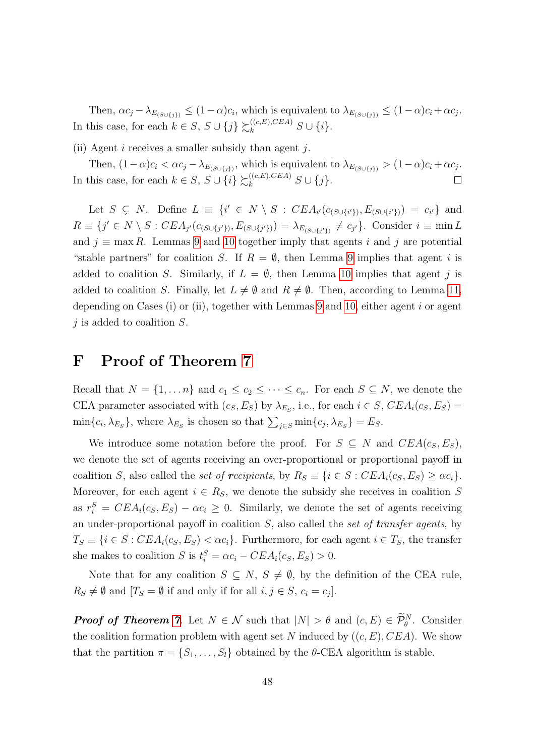Then,  $\alpha c_j - \lambda_{E(S \cup \{j\})} \leq (1 - \alpha) c_i$ , which is equivalent to  $\lambda_{E(S \cup \{j\})} \leq (1 - \alpha) c_i + \alpha c_j$ . In this case, for each  $k \in S$ ,  $S \cup \{j\} \succsim_k^{((c,E),CEA)} S \cup \{i\}.$ 

(ii) Agent i receives a smaller subsidy than agent j.

Then,  $(1-\alpha)c_i < \alpha c_j - \lambda_{E_{(S \cup \{j\})}}$ , which is equivalent to  $\lambda_{E_{(S \cup \{j\})}} > (1-\alpha)c_i + \alpha c_j$ . In this case, for each  $k \in S$ ,  $S \cup \{i\} \succsim_k^{((c,E),CEA)} S \cup \{j\}$ .

Let  $S \subseteq N$ . Define  $L \equiv \{i' \in N \setminus S : CEA_{i'}(c_{(S\cup\{i'\})}, E_{(S\cup\{i'\})}) = c_{i'}\}$  and  $R \equiv \{j' \in N \setminus S : CEA_{j'}(c_{(S \cup \{j'\})}, E_{(S \cup \{j'\})}) = \lambda_{E_{(S \cup \{j'\})}} \neq c_{j'}\}.$  Consider  $i \equiv \min L$ and  $j \equiv \max R$ . Lemmas [9](#page-43-1) and [10](#page-44-0) together imply that agents i and j are potential "stable partners" for coalition S. If  $R = \emptyset$ , then Lemma [9](#page-43-1) implies that agent i is added to coalition S. Similarly, if  $L = \emptyset$ , then Lemma [10](#page-44-0) implies that agent j is added to coalition S. Finally, let  $L \neq \emptyset$  and  $R \neq \emptyset$ . Then, according to Lemma [11,](#page-46-1) depending on Cases (i) or (ii), together with Lemmas [9](#page-43-1) and [10,](#page-44-0) either agent  $i$  or agent  $j$  is added to coalition  $S$ .

### <span id="page-47-0"></span>F Proof of Theorem [7](#page-23-0)

Recall that  $N = \{1, ..., n\}$  and  $c_1 \leq c_2 \leq ... \leq c_n$ . For each  $S \subseteq N$ , we denote the CEA parameter associated with  $(c_S, E_S)$  by  $\lambda_{E_S}$ , i.e., for each  $i \in S$ ,  $CEA_i(c_S, E_S)$  =  $\min\{c_i, \lambda_{E_S}\}\$ , where  $\lambda_{E_S}$  is chosen so that  $\sum_{j \in S} \min\{c_j, \lambda_{E_S}\} = E_S$ .

We introduce some notation before the proof. For  $S \subseteq N$  and  $CEA(c_S, E_S)$ , we denote the set of agents receiving an over-proportional or proportional payoff in coalition S, also called the set of recipients, by  $R_S \equiv \{i \in S : CEA_i(c_S, E_S) \geq \alpha c_i\}.$ Moreover, for each agent  $i \in R_S$ , we denote the subsidy she receives in coalition S as  $r_i^S = CEA_i(c_S, E_S) - \alpha c_i \geq 0$ . Similarly, we denote the set of agents receiving an under-proportional payoff in coalition  $S$ , also called the set of transfer agents, by  $T_S \equiv \{i \in S : CEA_i(c_S, E_S) < \alpha c_i\}.$  Furthermore, for each agent  $i \in T_S$ , the transfer she makes to coalition S is  $t_i^S = \alpha c_i - CEA_i(c_S, E_S) > 0$ .

Note that for any coalition  $S \subseteq N$ ,  $S \neq \emptyset$ , by the definition of the CEA rule,  $R_S \neq \emptyset$  and  $[T_S = \emptyset$  if and only if for all  $i, j \in S$ ,  $c_i = c_j$ .

**Proof of Theorem [7](#page-23-0).** Let  $N \in \mathcal{N}$  such that  $|N| > \theta$  and  $(c, E) \in \mathcal{P}_{\theta}^{N}$ . Consider the coalition formation problem with agent set N induced by  $((c, E), CEA)$ . We show that the partition  $\pi = \{S_1, \ldots, S_l\}$  obtained by the  $\theta$ -CEA algorithm is stable.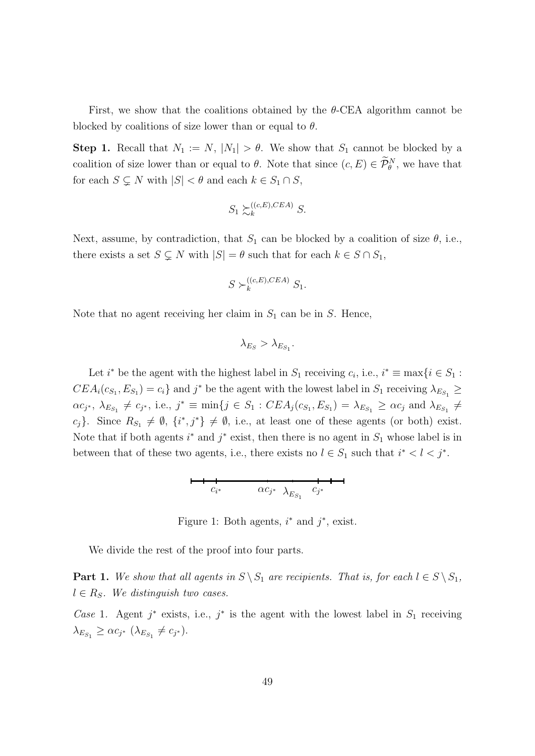First, we show that the coalitions obtained by the  $\theta$ -CEA algorithm cannot be blocked by coalitions of size lower than or equal to  $\theta$ .

**Step 1.** Recall that  $N_1 := N$ ,  $|N_1| > \theta$ . We show that  $S_1$  cannot be blocked by a coalition of size lower than or equal to  $\theta$ . Note that since  $(c, E) \in \mathcal{P}_{\theta}^{N}$ , we have that for each  $S \subsetneq N$  with  $|S| < \theta$  and each  $k \in S_1 \cap S$ ,

$$
S_1 \succsim_k^{((c,E),CEA)} S.
$$

Next, assume, by contradiction, that  $S_1$  can be blocked by a coalition of size  $\theta$ , i.e., there exists a set  $S \subsetneq N$  with  $|S| = \theta$  such that for each  $k \in S \cap S_1$ ,

$$
S \succ_k ^{(c,E),CEA)} S_1.
$$

Note that no agent receiving her claim in  $S_1$  can be in S. Hence,

$$
\lambda_{E_S} > \lambda_{E_{S_1}}.
$$

Let  $i^*$  be the agent with the highest label in  $S_1$  receiving  $c_i$ , i.e.,  $i^* \equiv \max\{i \in S_1 : S_2 \}$  $CEA_i(c_{S_1}, E_{S_1}) = c_i$  and  $j^*$  be the agent with the lowest label in  $S_1$  receiving  $\lambda_{E_{S_1}} \ge$  $\alpha c_{j^*}, \ \lambda_{E_{S_1}} \neq c_{j^*}, \ i.e.,\ j^* \equiv \min\{j \in S_1 : CEA_j(c_{S_1}, E_{S_1}) = \lambda_{E_{S_1}} \geq \alpha c_j \text{ and } \lambda_{E_{S_1}} \neq$ c<sub>j</sub>}. Since  $R_{S_1} \neq \emptyset$ ,  $\{i^*, j^*\}\neq \emptyset$ , i.e., at least one of these agents (or both) exist. Note that if both agents  $i^*$  and  $j^*$  exist, then there is no agent in  $S_1$  whose label is in between that of these two agents, i.e., there exists no  $l \in S_1$  such that  $i^* < l < j^*$ .

ci <sup>∗</sup> αc<sup>j</sup> cj <sup>∗</sup> λ<sup>E</sup>S<sup>1</sup> ∗

Figure 1: Both agents,  $i^*$  and  $j^*$ , exist.

We divide the rest of the proof into four parts.

**Part 1.** We show that all agents in  $S \setminus S_1$  are recipients. That is, for each  $l \in S \setminus S_1$ ,  $l \in R_S$ . We distinguish two cases.

Case 1. Agent  $j^*$  exists, i.e.,  $j^*$  is the agent with the lowest label in  $S_1$  receiving  $\lambda_{E_{S_1}} \geq \alpha c_{j^*} (\lambda_{E_{S_1}} \neq c_{j^*}).$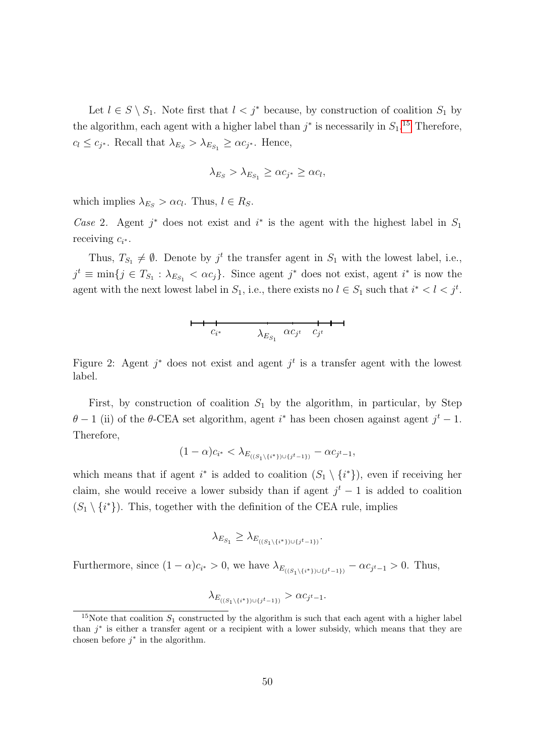Let  $l \in S \setminus S_1$ . Note first that  $l < j^*$  because, by construction of coalition  $S_1$  by the algorithm, each agent with a higher label than  $j^*$  is necessarily in  $S_1$ <sup>[15](#page-49-0)</sup>. Therefore,  $c_l \leq c_{j^*}$ . Recall that  $\lambda_{E_S} > \lambda_{E_{S_1}} \geq \alpha c_{j^*}$ . Hence,

$$
\lambda_{E_S} > \lambda_{E_{S_1}} \geq \alpha c_{j^*} \geq \alpha c_l,
$$

which implies  $\lambda_{E_S} > \alpha c_l$ . Thus,  $l \in R_S$ .

Case 2. Agent  $j^*$  does not exist and  $i^*$  is the agent with the highest label in  $S_1$ receiving  $c_{i^*}$ .

Thus,  $T_{S_1} \neq \emptyset$ . Denote by  $j^t$  the transfer agent in  $S_1$  with the lowest label, i.e.,  $j^t \equiv \min\{j \in T_{S_1} : \lambda_{E_{S_1}} < \alpha c_j\}$ . Since agent  $j^*$  does not exist, agent  $i^*$  is now the agent with the next lowest label in  $S_1$ , i.e., there exists no  $l \in S_1$  such that  $i^* < l < j^t$ .

ci αc<sup>j</sup> <sup>t</sup> c<sup>j</sup> <sup>∗</sup> λ<sup>E</sup>S<sup>1</sup> t

Figure 2: Agent  $j^*$  does not exist and agent  $j^t$  is a transfer agent with the lowest label.

First, by construction of coalition  $S_1$  by the algorithm, in particular, by Step  $\theta$  – 1 (ii) of the  $\theta$ -CEA set algorithm, agent i<sup>\*</sup> has been chosen against agent  $j^t$  – 1. Therefore,

$$
(1 - \alpha)c_{i^*} < \lambda_{E_{((S_1 \setminus \{i^*\}) \cup \{j^t - 1\})}} - \alpha c_{j^t - 1},
$$

which means that if agent  $i^*$  is added to coalition  $(S_1 \setminus \{i^*\})$ , even if receiving her claim, she would receive a lower subsidy than if agent  $j<sup>t</sup> - 1$  is added to coalition  $(S_1 \setminus \{i^*\})$ . This, together with the definition of the CEA rule, implies

$$
\lambda_{E_{S_1}} \geq \lambda_{E_{((S_1 \setminus \{i^*\}) \cup \{j^t-1\})}}.
$$

Furthermore, since  $(1 - \alpha)c_{i^*} > 0$ , we have  $\lambda_{E_{((S_1 \setminus \{i^*\}) \cup \{j^t-1\})}} - \alpha c_{j^t-1} > 0$ . Thus,

$$
\lambda_{E_{((S_1\backslash \{i^*\})\cup \{j^t-1\})}}>\alpha_{Cj^t-1}.
$$

<span id="page-49-0"></span><sup>&</sup>lt;sup>15</sup>Note that coalition  $S_1$  constructed by the algorithm is such that each agent with a higher label than  $j^*$  is either a transfer agent or a recipient with a lower subsidy, which means that they are chosen before  $j^*$  in the algorithm.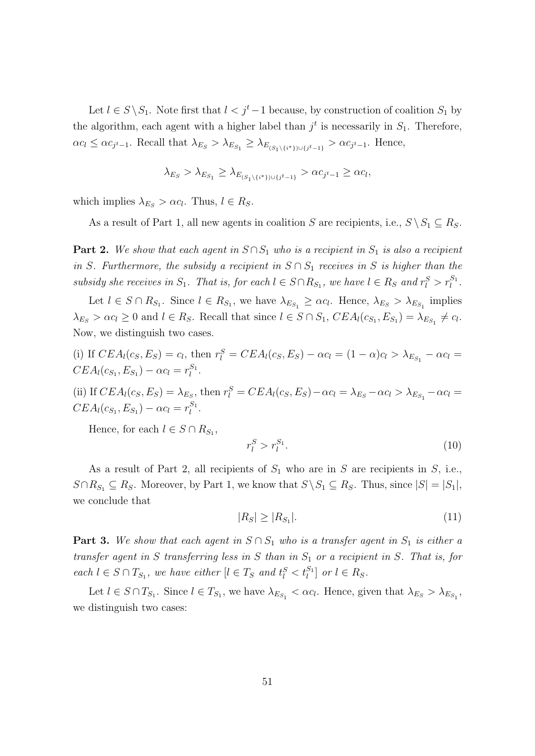Let  $l \in S \setminus S_1$ . Note first that  $l < j<sup>t</sup> - 1$  because, by construction of coalition  $S_1$  by the algorithm, each agent with a higher label than  $j<sup>t</sup>$  is necessarily in  $S<sub>1</sub>$ . Therefore,  $\alpha c_l \leq \alpha c_{j^t-1}$ . Recall that  $\lambda_{E_S} > \lambda_{E_{S_1}} \geq \lambda_{E_{(S_1 \setminus \{i^*\}) \cup \{j^t-1\}}} > \alpha c_{j^t-1}$ . Hence,

$$
\lambda_{E_S} > \lambda_{E_{S_1}} \geq \lambda_{E_{(S_1 \setminus \{i^*\}) \cup \{j^t-1\}}} > \alpha c_{j^t-1} \geq \alpha c_l,
$$

which implies  $\lambda_{E_S} > \alpha c_l$ . Thus,  $l \in R_S$ .

As a result of Part 1, all new agents in coalition S are recipients, i.e.,  $S \setminus S_1 \subseteq R_S$ .

**Part 2.** We show that each agent in  $S \cap S_1$  who is a recipient in  $S_1$  is also a recipient in S. Furthermore, the subsidy a recipient in  $S \cap S_1$  receives in S is higher than the subsidy she receives in  $S_1$ . That is, for each  $l \in S \cap R_{S_1}$ , we have  $l \in R_S$  and  $r_l^S > r_l^{S_1}$ .

Let  $l \in S \cap R_{S_1}$ . Since  $l \in R_{S_1}$ , we have  $\lambda_{E_{S_1}} \geq \alpha c_l$ . Hence,  $\lambda_{E_S} > \lambda_{E_{S_1}}$  implies  $\lambda_{E_S} > \alpha c_l \geq 0$  and  $l \in R_S$ . Recall that since  $l \in S \cap S_1$ ,  $CEA_l(c_{S_1}, E_{S_1}) = \lambda_{E_{S_1}} \neq c_l$ . Now, we distinguish two cases.

(i) If 
$$
CEA_l(c_S, E_S) = c_l
$$
, then  $r_l^S = CEA_l(c_S, E_S) - \alpha c_l = (1 - \alpha)c_l > \lambda_{E_{S_1}} - \alpha c_l = CEA_l(c_{S_1}, E_{S_1}) - \alpha c_l = r_l^{S_1}$ .

(ii) If  $CEA_l(c_S, E_S) = \lambda_{E_S}$ , then  $r_l^S = CEA_l(c_S, E_S) - \alpha c_l = \lambda_{E_S} - \alpha c_l > \lambda_{E_{S_1}} - \alpha c_l =$  $CEA_l(c_{S_1}, E_{S_1}) - \alpha c_l = r_l^{S_1}.$ 

Hence, for each  $l \in S \cap R_{S_1}$ ,

<span id="page-50-1"></span>
$$
r_l^S > r_l^{S_1}.\tag{10}
$$

As a result of Part 2, all recipients of  $S_1$  who are in S are recipients in S, i.e.,  $S \cap R_{S_1} \subseteq R_S$ . Moreover, by Part 1, we know that  $S \setminus S_1 \subseteq R_S$ . Thus, since  $|S| = |S_1|$ , we conclude that

<span id="page-50-0"></span>
$$
|R_S| \ge |R_{S_1}|.\tag{11}
$$

**Part 3.** We show that each agent in  $S \cap S_1$  who is a transfer agent in  $S_1$  is either a transfer agent in S transferring less in S than in  $S_1$  or a recipient in S. That is, for  $\text{each } l \in S \cap T_{S_1}, \text{ we have either } [l \in T_S \text{ and } t_l^S < t_l^{S_1}] \text{ or } l \in R_S.$ 

Let  $l \in S \cap T_{S_1}$ . Since  $l \in T_{S_1}$ , we have  $\lambda_{E_{S_1}} < \alpha c_l$ . Hence, given that  $\lambda_{E_S} > \lambda_{E_{S_1}}$ , we distinguish two cases: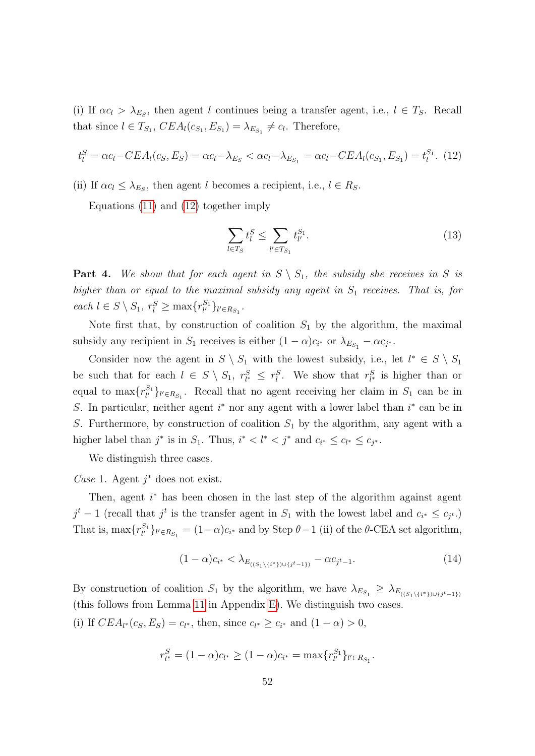(i) If  $\alpha c_l > \lambda_{E_S}$ , then agent l continues being a transfer agent, i.e.,  $l \in T_S$ . Recall that since  $l \in T_{S_1}$ ,  $CEA_l(c_{S_1}, E_{S_1}) = \lambda_{E_{S_1}} \neq c_l$ . Therefore,

<span id="page-51-0"></span>
$$
t_l^S = \alpha c_l - CEA_l(c_S, E_S) = \alpha c_l - \lambda_{E_S} < \alpha c_l - \lambda_{E_{S_1}} = \alpha c_l - CEA_l(c_{S_1}, E_{S_1}) = t_l^{S_1}.\tag{12}
$$

(ii) If  $\alpha c_l \leq \lambda_{E_S}$ , then agent l becomes a recipient, i.e.,  $l \in R_S$ .

Equations [\(11\)](#page-50-0) and [\(12\)](#page-51-0) together imply

<span id="page-51-2"></span>
$$
\sum_{l \in T_S} t_l^S \le \sum_{l' \in T_{S_1}} t_{l'}^{S_1}.
$$
\n(13)

**Part 4.** We show that for each agent in  $S \setminus S_1$ , the subsidy she receives in S is higher than or equal to the maximal subsidy any agent in  $S_1$  receives. That is, for each  $l \in S \setminus S_1$ ,  $r_l^S \ge \max\{r_{l'}^{S_1}\}_{l' \in R_{S_1}}$ .

Note first that, by construction of coalition  $S_1$  by the algorithm, the maximal subsidy any recipient in  $S_1$  receives is either  $(1 - \alpha)c_{i^*}$  or  $\lambda_{E_{S_1}} - \alpha c_{j^*}$ .

Consider now the agent in  $S \setminus S_1$  with the lowest subsidy, i.e., let  $l^* \in S \setminus S_1$ be such that for each  $l \in S \setminus S_1$ ,  $r_{l^*}^S \leq r_l^S$ . We show that  $r_{l^*}^S$  is higher than or equal to  $\max\{r_{l'}^{S_1}\}_{l' \in R_{S_1}}$ . Recall that no agent receiving her claim in  $S_1$  can be in S. In particular, neither agent  $i^*$  nor any agent with a lower label than  $i^*$  can be in S. Furthermore, by construction of coalition  $S_1$  by the algorithm, any agent with a higher label than  $j^*$  is in  $S_1$ . Thus,  $i^* < l^* < j^*$  and  $c_{i^*} \leq c_{l^*} \leq c_{j^*}$ .

We distinguish three cases.

Case 1. Agent  $j^*$  does not exist.

Then, agent  $i^*$  has been chosen in the last step of the algorithm against agent  $j^t-1$  (recall that  $j^t$  is the transfer agent in  $S_1$  with the lowest label and  $c_{i^*} \leq c_{j^t}$ .) That is,  $\max\{r_{l'}^{S_1}\}_{l' \in R_{S_1}} = (1-\alpha)c_{i^*}$  and by Step  $\theta-1$  (ii) of the  $\theta$ -CEA set algorithm,

<span id="page-51-1"></span>
$$
(1 - \alpha)c_{i^*} < \lambda_{E_{((S_1 \setminus \{i^*\}) \cup \{j^t - 1\})}} - \alpha c_{j^t - 1}.\tag{14}
$$

By construction of coalition  $S_1$  by the algorithm, we have  $\lambda_{E_{S_1}} \geq \lambda_{E_{((S_1 \setminus \{i^*\}) \cup \{j^t-1\})}}$ (this follows from Lemma [11](#page-46-1) in Appendix [E\)](#page-43-0). We distinguish two cases. (i) If  $CEA_{l^*}(c_S, E_S) = c_{l^*}$ , then, since  $c_{l^*} \ge c_{i^*}$  and  $(1 - \alpha) > 0$ ,

$$
r_{l^*}^S = (1 - \alpha)c_{l^*} \ge (1 - \alpha)c_{i^*} = \max\{r_{l'}^{S_1}\}_{l' \in R_{S_1}}.
$$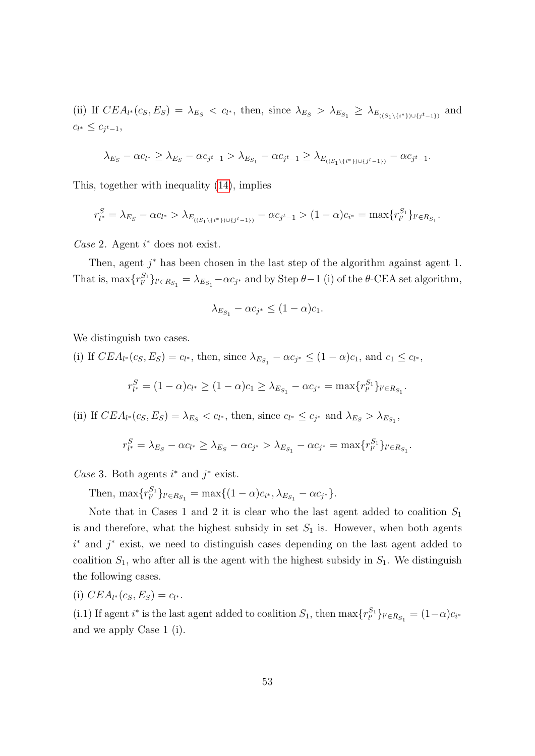(ii) If  $CEA_{l^*}(c_S, E_S) = \lambda_{E_S} < c_{l^*}$ , then, since  $\lambda_{E_S} > \lambda_{E_{S_1}} \geq \lambda_{E_{((S_1 \setminus \{i^*\}) \cup \{j^t-1\})}}$ and  $c_{l^*} \leq c_{j^t-1},$ 

$$
\lambda_{E_S} - \alpha c_{l^*} \ge \lambda_{E_S} - \alpha c_{j^t-1} > \lambda_{E_{S_1}} - \alpha c_{j^t-1} \ge \lambda_{E_{((S_1 \setminus \{i^*\}) \cup \{j^t-1\})}} - \alpha c_{j^t-1}.
$$

This, together with inequality [\(14\)](#page-51-1), implies

$$
r_{l^*}^S = \lambda_{E_S} - \alpha c_{l^*} > \lambda_{E_{((S_1 \setminus \{i^*\}) \cup \{j^t-1\})}} - \alpha c_{j^t-1} > (1-\alpha)c_{i^*} = \max\{r_{l'}^{S_1}\}_{l' \in R_{S_1}}.
$$

 $Case 2.$  Agent  $i^*$  does not exist.

Then, agent  $j^*$  has been chosen in the last step of the algorithm against agent 1. That is,  $\max\{r_{l'}^{S_1}\}_{l' \in R_{S_1}} = \lambda_{E_{S_1}} - \alpha c_{j^*}$  and by Step  $\theta - 1$  (i) of the  $\theta$ -CEA set algorithm,

$$
\lambda_{E_{S_1}} - \alpha c_{j^*} \le (1 - \alpha) c_1.
$$

We distinguish two cases.

(i) If  $CEA_{l^*}(c_S, E_S) = c_{l^*}$ , then, since  $\lambda_{E_{S_1}} - \alpha c_{j^*} \leq (1 - \alpha)c_1$ , and  $c_1 \leq c_{l^*}$ ,

$$
r_{l^*}^S = (1 - \alpha)c_{l^*} \ge (1 - \alpha)c_1 \ge \lambda_{E_{S_1}} - \alpha c_{j^*} = \max\{r_{l'}^{S_1}\}_{l' \in R_{S_1}}.
$$

(ii) If  $CEA_{l^*}(c_S, E_S) = \lambda_{E_S} < c_{l^*}$ , then, since  $c_{l^*} \leq c_{j^*}$  and  $\lambda_{E_S} > \lambda_{E_{S_1}}$ ,

$$
r_{l^*}^S = \lambda_{E_S} - \alpha c_{l^*} \ge \lambda_{E_S} - \alpha c_{j^*} > \lambda_{E_{S_1}} - \alpha c_{j^*} = \max\{r_{l'}^{S_1}\}_{l' \in R_{S_1}}.
$$

Case 3. Both agents  $i^*$  and  $j^*$  exist.

Then,  $\max\{r_{l'}^{S_1}\}_{l' \in R_{S_1}} = \max\{(1-\alpha)c_{i^*}, \lambda_{E_{S_1}} - \alpha c_{j^*}\}.$ 

Note that in Cases 1 and 2 it is clear who the last agent added to coalition  $S_1$ is and therefore, what the highest subsidy in set  $S_1$  is. However, when both agents  $i^*$  and  $j^*$  exist, we need to distinguish cases depending on the last agent added to coalition  $S_1$ , who after all is the agent with the highest subsidy in  $S_1$ . We distinguish the following cases.

$$
(i) CEA_{l^*}(c_S, E_S) = c_{l^*}.
$$

(i.1) If agent  $i^*$  is the last agent added to coalition  $S_1$ , then  $\max\{r_{l'}^{S_1}\}_{l' \in R_{S_1}} = (1-\alpha)c_{i^*}$ and we apply Case 1 (i).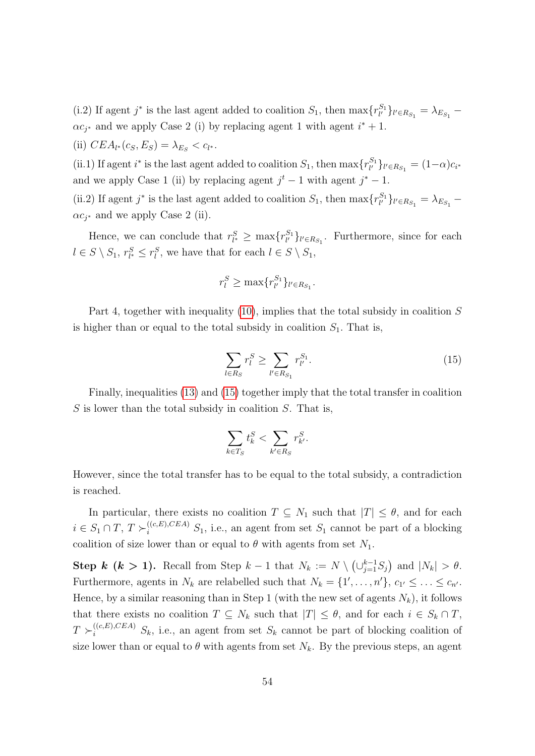(i.2) If agent  $j^*$  is the last agent added to coalition  $S_1$ , then  $\max\{r_{l'}^{S_1}\}_{l' \in R_{S_1}} = \lambda_{E_{S_1}}$  $\alpha c_j^*$  and we apply Case 2 (i) by replacing agent 1 with agent  $i^* + 1$ .

(ii)  $CEA_{l^*}(c_S, E_S) = \lambda_{E_S} < c_{l^*}.$ 

(ii.1) If agent  $i^*$  is the last agent added to coalition  $S_1$ , then  $\max\{r_{l'}^{S_1}\}_{l' \in R_{S_1}} = (1-\alpha)c_{i^*}$ and we apply Case 1 (ii) by replacing agent  $j^t - 1$  with agent  $j^* - 1$ .

(ii.2) If agent  $j^*$  is the last agent added to coalition  $S_1$ , then  $\max\{r_{l'}^{S_1}\}_{l' \in R_{S_1}} = \lambda_{E_{S_1}}$  $\alpha c_{j^*}$  and we apply Case 2 (ii).

Hence, we can conclude that  $r_{l^*}^S \ge \max\{r_{l'}^{S_1}\}_{l' \in R_{S_1}}$ . Furthermore, since for each  $l \in S \setminus S_1$ ,  $r_{l^*}^S \leq r_l^S$ , we have that for each  $l \in S \setminus S_1$ ,

$$
r_l^S \ge \max\{r_{l'}^{S_1}\}_{l' \in R_{S_1}}.
$$

Part 4, together with inequality [\(10\)](#page-50-1), implies that the total subsidy in coalition S is higher than or equal to the total subsidy in coalition  $S_1$ . That is,

<span id="page-53-0"></span>
$$
\sum_{l \in R_S} r_l^S \ge \sum_{l' \in R_{S_1}} r_{l'}^{S_1}.
$$
\n(15)

Finally, inequalities [\(13\)](#page-51-2) and [\(15\)](#page-53-0) together imply that the total transfer in coalition  $S$  is lower than the total subsidy in coalition  $S$ . That is,

$$
\sum_{k \in T_S} t_k^S < \sum_{k' \in R_S} r_{k'}^S.
$$

However, since the total transfer has to be equal to the total subsidy, a contradiction is reached.

In particular, there exists no coalition  $T \subseteq N_1$  such that  $|T| \leq \theta$ , and for each  $i \in S_1 \cap T$ ,  $T \succ_i^{((c,E),CEA)} S_1$ , i.e., an agent from set  $S_1$  cannot be part of a blocking coalition of size lower than or equal to  $\theta$  with agents from set  $N_1$ .

Step k (k > 1). Recall from Step  $k-1$  that  $N_k := N \setminus (\cup_{j=1}^{k-1} S_j)$  and  $|N_k| > \theta$ . Furthermore, agents in  $N_k$  are relabelled such that  $N_k = \{1', \ldots, n'\}, c_{1'} \leq \ldots \leq c_{n'}$ . Hence, by a similar reasoning than in Step 1 (with the new set of agents  $N_k$ ), it follows that there exists no coalition  $T \subseteq N_k$  such that  $|T| \leq \theta$ , and for each  $i \in S_k \cap T$ ,  $T \succ_i^{((c,E),CEA)} S_k$ , i.e., an agent from set  $S_k$  cannot be part of blocking coalition of size lower than or equal to  $\theta$  with agents from set  $N_k$ . By the previous steps, an agent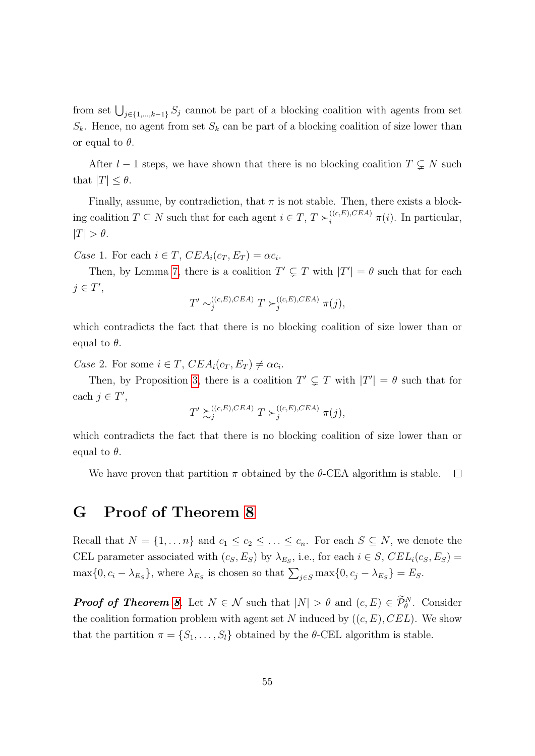from set  $\bigcup_{j\in\{1,\ldots,k-1\}} S_j$  cannot be part of a blocking coalition with agents from set  $S_k$ . Hence, no agent from set  $S_k$  can be part of a blocking coalition of size lower than or equal to  $\theta$ .

After  $l - 1$  steps, we have shown that there is no blocking coalition  $T \subsetneq N$  such that  $|T| \leq \theta$ .

Finally, assume, by contradiction, that  $\pi$  is not stable. Then, there exists a blocking coalition  $T \subseteq N$  such that for each agent  $i \in T$ ,  $T \succ_i^{(c,E),CEA} \pi(i)$ . In particular,  $|T| > \theta$ .

Case 1. For each  $i \in T$ ,  $CEA_i(c_T, E_T) = \alpha c_i$ .

Then, by Lemma [7,](#page-41-1) there is a coalition  $T' \subsetneq T$  with  $|T'| = \theta$  such that for each  $j \in T'$ ,

$$
T' \sim_j^{((c,E),CEA)} T \succ_j^{((c,E),CEA)} \pi(j),
$$

which contradicts the fact that there is no blocking coalition of size lower than or equal to  $\theta$ .

Case 2. For some  $i \in T$ ,  $CEA_i(c_T, E_T) \neq \alpha c_i$ .

Then, by Proposition [3,](#page-41-3) there is a coalition  $T' \subsetneq T$  with  $|T'| = \theta$  such that for each  $j \in T'$ ,

$$
T' \succsim^{((c,E),CEA)}_{j} T \succ^{((c,E),CEA)}_{j} \pi(j),
$$

which contradicts the fact that there is no blocking coalition of size lower than or equal to  $\theta$ .

We have proven that partition  $\pi$  obtained by the  $\theta$ -CEA algorithm is stable.  $\Box$ 

### <span id="page-54-0"></span>G Proof of Theorem [8](#page-24-0)

Recall that  $N = \{1, ..., n\}$  and  $c_1 \leq c_2 \leq ... \leq c_n$ . For each  $S \subseteq N$ , we denote the CEL parameter associated with  $(c_S, E_S)$  by  $\lambda_{E_S}$ , i.e., for each  $i \in S$ ,  $CEL_i(c_S, E_S)$  =  $\max\{0, c_i - \lambda_{E_S}\}\$ , where  $\lambda_{E_S}$  is chosen so that  $\sum_{j \in S} \max\{0, c_j - \lambda_{E_S}\} = E_S$ .

**Proof of Theorem [8](#page-24-0)**. Let  $N \in \mathcal{N}$  such that  $|N| > \theta$  and  $(c, E) \in \mathcal{P}_{\theta}^{N}$ . Consider the coalition formation problem with agent set N induced by  $((c, E), CEL)$ . We show that the partition  $\pi = \{S_1, \ldots, S_l\}$  obtained by the  $\theta$ -CEL algorithm is stable.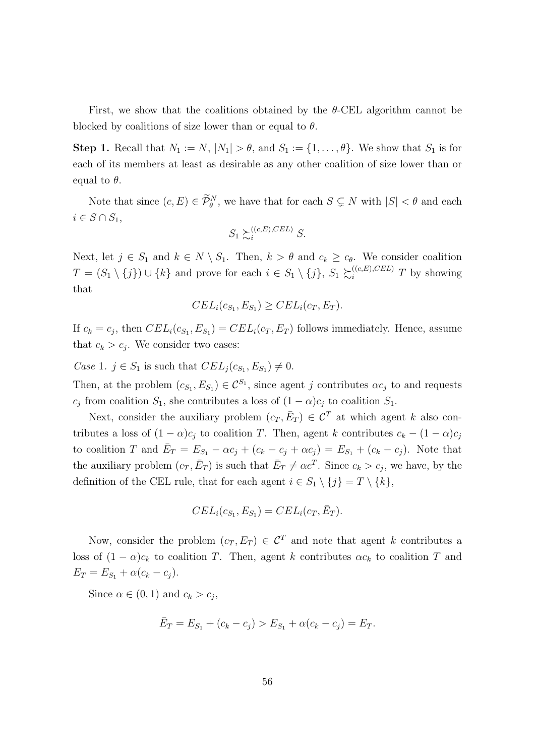First, we show that the coalitions obtained by the  $\theta$ -CEL algorithm cannot be blocked by coalitions of size lower than or equal to  $\theta$ .

**Step 1.** Recall that  $N_1 := N$ ,  $|N_1| > \theta$ , and  $S_1 := \{1, \ldots, \theta\}$ . We show that  $S_1$  is for each of its members at least as desirable as any other coalition of size lower than or equal to  $\theta$ .

Note that since  $(c, E) \in \widetilde{\mathcal{P}}_{\theta}^N$ , we have that for each  $S \subsetneq N$  with  $|S| < \theta$  and each  $i \in S \cap S_1$ 

$$
S_1 \succsim_i^{((c,E),CEL)} S.
$$

Next, let  $j \in S_1$  and  $k \in N \setminus S_1$ . Then,  $k > \theta$  and  $c_k \geq c_{\theta}$ . We consider coalition  $T = (S_1 \setminus \{j\}) \cup \{k\}$  and prove for each  $i \in S_1 \setminus \{j\}, S_1 \succsim^{((c,E),CEL)}_{i} T$  by showing that

$$
CEL_i(c_{S_1}, E_{S_1}) \geq CEL_i(c_T, E_T).
$$

If  $c_k = c_j$ , then  $CEL_i(c_{S_1}, E_{S_1}) = CEL_i(c_T, E_T)$  follows immediately. Hence, assume that  $c_k > c_j$ . We consider two cases:

Case 1.  $j \in S_1$  is such that  $CEL_j(c_{S_1}, E_{S_1}) \neq 0$ .

Then, at the problem  $(c_{S_1}, E_{S_1}) \in \mathcal{C}^{S_1}$ , since agent j contributes  $\alpha c_j$  to and requests  $c_j$  from coalition  $S_1$ , she contributes a loss of  $(1 - \alpha)c_j$  to coalition  $S_1$ .

Next, consider the auxiliary problem  $(c_T, \bar{E}_T) \in C^T$  at which agent k also contributes a loss of  $(1 - \alpha)c_i$  to coalition T. Then, agent k contributes  $c_k - (1 - \alpha)c_j$ to coalition T and  $\overline{E}_T = E_{S_1} - \alpha c_j + (c_k - c_j + \alpha c_j) = E_{S_1} + (c_k - c_j)$ . Note that the auxiliary problem  $(c_T, \bar{E}_T)$  is such that  $\bar{E}_T \neq \alpha c^T$ . Since  $c_k > c_j$ , we have, by the definition of the CEL rule, that for each agent  $i \in S_1 \setminus \{j\} = T \setminus \{k\},\$ 

$$
CEL_i(c_{S_1}, E_{S_1}) = CEL_i(c_T, \bar{E}_T).
$$

Now, consider the problem  $(c_T, E_T) \in \mathcal{C}^T$  and note that agent k contributes a loss of  $(1 - \alpha)c_k$  to coalition T. Then, agent k contributes  $\alpha c_k$  to coalition T and  $E_T = E_{S_1} + \alpha (c_k - c_j).$ 

Since  $\alpha \in (0,1)$  and  $c_k > c_j$ ,

$$
\bar{E}_T = E_{S_1} + (c_k - c_j) > E_{S_1} + \alpha(c_k - c_j) = E_T.
$$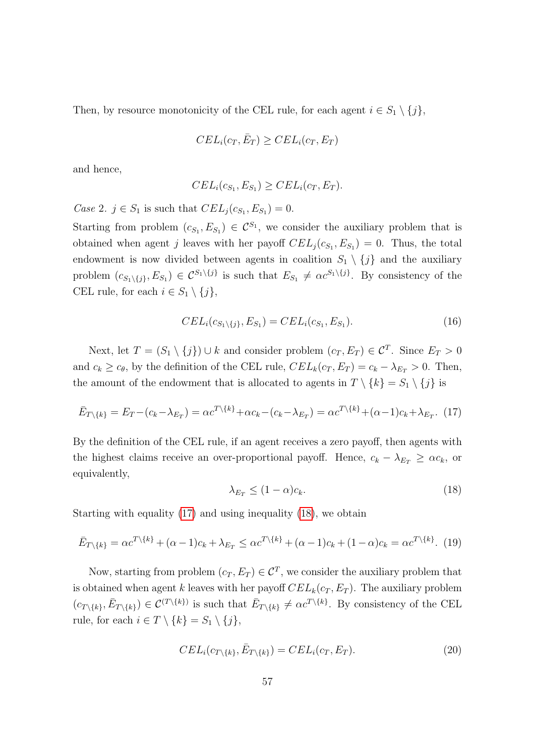Then, by resource monotonicity of the CEL rule, for each agent  $i \in S_1 \setminus \{j\}$ ,

$$
CEL_i(c_T, \bar{E}_T) \geq CEL_i(c_T, E_T)
$$

and hence,

$$
CEL_i(c_{S_1}, E_{S_1}) \geq CEL_i(c_T, E_T).
$$

*Case 2.*  $j \in S_1$  is such that  $CEL_j(c_{S_1}, E_{S_1}) = 0$ .

Starting from problem  $(c_{S_1}, E_{S_1}) \in C^{S_1}$ , we consider the auxiliary problem that is obtained when agent j leaves with her payoff  $CEL_j(c_{S_1}, E_{S_1}) = 0$ . Thus, the total endowment is now divided between agents in coalition  $S_1 \setminus \{j\}$  and the auxiliary problem  $(c_{S_1\setminus\{j\}}, E_{S_1}) \in C^{S_1\setminus\{j\}}$  is such that  $E_{S_1} \neq \alpha c^{S_1\setminus\{j\}}$ . By consistency of the CEL rule, for each  $i \in S_1 \setminus \{j\},\$ 

<span id="page-56-3"></span>
$$
CEL_i(c_{S_1 \setminus \{j\}}, E_{S_1}) = CEL_i(c_{S_1}, E_{S_1}).
$$
\n(16)

Next, let  $T = (S_1 \setminus \{j\}) \cup k$  and consider problem  $(c_T, E_T) \in \mathcal{C}^T$ . Since  $E_T > 0$ and  $c_k \geq c_\theta$ , by the definition of the CEL rule,  $CEL_k(c_T, E_T) = c_k - \lambda_{E_T} > 0$ . Then, the amount of the endowment that is allocated to agents in  $T \setminus \{k\} = S_1 \setminus \{j\}$  is

<span id="page-56-0"></span>
$$
\bar{E}_{T\setminus\{k\}} = E_T - (c_k - \lambda_{E_T}) = \alpha c^{T\setminus\{k\}} + \alpha c_k - (c_k - \lambda_{E_T}) = \alpha c^{T\setminus\{k\}} + (\alpha - 1)c_k + \lambda_{E_T}.
$$
 (17)

By the definition of the CEL rule, if an agent receives a zero payoff, then agents with the highest claims receive an over-proportional payoff. Hence,  $c_k - \lambda_{E_T} \geq \alpha c_k$ , or equivalently,

<span id="page-56-1"></span>
$$
\lambda_{E_T} \le (1 - \alpha)c_k. \tag{18}
$$

Starting with equality [\(17\)](#page-56-0) and using inequality [\(18\)](#page-56-1), we obtain

<span id="page-56-2"></span>
$$
\bar{E}_{T\setminus\{k\}} = \alpha c^{T\setminus\{k\}} + (\alpha - 1)c_k + \lambda_{E_T} \leq \alpha c^{T\setminus\{k\}} + (\alpha - 1)c_k + (1 - \alpha)c_k = \alpha c^{T\setminus\{k\}}.
$$
 (19)

Now, starting from problem  $(c_T, E_T) \in \mathcal{C}^T$ , we consider the auxiliary problem that is obtained when agent k leaves with her payoff  $CEL_k(c_T, E_T)$ . The auxiliary problem  $(c_{T\setminus\{k\}}, \bar{E}_{T\setminus\{k\}}) \in C^{(T\setminus\{k\})}$  is such that  $\bar{E}_{T\setminus\{k\}} \neq \alpha c^{T\setminus\{k\}}$ . By consistency of the CEL rule, for each  $i \in T \setminus \{k\} = S_1 \setminus \{j\},\$ 

<span id="page-56-4"></span>
$$
CEL_i(c_{T\setminus\{k\}}, \bar{E}_{T\setminus\{k\}}) = CEL_i(c_T, E_T). \tag{20}
$$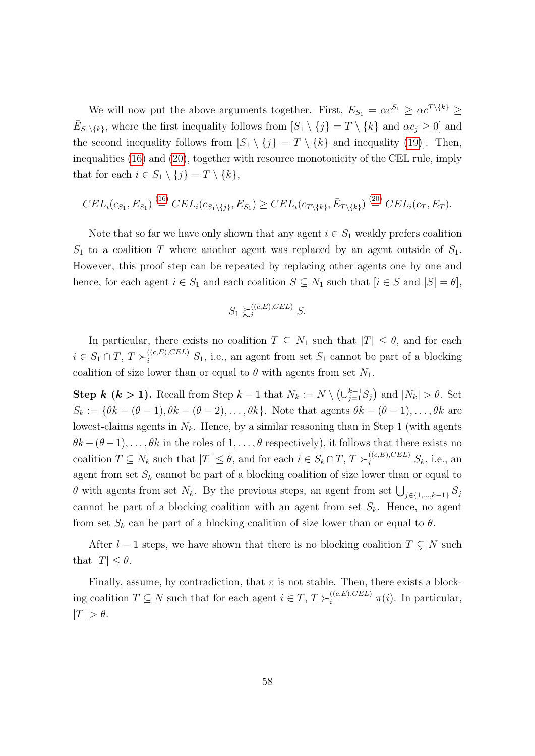We will now put the above arguments together. First,  $E_{S_1} = \alpha c^{S_1} \geq \alpha c^{T \setminus \{k\}} \geq$  $\bar{E}_{S_1\setminus\{k\}}$ , where the first inequality follows from  $[S_1\setminus\{j\} = T \setminus\{k\}$  and  $\alpha c_j \geq 0]$  and the second inequality follows from  $[S_1 \setminus \{j\}] = T \setminus \{k\}$  and inequality [\(19\)](#page-56-2). Then, inequalities [\(16\)](#page-56-3) and [\(20\)](#page-56-4), together with resource monotonicity of the CEL rule, imply that for each  $i \in S_1 \setminus \{j\} = T \setminus \{k\},\$ 

$$
CEL_i(c_{S_1}, E_{S_1}) \stackrel{(16)}{=} CEL_i(c_{S_1 \setminus \{j\}}, E_{S_1}) \geq CEL_i(c_{T \setminus \{k\}}, \bar{E}_{T \setminus \{k\}}) \stackrel{(20)}{=} CEL_i(c_T, E_T).
$$

Note that so far we have only shown that any agent  $i \in S_1$  weakly prefers coalition  $S_1$  to a coalition T where another agent was replaced by an agent outside of  $S_1$ . However, this proof step can be repeated by replacing other agents one by one and hence, for each agent  $i \in S_1$  and each coalition  $S \subsetneq N_1$  such that  $[i \in S \text{ and } |S| = \theta]$ ,

$$
S_1 \succsim_i^{((c,E),CEL)} S.
$$

In particular, there exists no coalition  $T \subseteq N_1$  such that  $|T| \leq \theta$ , and for each  $i \in S_1 \cap T$ ,  $T \succ_i^{((c,E),CEL)} S_1$ , i.e., an agent from set  $S_1$  cannot be part of a blocking coalition of size lower than or equal to  $\theta$  with agents from set  $N_1$ .

**Step k (k > 1).** Recall from Step  $k-1$  that  $N_k := N \setminus (\cup_{j=1}^{k-1} S_j)$  and  $|N_k| > \theta$ . Set  $S_k := \{\theta k - (\theta - 1), \theta k - (\theta - 2), \dots, \theta k\}.$  Note that agents  $\theta k - (\theta - 1), \dots, \theta k$  are lowest-claims agents in  $N_k$ . Hence, by a similar reasoning than in Step 1 (with agents  $\theta k - (\theta - 1), \ldots, \theta k$  in the roles of  $1, \ldots, \theta$  respectively), it follows that there exists no coalition  $T \subseteq N_k$  such that  $|T| \leq \theta$ , and for each  $i \in S_k \cap T$ ,  $T \succ_i^{((c,E),CEL)} S_k$ , i.e., an agent from set  $S_k$  cannot be part of a blocking coalition of size lower than or equal to  $\theta$  with agents from set  $N_k$ . By the previous steps, an agent from set  $\bigcup_{j\in\{1,\dots,k-1\}} S_j$ cannot be part of a blocking coalition with an agent from set  $S_k$ . Hence, no agent from set  $S_k$  can be part of a blocking coalition of size lower than or equal to  $\theta$ .

After  $l - 1$  steps, we have shown that there is no blocking coalition  $T \subsetneq N$  such that  $|T| \leq \theta$ .

Finally, assume, by contradiction, that  $\pi$  is not stable. Then, there exists a blocking coalition  $T \subseteq N$  such that for each agent  $i \in T$ ,  $T \succ_i^{((c,E),CEL)} \pi(i)$ . In particular,  $|T| > \theta$ .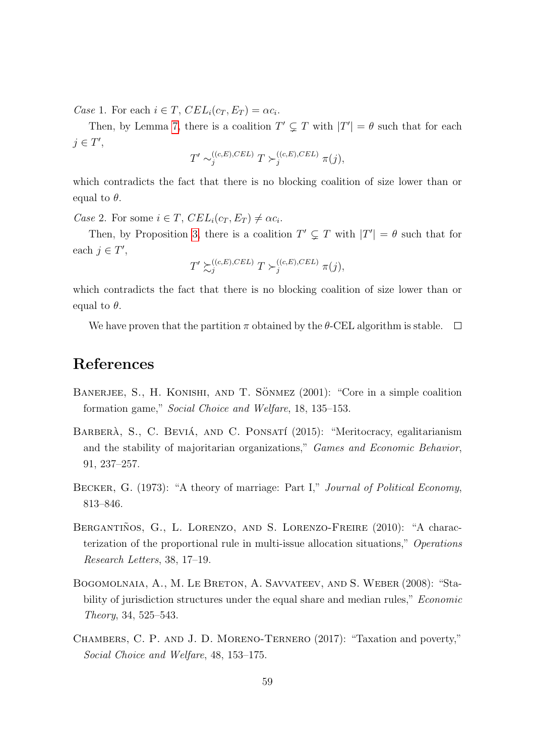Case 1. For each  $i \in T$ ,  $CEL_i(c_T, E_T) = \alpha c_i$ .

Then, by Lemma [7,](#page-41-1) there is a coalition  $T' \subsetneq T$  with  $|T'| = \theta$  such that for each  $j \in T'$ ,

$$
T' \sim_j^{((c,E),CEL)} T \succ_j^{((c,E),CEL)} \pi(j),
$$

which contradicts the fact that there is no blocking coalition of size lower than or equal to  $\theta$ .

Case 2. For some  $i \in T$ ,  $CEL_i(c_T, E_T) \neq \alpha c_i$ .

Then, by Proposition [3,](#page-41-3) there is a coalition  $T' \subsetneq T$  with  $|T'| = \theta$  such that for each  $j \in T'$ ,

$$
T' \succsim_j^{((c,E),CEL)} T \succ_j^{((c,E),CEL)} \pi(j),
$$

which contradicts the fact that there is no blocking coalition of size lower than or equal to  $\theta$ .

We have proven that the partition  $\pi$  obtained by the  $\theta$ -CEL algorithm is stable.  $\Box$ 

### References

- <span id="page-58-5"></span>BANERJEE, S., H. KONISHI, AND T. SÖNMEZ (2001): "Core in a simple coalition formation game," Social Choice and Welfare, 18, 135–153.
- <span id="page-58-0"></span>BARBERÀ, S., C. BEVIÁ, AND C. PONSATÍ (2015): "Meritocracy, egalitarianism and the stability of majoritarian organizations," Games and Economic Behavior, 91, 237–257.
- <span id="page-58-2"></span>BECKER, G. (1973): "A theory of marriage: Part I," Journal of Political Economy, 813–846.
- <span id="page-58-3"></span>BERGANTIÑOS, G., L. LORENZO, AND S. LORENZO-FREIRE (2010): "A characterization of the proportional rule in multi-issue allocation situations," Operations Research Letters, 38, 17–19.
- <span id="page-58-4"></span>Bogomolnaia, A., M. Le Breton, A. Savvateev, and S. Weber (2008): "Stability of jurisdiction structures under the equal share and median rules," *Economic* Theory, 34, 525–543.
- <span id="page-58-1"></span>Chambers, C. P. and J. D. Moreno-Ternero (2017): "Taxation and poverty," Social Choice and Welfare, 48, 153–175.